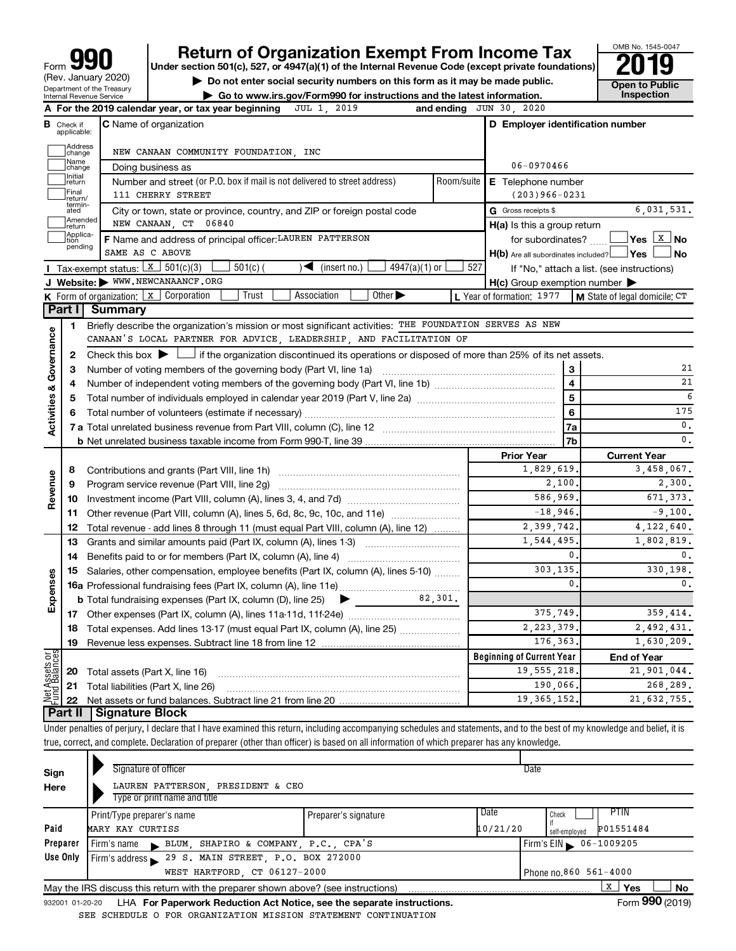# **your Beart of Organization Exempt From Income Tax Properties and Solution Solutions Properties and Solutions Properties and Solutions Properties and Solutions Properties and Solutions Properties and Solutions**

this form as it may be made public.<br> **Example 19 To a point of the part of the latest information.** This pection

OMB No. 1545-0047

| $\blacktriangleright$ Do not enter social security numbers on this form as it may be made public. | Open to Publ |
|---------------------------------------------------------------------------------------------------|--------------|
| Go to www.irs.gov/Form990 for instructions and the latest information.                            | Inspection   |

|                         |                              | A For the 2019 calendar year, or tax year beginning JUL 1, 2019                                                                             |            | and ending JUN 30, 2020                             |                                            |  |  |  |  |
|-------------------------|------------------------------|---------------------------------------------------------------------------------------------------------------------------------------------|------------|-----------------------------------------------------|--------------------------------------------|--|--|--|--|
| в                       | Check if<br>applicable:      | <b>C</b> Name of organization                                                                                                               |            | D Employer identification number                    |                                            |  |  |  |  |
|                         | Address<br>change            | NEW CANAAN COMMUNITY FOUNDATION, INC                                                                                                        |            |                                                     |                                            |  |  |  |  |
|                         | Name<br>change               | Doing business as                                                                                                                           |            | 06-0970466                                          |                                            |  |  |  |  |
|                         | Initial<br>return            | Number and street (or P.O. box if mail is not delivered to street address)                                                                  | Room/suite | E Telephone number                                  |                                            |  |  |  |  |
|                         | Final<br>return/             | 111 CHERRY STREET                                                                                                                           |            | $(203)966 - 0231$                                   |                                            |  |  |  |  |
|                         | termin-<br>ated              | City or town, state or province, country, and ZIP or foreign postal code                                                                    |            | G Gross receipts \$                                 | 6,031,531.                                 |  |  |  |  |
|                         | Amended<br>Ireturn           | NEW CANAAN, CT 06840                                                                                                                        |            | H(a) Is this a group return                         |                                            |  |  |  |  |
|                         | Applica-<br>Ition<br>pending | F Name and address of principal officer: LAUREN PATTERSON                                                                                   |            | for subordinates?                                   |                                            |  |  |  |  |
|                         |                              | SAME AS C ABOVE                                                                                                                             |            | $H(b)$ Are all subordinates included? $\Box$ Yes    | ⊥No                                        |  |  |  |  |
|                         |                              | Tax-exempt status: $X \mid 501(c)(3)$<br>$501(c)$ (<br>$\sqrt{\frac{1}{1}}$ (insert no.)<br>$4947(a)(1)$ or                                 | 527        |                                                     | If "No," attach a list. (see instructions) |  |  |  |  |
|                         |                              | J Website: WWW.NEWCANAANCF.ORG                                                                                                              |            | $H(c)$ Group exemption number $\blacktriangleright$ |                                            |  |  |  |  |
|                         |                              | <b>K</b> Form of organization: $x$ Corporation<br>Trust<br>Association<br>Other >                                                           |            | L Year of formation: 1977                           | M State of legal domicile: CT              |  |  |  |  |
|                         | Part I                       | <b>Summary</b>                                                                                                                              |            |                                                     |                                            |  |  |  |  |
|                         | 1                            | Briefly describe the organization's mission or most significant activities: THE FOUNDATION SERVES AS NEW                                    |            |                                                     |                                            |  |  |  |  |
|                         |                              | CANAAN'S LOCAL PARTNER FOR ADVICE, LEADERSHIP, AND FACILITATION OF                                                                          |            |                                                     |                                            |  |  |  |  |
| Activities & Governance | 2                            | Check this box $\blacktriangleright$ $\Box$ if the organization discontinued its operations or disposed of more than 25% of its net assets. |            |                                                     |                                            |  |  |  |  |
|                         | 3                            |                                                                                                                                             |            |                                                     | 21<br>3                                    |  |  |  |  |
|                         | 4                            |                                                                                                                                             |            | $\overline{\mathbf{4}}$                             | 21                                         |  |  |  |  |
|                         | 5                            |                                                                                                                                             |            | $\overline{5}$                                      | 6                                          |  |  |  |  |
|                         | 6                            |                                                                                                                                             |            | 6                                                   | 175                                        |  |  |  |  |
|                         |                              |                                                                                                                                             |            | 7a                                                  | 0.                                         |  |  |  |  |
|                         |                              |                                                                                                                                             |            | 7b                                                  | $\mathbf 0$ .                              |  |  |  |  |
|                         |                              |                                                                                                                                             |            | <b>Prior Year</b><br>1,829,619.                     | <b>Current Year</b><br>3,458,067.          |  |  |  |  |
|                         | 8                            |                                                                                                                                             |            |                                                     |                                            |  |  |  |  |
| Revenue                 | 9                            | Program service revenue (Part VIII, line 2g)                                                                                                |            | 2,100.                                              | 2,300.                                     |  |  |  |  |
|                         |                              |                                                                                                                                             |            | 586,969.                                            | 671, 373.                                  |  |  |  |  |
|                         |                              | 11 Other revenue (Part VIII, column (A), lines 5, 6d, 8c, 9c, 10c, and 11e)                                                                 |            | $-18,946,$                                          | $-9,100.$                                  |  |  |  |  |
|                         |                              | 12 Total revenue - add lines 8 through 11 (must equal Part VIII, column (A), line 12)                                                       |            | 2,399,742.                                          | 4, 122, 640.                               |  |  |  |  |
|                         |                              |                                                                                                                                             |            | 1,544,495,<br>$\mathbf{0}$                          | 1,802,819.<br>$\mathbf{0}$ .               |  |  |  |  |
|                         |                              |                                                                                                                                             |            | 303,135.                                            | 330,198.                                   |  |  |  |  |
| Expenses                |                              | 15 Salaries, other compensation, employee benefits (Part IX, column (A), lines 5-10)                                                        |            | $\mathbf{0}$                                        | 0.                                         |  |  |  |  |
|                         |                              |                                                                                                                                             | 82.301.    |                                                     |                                            |  |  |  |  |
|                         |                              | <b>b</b> Total fundraising expenses (Part IX, column (D), line 25)<br>▶                                                                     |            | 375.749.                                            | 359.414.                                   |  |  |  |  |
|                         |                              |                                                                                                                                             |            | 2, 223, 379.                                        | 2,492,431.                                 |  |  |  |  |
|                         | 19                           | <b>18</b> Total expenses. Add lines 13-17 (must equal Part IX, column (A), line 25) <i></i>                                                 |            | 176.363.                                            | 1,630,209.                                 |  |  |  |  |
|                         |                              |                                                                                                                                             |            | <b>Beginning of Current Year</b>                    |                                            |  |  |  |  |
| Assets or               |                              |                                                                                                                                             |            | 19, 555, 218.                                       | <b>End of Year</b><br>21,901,044.          |  |  |  |  |
|                         |                              | <b>20</b> Total assets (Part X, line 16)<br>21 Total liabilities (Part X, line 26)                                                          |            | 190,066,                                            | 268.289.                                   |  |  |  |  |
| <u>bet</u>              | 22                           |                                                                                                                                             |            | 19, 365, 152.                                       | 21,632,755.                                |  |  |  |  |
|                         |                              | Part II   Signature Block                                                                                                                   |            |                                                     |                                            |  |  |  |  |

Under penalties of perjury, I declare that I have examined this return, including accompanying schedules and statements, and to the best of my knowledge and belief, it is true, correct, and complete. Declaration of preparer (other than officer) is based on all information of which preparer has any knowledge.

| Sign     |                                                       | Signature of officer       |                                                  |  |                                                                                   |  |          | Date                  |      |           |            |           |  |
|----------|-------------------------------------------------------|----------------------------|--------------------------------------------------|--|-----------------------------------------------------------------------------------|--|----------|-----------------------|------|-----------|------------|-----------|--|
| Here     |                                                       |                            | LAUREN PATTERSON, PRESIDENT & CEO                |  |                                                                                   |  |          |                       |      |           |            |           |  |
|          |                                                       |                            | Type or print name and title                     |  |                                                                                   |  |          |                       |      |           |            |           |  |
|          |                                                       | Print/Type preparer's name |                                                  |  | Preparer's signature                                                              |  | Date     | Check                 | PTIN |           |            |           |  |
| Paid     | MARY KAY CURTISS                                      |                            |                                                  |  |                                                                                   |  | 10/21/20 | self-employed         |      | P01551484 |            |           |  |
| Preparer |                                                       |                            | Firm's name BLUM, SHAPIRO & COMPANY, P.C., CPA'S |  |                                                                                   |  |          | Firm's EIN 06-1009205 |      |           |            |           |  |
| Use Only | Firm's address 29 S. MAIN STREET, P.O. BOX 272000     |                            |                                                  |  |                                                                                   |  |          |                       |      |           |            |           |  |
|          | WEST HARTFORD, CT 06127-2000<br>Phone no.860 561-4000 |                            |                                                  |  |                                                                                   |  |          |                       |      |           |            |           |  |
|          |                                                       |                            |                                                  |  | May the IRS discuss this return with the preparer shown above? (see instructions) |  |          |                       | X    | Yes       |            | <b>No</b> |  |
|          |                                                       |                            |                                                  |  |                                                                                   |  |          |                       |      |           | <b>AAA</b> |           |  |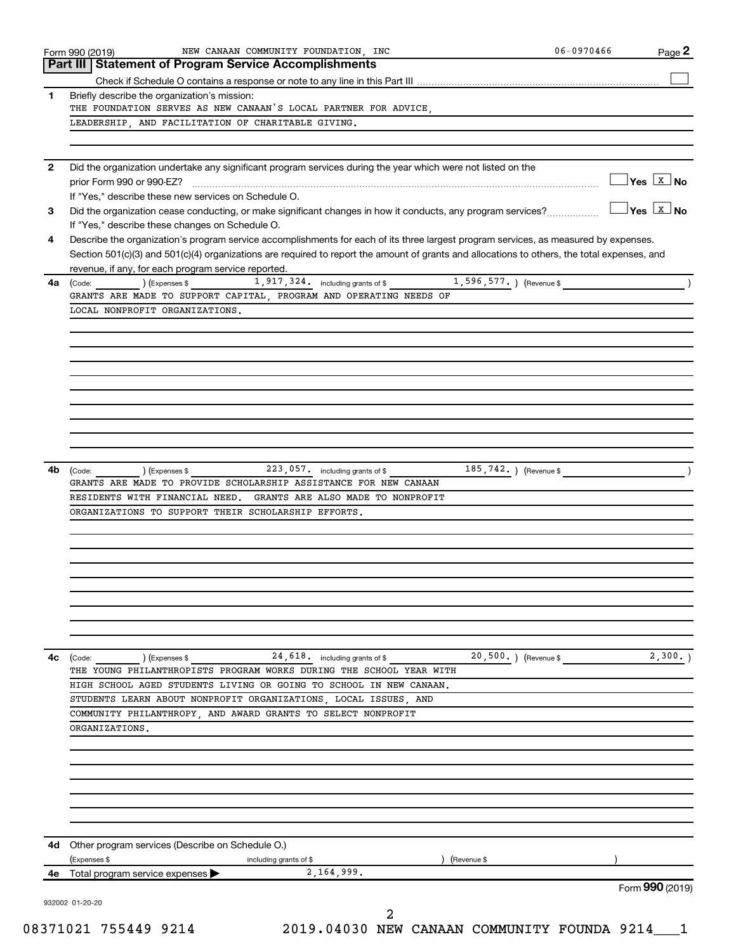|              | Part III   Statement of Program Service Accomplishments                                                                                                                                                                             |                                       |
|--------------|-------------------------------------------------------------------------------------------------------------------------------------------------------------------------------------------------------------------------------------|---------------------------------------|
|              |                                                                                                                                                                                                                                     |                                       |
| 1.           | Briefly describe the organization's mission:                                                                                                                                                                                        |                                       |
|              | THE FOUNDATION SERVES AS NEW CANAAN'S LOCAL PARTNER FOR ADVICE,                                                                                                                                                                     |                                       |
|              | LEADERSHIP, AND FACILITATION OF CHARITABLE GIVING.                                                                                                                                                                                  |                                       |
|              |                                                                                                                                                                                                                                     |                                       |
| $\mathbf{2}$ | Did the organization undertake any significant program services during the year which were not listed on the                                                                                                                        |                                       |
|              |                                                                                                                                                                                                                                     | $\sqrt{}$ Yes $\sqrt{X}$ No           |
|              | If "Yes," describe these new services on Schedule O.                                                                                                                                                                                |                                       |
| З            | Did the organization cease conducting, or make significant changes in how it conducts, any program services?                                                                                                                        | $ Yes $ $\overline{X}$ $\overline{N}$ |
|              | If "Yes," describe these changes on Schedule O.                                                                                                                                                                                     |                                       |
| 4            | Describe the organization's program service accomplishments for each of its three largest program services, as measured by expenses.                                                                                                |                                       |
|              | Section 501(c)(3) and 501(c)(4) organizations are required to report the amount of grants and allocations to others, the total expenses, and                                                                                        |                                       |
|              | revenue, if any, for each program service reported.                                                                                                                                                                                 |                                       |
| 4a           | 1,596,577. ) (Revenue \$<br>1,917,324. including grants of \$<br>(Code: ) (Expenses \$                                                                                                                                              |                                       |
|              | GRANTS ARE MADE TO SUPPORT CAPITAL, PROGRAM AND OPERATING NEEDS OF                                                                                                                                                                  |                                       |
|              | LOCAL NONPROFIT ORGANIZATIONS.                                                                                                                                                                                                      |                                       |
|              |                                                                                                                                                                                                                                     |                                       |
|              |                                                                                                                                                                                                                                     |                                       |
|              |                                                                                                                                                                                                                                     |                                       |
|              |                                                                                                                                                                                                                                     |                                       |
|              |                                                                                                                                                                                                                                     |                                       |
|              |                                                                                                                                                                                                                                     |                                       |
|              |                                                                                                                                                                                                                                     |                                       |
|              |                                                                                                                                                                                                                                     |                                       |
|              |                                                                                                                                                                                                                                     |                                       |
|              |                                                                                                                                                                                                                                     |                                       |
| 4b           | 223, 057. including grants of \$<br>185, 742.<br>(Revenue \$<br>(Code:<br>) (Expenses \$<br>GRANTS ARE MADE TO PROVIDE SCHOLARSHIP ASSISTANCE FOR NEW CANAAN<br>RESIDENTS WITH FINANCIAL NEED.<br>GRANTS ARE ALSO MADE TO NONPROFIT |                                       |
|              | ORGANIZATIONS TO SUPPORT THEIR SCHOLARSHIP EFFORTS.                                                                                                                                                                                 |                                       |
|              |                                                                                                                                                                                                                                     |                                       |
|              |                                                                                                                                                                                                                                     |                                       |
|              |                                                                                                                                                                                                                                     |                                       |
|              |                                                                                                                                                                                                                                     |                                       |
|              |                                                                                                                                                                                                                                     |                                       |
|              |                                                                                                                                                                                                                                     |                                       |
|              |                                                                                                                                                                                                                                     |                                       |
|              | 20,500.) (Revenue \$<br>24,618. including grants of \$<br>(Code:<br>(Expenses \$                                                                                                                                                    | 2,300.                                |
|              | THE YOUNG PHILANTHROPISTS PROGRAM WORKS DURING THE SCHOOL YEAR WITH                                                                                                                                                                 |                                       |
|              | HIGH SCHOOL AGED STUDENTS LIVING OR GOING TO SCHOOL IN NEW CANAAN.                                                                                                                                                                  |                                       |
|              | STUDENTS LEARN ABOUT NONPROFIT ORGANIZATIONS, LOCAL ISSUES, AND                                                                                                                                                                     |                                       |
|              | COMMUNITY PHILANTHROPY, AND AWARD GRANTS TO SELECT NONPROFIT                                                                                                                                                                        |                                       |
|              | ORGANIZATIONS.                                                                                                                                                                                                                      |                                       |
|              |                                                                                                                                                                                                                                     |                                       |
|              |                                                                                                                                                                                                                                     |                                       |
|              |                                                                                                                                                                                                                                     |                                       |
|              |                                                                                                                                                                                                                                     |                                       |
|              |                                                                                                                                                                                                                                     |                                       |
|              |                                                                                                                                                                                                                                     |                                       |
| 4c<br>4d     | Other program services (Describe on Schedule O.)                                                                                                                                                                                    |                                       |
|              | (Expenses \$<br>including grants of \$<br>(Revenue \$                                                                                                                                                                               |                                       |
| 4е           | 2,164,999.<br>Total program service expenses                                                                                                                                                                                        | Form 990 (2019)                       |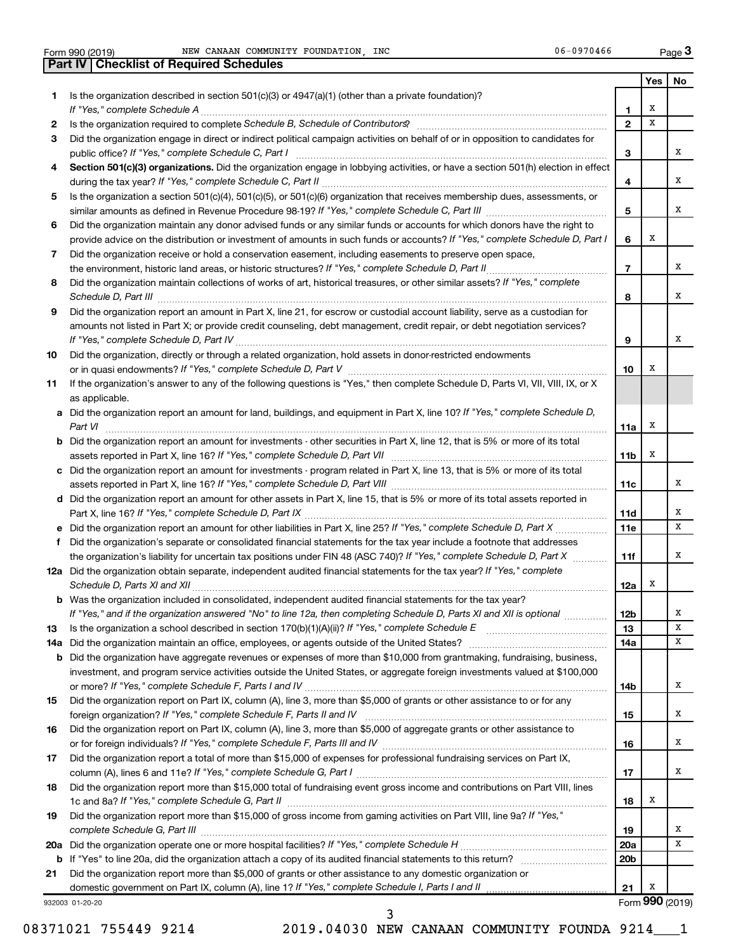|     | 06-0970466<br>NEW CANAAN COMMUNITY FOUNDATION, INC<br>Form 990 (2019)                                                                                           |                     |        | Page 3          |
|-----|-----------------------------------------------------------------------------------------------------------------------------------------------------------------|---------------------|--------|-----------------|
|     | <b>Part IV   Checklist of Required Schedules</b>                                                                                                                |                     |        |                 |
|     |                                                                                                                                                                 |                     | Yes    | No              |
| 1   | Is the organization described in section $501(c)(3)$ or $4947(a)(1)$ (other than a private foundation)?                                                         |                     |        |                 |
|     |                                                                                                                                                                 | 1<br>$\overline{2}$ | х<br>X |                 |
| 2   | Is the organization required to complete Schedule B, Schedule of Contributors? [11] The organization required to complete Schedule B, Schedule of Contributors? |                     |        |                 |
| 3   | Did the organization engage in direct or indirect political campaign activities on behalf of or in opposition to candidates for                                 | 3                   |        | х               |
| 4   | Section 501(c)(3) organizations. Did the organization engage in lobbying activities, or have a section 501(h) election in effect                                |                     |        |                 |
|     |                                                                                                                                                                 | 4                   |        | х               |
| 5   | Is the organization a section 501(c)(4), 501(c)(5), or 501(c)(6) organization that receives membership dues, assessments, or                                    |                     |        |                 |
|     |                                                                                                                                                                 | 5                   |        | x               |
| 6   | Did the organization maintain any donor advised funds or any similar funds or accounts for which donors have the right to                                       |                     |        |                 |
|     | provide advice on the distribution or investment of amounts in such funds or accounts? If "Yes," complete Schedule D, Part I                                    | 6                   | х      |                 |
| 7   | Did the organization receive or hold a conservation easement, including easements to preserve open space,                                                       |                     |        |                 |
|     |                                                                                                                                                                 | $\overline{7}$      |        | x               |
| 8   | Did the organization maintain collections of works of art, historical treasures, or other similar assets? If "Yes," complete                                    |                     |        |                 |
|     | Schedule D, Part III <b>www.communications.communications.communications.communications</b>                                                                     | 8                   |        | x               |
| 9   | Did the organization report an amount in Part X, line 21, for escrow or custodial account liability, serve as a custodian for                                   |                     |        |                 |
|     | amounts not listed in Part X; or provide credit counseling, debt management, credit repair, or debt negotiation services?                                       |                     |        |                 |
|     |                                                                                                                                                                 | 9                   |        | х               |
| 10  | Did the organization, directly or through a related organization, hold assets in donor-restricted endowments                                                    |                     |        |                 |
|     |                                                                                                                                                                 | 10                  | х      |                 |
| 11  | If the organization's answer to any of the following questions is "Yes," then complete Schedule D, Parts VI, VII, VIII, IX, or X                                |                     |        |                 |
|     | as applicable.                                                                                                                                                  |                     |        |                 |
|     | a Did the organization report an amount for land, buildings, and equipment in Part X, line 10? If "Yes," complete Schedule D,<br>Part VI                        | 11a                 | Х      |                 |
|     | <b>b</b> Did the organization report an amount for investments - other securities in Part X, line 12, that is 5% or more of its total                           |                     |        |                 |
|     |                                                                                                                                                                 | 11b                 | х      |                 |
|     | c Did the organization report an amount for investments - program related in Part X, line 13, that is 5% or more of its total                                   |                     |        |                 |
|     |                                                                                                                                                                 | 11c                 |        | х               |
|     | d Did the organization report an amount for other assets in Part X, line 15, that is 5% or more of its total assets reported in                                 |                     |        |                 |
|     |                                                                                                                                                                 | 11d                 |        | х               |
|     |                                                                                                                                                                 | 11e                 |        | х               |
| f   | Did the organization's separate or consolidated financial statements for the tax year include a footnote that addresses                                         |                     |        |                 |
|     | the organization's liability for uncertain tax positions under FIN 48 (ASC 740)? If "Yes," complete Schedule D, Part X                                          | 11f                 |        | х               |
|     | 12a Did the organization obtain separate, independent audited financial statements for the tax year? If "Yes," complete                                         |                     |        |                 |
|     |                                                                                                                                                                 | 12a                 |        |                 |
|     | <b>b</b> Was the organization included in consolidated, independent audited financial statements for the tax year?                                              |                     |        |                 |
|     | If "Yes," and if the organization answered "No" to line 12a, then completing Schedule D, Parts XI and XII is optional <i>maniming</i>                           | 12 <sub>b</sub>     |        | х               |
| 13  |                                                                                                                                                                 | 13                  |        | х               |
| 14a | Did the organization maintain an office, employees, or agents outside of the United States?                                                                     | 14a                 |        | х               |
| b   | Did the organization have aggregate revenues or expenses of more than \$10,000 from grantmaking, fundraising, business,                                         |                     |        |                 |
|     | investment, and program service activities outside the United States, or aggregate foreign investments valued at \$100,000                                      |                     |        | x               |
| 15  | Did the organization report on Part IX, column (A), line 3, more than \$5,000 of grants or other assistance to or for any                                       | 14b                 |        |                 |
|     |                                                                                                                                                                 | 15                  |        | x               |
| 16  | Did the organization report on Part IX, column (A), line 3, more than \$5,000 of aggregate grants or other assistance to                                        |                     |        |                 |
|     |                                                                                                                                                                 | 16                  |        | x               |
| 17  | Did the organization report a total of more than \$15,000 of expenses for professional fundraising services on Part IX,                                         |                     |        |                 |
|     |                                                                                                                                                                 | 17                  |        | х               |
| 18  | Did the organization report more than \$15,000 total of fundraising event gross income and contributions on Part VIII, lines                                    |                     |        |                 |
|     |                                                                                                                                                                 | 18                  | х      |                 |
| 19  | Did the organization report more than \$15,000 of gross income from gaming activities on Part VIII, line 9a? If "Yes,"                                          |                     |        |                 |
|     | complete Schedule G, Part III                                                                                                                                   | 19                  |        | х               |
| 20a |                                                                                                                                                                 | 20a                 |        | х               |
|     |                                                                                                                                                                 | 20 <sub>b</sub>     |        |                 |
| 21  | Did the organization report more than \$5,000 of grants or other assistance to any domestic organization or                                                     |                     |        |                 |
|     | domestic government on Part IX, column (A), line 1? If "Yes," complete Schedule I, Parts I and II                                                               | 21                  | х      |                 |
|     | 932003 01-20-20                                                                                                                                                 |                     |        | Form 990 (2019) |

08371021 755449 9214 2019.04030 NEW CANAAN COMMUNITY FOUNDA 9214\_\_\_1

3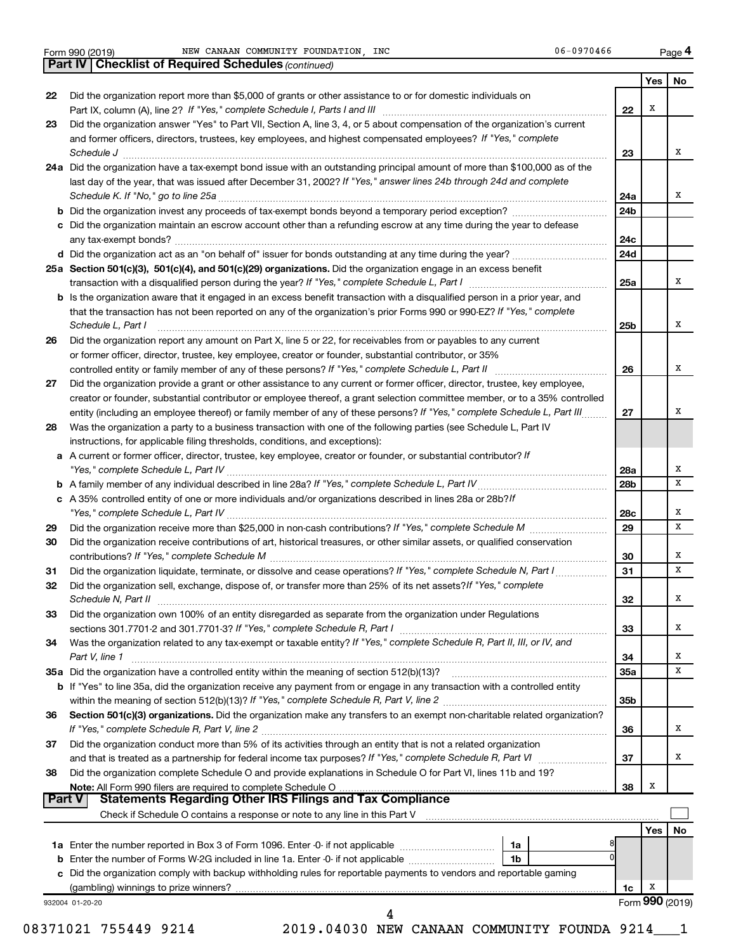|               | NEW CANAAN COMMUNITY FOUNDATION, INC<br>06-0970466<br>Form 990 (2019)                                                                                                       |                 |     | Page 4 |
|---------------|-----------------------------------------------------------------------------------------------------------------------------------------------------------------------------|-----------------|-----|--------|
|               | <b>Part IV   Checklist of Required Schedules (continued)</b>                                                                                                                |                 |     |        |
|               |                                                                                                                                                                             |                 | Yes | No     |
| 22            | Did the organization report more than \$5,000 of grants or other assistance to or for domestic individuals on                                                               |                 |     |        |
|               |                                                                                                                                                                             | 22              | х   |        |
| 23            | Did the organization answer "Yes" to Part VII, Section A, line 3, 4, or 5 about compensation of the organization's current                                                  |                 |     |        |
|               | and former officers, directors, trustees, key employees, and highest compensated employees? If "Yes," complete                                                              |                 |     |        |
|               | Schedule J <b>Execute Schedule J Execute Schedule J</b>                                                                                                                     | 23              |     | x      |
|               | 24a Did the organization have a tax-exempt bond issue with an outstanding principal amount of more than \$100,000 as of the                                                 |                 |     |        |
|               | last day of the year, that was issued after December 31, 2002? If "Yes," answer lines 24b through 24d and complete                                                          |                 |     | x      |
|               |                                                                                                                                                                             | 24a             |     |        |
|               |                                                                                                                                                                             | 24 <sub>b</sub> |     |        |
|               | c Did the organization maintain an escrow account other than a refunding escrow at any time during the year to defease                                                      | 24c             |     |        |
|               |                                                                                                                                                                             | 24d             |     |        |
|               | 25a Section 501(c)(3), 501(c)(4), and 501(c)(29) organizations. Did the organization engage in an excess benefit                                                            |                 |     |        |
|               |                                                                                                                                                                             | 25a             |     | x      |
|               | b Is the organization aware that it engaged in an excess benefit transaction with a disqualified person in a prior year, and                                                |                 |     |        |
|               | that the transaction has not been reported on any of the organization's prior Forms 990 or 990-EZ? If "Yes," complete                                                       |                 |     |        |
|               | Schedule L, Part I                                                                                                                                                          | 25b             |     | x      |
| 26            | Did the organization report any amount on Part X, line 5 or 22, for receivables from or payables to any current                                                             |                 |     |        |
|               | or former officer, director, trustee, key employee, creator or founder, substantial contributor, or 35%                                                                     |                 |     |        |
|               | controlled entity or family member of any of these persons? If "Yes," complete Schedule L, Part II                                                                          | 26              |     | x      |
| 27            | Did the organization provide a grant or other assistance to any current or former officer, director, trustee, key employee,                                                 |                 |     |        |
|               | creator or founder, substantial contributor or employee thereof, a grant selection committee member, or to a 35% controlled                                                 |                 |     |        |
|               | entity (including an employee thereof) or family member of any of these persons? If "Yes," complete Schedule L, Part III                                                    | 27              |     | х      |
| 28            | Was the organization a party to a business transaction with one of the following parties (see Schedule L, Part IV                                                           |                 |     |        |
|               | instructions, for applicable filing thresholds, conditions, and exceptions):                                                                                                |                 |     |        |
|               | a A current or former officer, director, trustee, key employee, creator or founder, or substantial contributor? If                                                          |                 |     |        |
|               |                                                                                                                                                                             | 28a             |     | х      |
|               |                                                                                                                                                                             | 28b             |     | x      |
|               | c A 35% controlled entity of one or more individuals and/or organizations described in lines 28a or 28b?/f                                                                  |                 |     |        |
|               |                                                                                                                                                                             | 28c             |     | x<br>x |
| 29            |                                                                                                                                                                             | 29              |     |        |
| 30            | Did the organization receive contributions of art, historical treasures, or other similar assets, or qualified conservation<br>contributions? If "Yes," complete Schedule M | 30              |     | x      |
| 31            |                                                                                                                                                                             | 31              |     | x      |
| 32            | Did the organization sell, exchange, dispose of, or transfer more than 25% of its net assets? If "Yes," complete                                                            |                 |     |        |
|               | Schedule N, Part II                                                                                                                                                         | 32              |     | X      |
| 33            | Did the organization own 100% of an entity disregarded as separate from the organization under Regulations                                                                  |                 |     |        |
|               |                                                                                                                                                                             | 33              |     | x      |
| 34            | Was the organization related to any tax-exempt or taxable entity? If "Yes," complete Schedule R, Part II, III, or IV, and                                                   |                 |     |        |
|               | Part V, line 1                                                                                                                                                              | 34              |     | x      |
|               |                                                                                                                                                                             | <b>35a</b>      |     | x      |
|               | <b>b</b> If "Yes" to line 35a, did the organization receive any payment from or engage in any transaction with a controlled entity                                          |                 |     |        |
|               |                                                                                                                                                                             | 35b             |     |        |
| 36            | Section 501(c)(3) organizations. Did the organization make any transfers to an exempt non-charitable related organization?                                                  |                 |     |        |
|               |                                                                                                                                                                             | 36              |     | x      |
| 37            | Did the organization conduct more than 5% of its activities through an entity that is not a related organization                                                            |                 |     |        |
|               | and that is treated as a partnership for federal income tax purposes? If "Yes," complete Schedule R, Part VI<br>.                                                           | 37              |     | x      |
| 38            | Did the organization complete Schedule O and provide explanations in Schedule O for Part VI, lines 11b and 19?                                                              |                 |     |        |
|               | Note: All Form 990 filers are required to complete Schedule O<br>Statements Regarding Other IRS Filings and Tax Compliance                                                  | 38              | х   |        |
| <b>Part V</b> |                                                                                                                                                                             |                 |     |        |

| Check if Schedule O contains a response or note to any line in this Part V                                           |  |                 |     |  |  |  |
|----------------------------------------------------------------------------------------------------------------------|--|-----------------|-----|--|--|--|
|                                                                                                                      |  |                 | res |  |  |  |
| 1a<br><b>1a</b> Enter the number reported in Box 3 of Form 1096. Enter -0- if not applicable                         |  |                 |     |  |  |  |
| <b>b</b> Enter the number of Forms W-2G included in line 1a. Enter -0- if not applicable<br>1b                       |  |                 |     |  |  |  |
| c Did the organization comply with backup withholding rules for reportable payments to vendors and reportable gaming |  |                 |     |  |  |  |
| (gambling) winnings to prize winners?                                                                                |  | 1c              | v   |  |  |  |
| 932004 01-20-20                                                                                                      |  | Form 990 (2019) |     |  |  |  |

08371021 755449 9214 2019.04030 NEW CANAAN COMMUNITY FOUNDA 9214\_\_\_1 4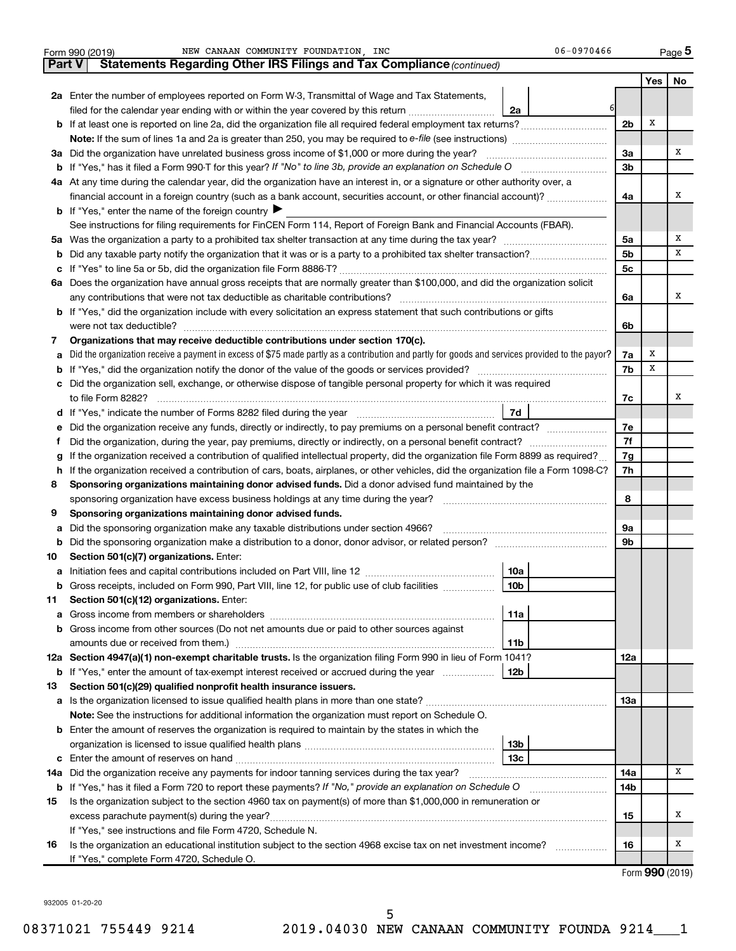|        | NEW CANAAN COMMUNITY FOUNDATION, INC<br>06-0970466<br>Form 990 (2019)                                                                                                     |                |                     | Page 5 |
|--------|---------------------------------------------------------------------------------------------------------------------------------------------------------------------------|----------------|---------------------|--------|
| Part V | <b>Statements Regarding Other IRS Filings and Tax Compliance (continued)</b>                                                                                              |                |                     |        |
|        |                                                                                                                                                                           |                | Yes                 | No     |
|        | 2a Enter the number of employees reported on Form W-3, Transmittal of Wage and Tax Statements,                                                                            |                |                     |        |
|        | filed for the calendar year ending with or within the year covered by this return<br>2a                                                                                   |                |                     |        |
|        | <b>b</b> If at least one is reported on line 2a, did the organization file all required federal employment tax returns?                                                   | 2 <sub>b</sub> | x                   |        |
|        | <b>Note:</b> If the sum of lines 1a and 2a is greater than 250, you may be required to e-file (see instructions) <i></i>                                                  |                |                     |        |
|        | 3a Did the organization have unrelated business gross income of \$1,000 or more during the year?                                                                          | За             |                     | х      |
|        |                                                                                                                                                                           | 3 <sub>b</sub> |                     |        |
|        | 4a At any time during the calendar year, did the organization have an interest in, or a signature or other authority over, a                                              |                |                     |        |
|        | financial account in a foreign country (such as a bank account, securities account, or other financial account)?                                                          | 4a             |                     | х      |
|        | <b>b</b> If "Yes," enter the name of the foreign country $\blacktriangleright$                                                                                            |                |                     |        |
|        | See instructions for filing requirements for FinCEN Form 114, Report of Foreign Bank and Financial Accounts (FBAR).                                                       |                |                     |        |
|        |                                                                                                                                                                           | 5a             |                     | х      |
|        |                                                                                                                                                                           | 5 <sub>b</sub> |                     | x      |
|        |                                                                                                                                                                           | 5c             |                     |        |
|        | 6a Does the organization have annual gross receipts that are normally greater than \$100,000, and did the organization solicit                                            |                |                     |        |
|        | any contributions that were not tax deductible as charitable contributions?                                                                                               | 6a             |                     | х      |
|        | b If "Yes," did the organization include with every solicitation an express statement that such contributions or gifts                                                    |                |                     |        |
|        | were not tax deductible?                                                                                                                                                  | 6b             |                     |        |
| 7      | Organizations that may receive deductible contributions under section 170(c).                                                                                             |                |                     |        |
| а      | Did the organization receive a payment in excess of \$75 made partly as a contribution and partly for goods and services provided to the payor?                           | 7a             | x                   |        |
| b      |                                                                                                                                                                           | 7b             | x                   |        |
| с      | Did the organization sell, exchange, or otherwise dispose of tangible personal property for which it was required                                                         |                |                     |        |
|        |                                                                                                                                                                           | 7c             |                     | х      |
|        | 7d                                                                                                                                                                        |                |                     |        |
| е      | Did the organization receive any funds, directly or indirectly, to pay premiums on a personal benefit contract?                                                           | 7е             |                     |        |
|        |                                                                                                                                                                           | 7f             |                     |        |
| g      | If the organization received a contribution of qualified intellectual property, did the organization file Form 8899 as required?                                          | 7g             |                     |        |
| h      | If the organization received a contribution of cars, boats, airplanes, or other vehicles, did the organization file a Form 1098-C?                                        | 7h             |                     |        |
| 8      | Sponsoring organizations maintaining donor advised funds. Did a donor advised fund maintained by the                                                                      | 8              |                     |        |
| 9      | sponsoring organization have excess business holdings at any time during the year?<br>Sponsoring organizations maintaining donor advised funds.                           |                |                     |        |
| а      | Did the sponsoring organization make any taxable distributions under section 4966? [11] matter sponsoring organization make any taxable distributions under section 4966? | 9а             |                     |        |
| b      |                                                                                                                                                                           | 9b             |                     |        |
| 10     | Section 501(c)(7) organizations. Enter:                                                                                                                                   |                |                     |        |
|        | 10a                                                                                                                                                                       |                |                     |        |
| b      | Gross receipts, included on Form 990, Part VIII, line 12, for public use of club facilities<br>10b                                                                        |                |                     |        |
| 11     | Section 501(c)(12) organizations. Enter:                                                                                                                                  |                |                     |        |
| а      | 11a                                                                                                                                                                       |                |                     |        |
|        | Gross income from other sources (Do not net amounts due or paid to other sources against                                                                                  |                |                     |        |
|        | amounts due or received from them.)<br>11b                                                                                                                                |                |                     |        |
|        | 12a Section 4947(a)(1) non-exempt charitable trusts. Is the organization filing Form 990 in lieu of Form 1041?                                                            | 12a            |                     |        |
|        | <b>b</b> If "Yes," enter the amount of tax-exempt interest received or accrued during the year<br>12b                                                                     |                |                     |        |
| 13     | Section 501(c)(29) qualified nonprofit health insurance issuers.                                                                                                          |                |                     |        |
|        |                                                                                                                                                                           | 13a            |                     |        |
|        | Note: See the instructions for additional information the organization must report on Schedule O.                                                                         |                |                     |        |
|        | <b>b</b> Enter the amount of reserves the organization is required to maintain by the states in which the                                                                 |                |                     |        |
|        | 13b                                                                                                                                                                       |                |                     |        |
| с      | 13с                                                                                                                                                                       |                |                     |        |
| 14a    | Did the organization receive any payments for indoor tanning services during the tax year?                                                                                | 14a            |                     | х      |
|        | <b>b</b> If "Yes," has it filed a Form 720 to report these payments? If "No," provide an explanation on Schedule O                                                        | 14b            |                     |        |
| 15     | Is the organization subject to the section 4960 tax on payment(s) of more than \$1,000,000 in remuneration or                                                             |                |                     |        |
|        | excess parachute payment(s) during the year?                                                                                                                              | 15             |                     | х      |
|        | If "Yes," see instructions and file Form 4720, Schedule N.                                                                                                                |                |                     |        |
| 16     | Is the organization an educational institution subject to the section 4968 excise tax on net investment income?                                                           | 16             |                     | х      |
|        | If "Yes," complete Form 4720, Schedule O.                                                                                                                                 |                | $\sim$ 000 $(0.10)$ |        |
|        |                                                                                                                                                                           |                |                     |        |

Form (2019) **990**

932005 01-20-20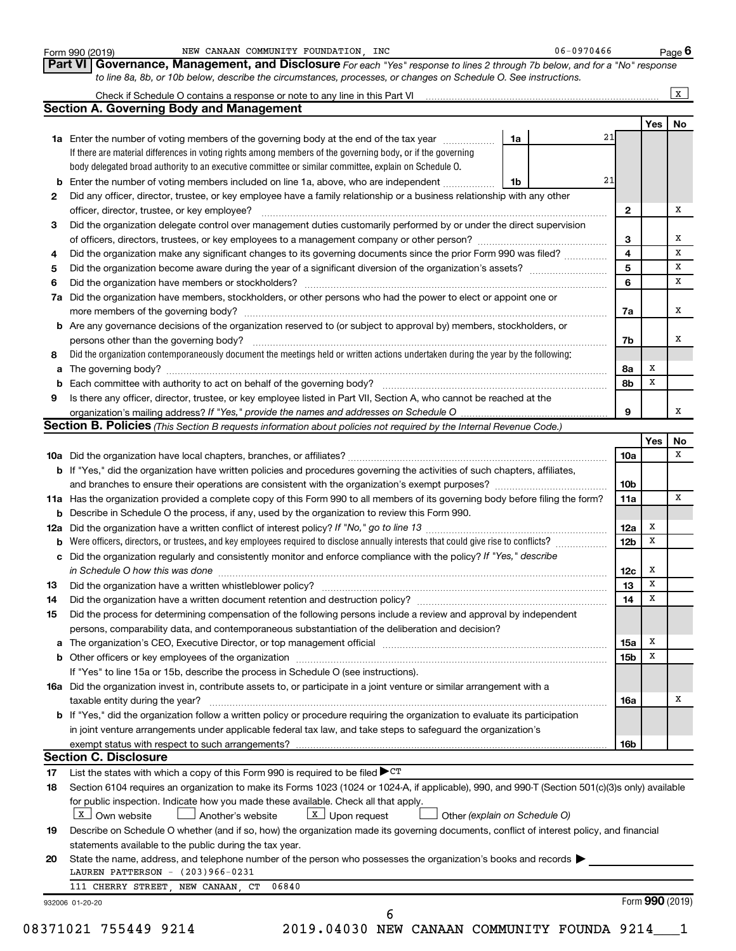|     | to line 8a, 8b, or 10b below, describe the circumstances, processes, or changes on Schedule O. See instructions.                                                              |                         |            |              |
|-----|-------------------------------------------------------------------------------------------------------------------------------------------------------------------------------|-------------------------|------------|--------------|
|     |                                                                                                                                                                               |                         |            | $\mathbf{x}$ |
|     | <b>Section A. Governing Body and Management</b>                                                                                                                               |                         | Yes        | No           |
|     | 1a<br><b>1a</b> Enter the number of voting members of the governing body at the end of the tax year <i>manumum</i>                                                            | 21                      |            |              |
|     | If there are material differences in voting rights among members of the governing body, or if the governing                                                                   |                         |            |              |
|     | body delegated broad authority to an executive committee or similar committee, explain on Schedule O.                                                                         |                         |            |              |
|     | <b>b</b> Enter the number of voting members included on line 1a, above, who are independent<br>1b                                                                             | 21                      |            |              |
| 2   | Did any officer, director, trustee, or key employee have a family relationship or a business relationship with any other                                                      |                         |            |              |
|     | officer, director, trustee, or key employee?                                                                                                                                  | 2                       |            |              |
| 3   | Did the organization delegate control over management duties customarily performed by or under the direct supervision                                                         |                         |            |              |
|     | of officers, directors, trustees, or key employees to a management company or other person?                                                                                   | 3                       |            |              |
| 4   | Did the organization make any significant changes to its governing documents since the prior Form 990 was filed?                                                              | $\overline{\mathbf{4}}$ |            |              |
| 5   |                                                                                                                                                                               | 5                       |            |              |
| 6   |                                                                                                                                                                               | 6                       |            |              |
| 7a  | Did the organization have members, stockholders, or other persons who had the power to elect or appoint one or                                                                |                         |            |              |
|     |                                                                                                                                                                               | 7a                      |            |              |
|     | <b>b</b> Are any governance decisions of the organization reserved to (or subject to approval by) members, stockholders, or                                                   |                         |            |              |
|     | persons other than the governing body?                                                                                                                                        | 7b                      |            |              |
| 8   | Did the organization contemporaneously document the meetings held or written actions undertaken during the year by the following:                                             |                         |            |              |
| а   |                                                                                                                                                                               | 8а                      | х          |              |
| b   |                                                                                                                                                                               | 8b                      | X          |              |
| 9   | Is there any officer, director, trustee, or key employee listed in Part VII, Section A, who cannot be reached at the                                                          |                         |            |              |
|     |                                                                                                                                                                               | 9                       |            |              |
|     | Section B. Policies (This Section B requests information about policies not required by the Internal Revenue Code.)                                                           |                         |            |              |
|     |                                                                                                                                                                               |                         | <b>Yes</b> | No           |
|     |                                                                                                                                                                               | 10a                     |            |              |
|     | b If "Yes," did the organization have written policies and procedures governing the activities of such chapters, affiliates,                                                  |                         |            |              |
|     |                                                                                                                                                                               | 10 <sub>b</sub>         |            |              |
|     | 11a Has the organization provided a complete copy of this Form 990 to all members of its governing body before filing the form?                                               | 11a                     |            |              |
|     | <b>b</b> Describe in Schedule O the process, if any, used by the organization to review this Form 990.                                                                        |                         |            |              |
| 12a |                                                                                                                                                                               | 12a                     | x          |              |
| b   | Were officers, directors, or trustees, and key employees required to disclose annually interests that could give rise to conflicts?                                           | 12 <sub>b</sub>         | х          |              |
|     | c Did the organization regularly and consistently monitor and enforce compliance with the policy? If "Yes," describe                                                          |                         |            |              |
|     |                                                                                                                                                                               | 12c                     | x          |              |
| 13  |                                                                                                                                                                               | 13                      | X          |              |
| 14  | Did the organization have a written document retention and destruction policy? [11] manufaction in the organization have a written document retention and destruction policy? | 14                      | X          |              |
| 15  | Did the process for determining compensation of the following persons include a review and approval by independent                                                            |                         |            |              |
|     | persons, comparability data, and contemporaneous substantiation of the deliberation and decision?                                                                             |                         |            |              |
| а   |                                                                                                                                                                               | 15a                     | х          |              |
|     |                                                                                                                                                                               | 15 <sub>b</sub>         | х          |              |
|     | If "Yes" to line 15a or 15b, describe the process in Schedule O (see instructions).                                                                                           |                         |            |              |
|     | 16a Did the organization invest in, contribute assets to, or participate in a joint venture or similar arrangement with a                                                     |                         |            |              |
|     | taxable entity during the year?                                                                                                                                               | 16a                     |            |              |
|     | <b>b</b> If "Yes," did the organization follow a written policy or procedure requiring the organization to evaluate its participation                                         |                         |            |              |
|     | in joint venture arrangements under applicable federal tax law, and take steps to safeguard the organization's                                                                |                         |            |              |
|     | exempt status with respect to such arrangements?                                                                                                                              | 16b                     |            |              |
|     | <b>Section C. Disclosure</b>                                                                                                                                                  |                         |            |              |
| 17  | List the states with which a copy of this Form 990 is required to be filed $\blacktriangleright$ CT                                                                           |                         |            |              |
| 18  | Section 6104 requires an organization to make its Forms 1023 (1024 or 1024-A, if applicable), 990, and 990-T (Section 501(c)(3)s only) available                              |                         |            |              |
|     | for public inspection. Indicate how you made these available. Check all that apply.<br>$X$ Own website<br>$\lfloor x \rfloor$ Upon request                                    |                         |            |              |
|     | Another's website<br>Other (explain on Schedule O)                                                                                                                            |                         |            |              |
|     | Describe on Schedule O whether (and if so, how) the organization made its governing documents, conflict of interest policy, and financial                                     |                         |            |              |
| 19  |                                                                                                                                                                               |                         |            |              |
|     | statements available to the public during the tax year.                                                                                                                       |                         |            |              |
| 20  | State the name, address, and telephone number of the person who possesses the organization's books and records                                                                |                         |            |              |
|     | LAUREN PATTERSON - (203)966-0231<br>111 CHERRY STREET, NEW CANAAN, CT<br>06840                                                                                                |                         |            |              |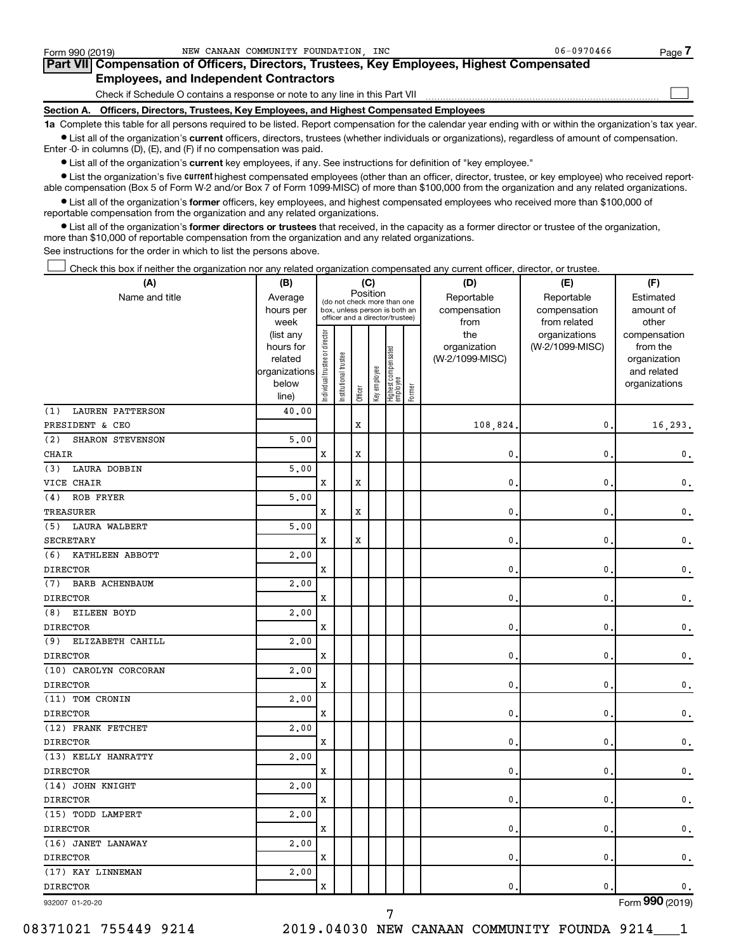| Form 990 (2019)                               |                                                                              |  | NEW CANAAN COMMUNITY FOUNDATION, INC                                                       | $06 - 0970466$ | Page |  |  |  |  |
|-----------------------------------------------|------------------------------------------------------------------------------|--|--------------------------------------------------------------------------------------------|----------------|------|--|--|--|--|
|                                               |                                                                              |  | Part VII Compensation of Officers, Directors, Trustees, Key Employees, Highest Compensated |                |      |  |  |  |  |
| <b>Employees, and Independent Contractors</b> |                                                                              |  |                                                                                            |                |      |  |  |  |  |
|                                               | Check if Schedule O contains a response or note to any line in this Part VII |  |                                                                                            |                |      |  |  |  |  |
|                                               |                                                                              |  | Section A. Officers, Directors, Trustees, Key Employees, and Highest Compensated Employees |                |      |  |  |  |  |

**1a**  Complete this table for all persons required to be listed. Report compensation for the calendar year ending with or within the organization's tax year.  $\bullet$  List all of the organization's current officers, directors, trustees (whether individuals or organizations), regardless of amount of compensation.

Enter -0- in columns (D), (E), and (F) if no compensation was paid.

**•** List all of the organization's current key employees, if any. See instructions for definition of "key employee."

• List the organization's five *current* highest compensated employees (other than an officer, director, trustee, or key employee) who received reportable compensation (Box 5 of Form W-2 and/or Box 7 of Form 1099-MISC) of more than \$100,000 from the organization and any related organizations.

 $\bullet$  List all of the organization's former officers, key employees, and highest compensated employees who received more than \$100,000 of reportable compensation from the organization and any related organizations.

**•** List all of the organization's former directors or trustees that received, in the capacity as a former director or trustee of the organization, more than \$10,000 of reportable compensation from the organization and any related organizations.

See instructions for the order in which to list the persons above.

Check this box if neither the organization nor any related organization compensated any current officer, director, or trustee. †

| (A)                            | (B)                    |                               |                                                                  |             | (C)          |                                 |        | (D)                 | (E)                              | (F)                      |
|--------------------------------|------------------------|-------------------------------|------------------------------------------------------------------|-------------|--------------|---------------------------------|--------|---------------------|----------------------------------|--------------------------|
| Name and title                 | Average                |                               | (do not check more than one                                      |             | Position     |                                 |        | Reportable          | Reportable                       | Estimated                |
|                                | hours per              |                               | box, unless person is both an<br>officer and a director/trustee) |             |              |                                 |        | compensation        | compensation                     | amount of                |
|                                | week                   |                               |                                                                  |             |              |                                 |        | from                | from related                     | other                    |
|                                | (list any<br>hours for |                               |                                                                  |             |              |                                 |        | the<br>organization | organizations<br>(W-2/1099-MISC) | compensation<br>from the |
|                                | related                |                               |                                                                  |             |              |                                 |        | (W-2/1099-MISC)     |                                  | organization             |
|                                | organizations          |                               | trustee                                                          |             |              |                                 |        |                     |                                  | and related              |
|                                | below                  | ndividual trustee or director |                                                                  |             | Key employee |                                 |        |                     |                                  | organizations            |
|                                | line)                  |                               | Institutional t                                                  | Officer     |              | Highest compensated<br>employee | Former |                     |                                  |                          |
| <b>LAUREN PATTERSON</b><br>(1) | 40.00                  |                               |                                                                  |             |              |                                 |        |                     |                                  |                          |
| PRESIDENT & CEO                |                        |                               |                                                                  | X           |              |                                 |        | 108,824             | 0                                | 16,293.                  |
| SHARON STEVENSON<br>(2)        | 5,00                   |                               |                                                                  |             |              |                                 |        |                     |                                  |                          |
| <b>CHAIR</b>                   |                        | X                             |                                                                  | X           |              |                                 |        | $\mathbf{0}$        | $\mathbf 0$                      | $\mathbf{0}$ .           |
| (3)<br>LAURA DOBBIN            | 5,00                   |                               |                                                                  |             |              |                                 |        |                     |                                  |                          |
| VICE CHAIR                     |                        | X                             |                                                                  | X           |              |                                 |        | $\mathbf 0$ .       | 0                                | $\mathbf{0}$ .           |
| ROB FRYER<br>(4)               | 5.00                   |                               |                                                                  |             |              |                                 |        |                     |                                  |                          |
| TREASURER                      |                        | $\mathbf x$                   |                                                                  | $\mathbf x$ |              |                                 |        | 0.                  | 0                                | $\mathsf{0}\,$ .         |
| <b>LAURA WALBERT</b><br>(5)    | 5.00                   |                               |                                                                  |             |              |                                 |        |                     |                                  |                          |
| SECRETARY                      |                        | X                             |                                                                  | X           |              |                                 |        | $\mathbf{0}$        | 0                                | $\mathsf{0}\,.$          |
| KATHLEEN ABBOTT<br>(6)         | 2.00                   |                               |                                                                  |             |              |                                 |        |                     |                                  |                          |
| <b>DIRECTOR</b>                |                        | X                             |                                                                  |             |              |                                 |        | 0.                  | $\mathbf 0$                      | $\mathsf{0}\,.$          |
| (7)<br>BARB ACHENBAUM          | 2,00                   |                               |                                                                  |             |              |                                 |        |                     |                                  |                          |
| <b>DIRECTOR</b>                |                        | X                             |                                                                  |             |              |                                 |        | $\mathbf{0}$ .      | 0                                | $\mathbf{0}$ .           |
| (8)<br>EILEEN BOYD             | 2,00                   |                               |                                                                  |             |              |                                 |        |                     |                                  |                          |
| <b>DIRECTOR</b>                |                        | X                             |                                                                  |             |              |                                 |        | $\mathbf 0$ .       | 0                                | $\mathbf{0}$ .           |
| (9)<br>ELIZABETH CAHILL        | 2.00                   |                               |                                                                  |             |              |                                 |        |                     |                                  |                          |
| <b>DIRECTOR</b>                |                        | $\mathbf x$                   |                                                                  |             |              |                                 |        | $\mathbf{0}$        | 0                                | $\mathsf{0}\,.$          |
| (10) CAROLYN CORCORAN          | 2.00                   |                               |                                                                  |             |              |                                 |        |                     |                                  |                          |
| <b>DIRECTOR</b>                |                        | X                             |                                                                  |             |              |                                 |        | $\mathbf 0$ .       | $\mathbf 0$                      | $\mathsf{0}\,.$          |
| (11) TOM CRONIN                | 2,00                   |                               |                                                                  |             |              |                                 |        |                     |                                  |                          |
| <b>DIRECTOR</b>                |                        | X                             |                                                                  |             |              |                                 |        | $\mathbf{0}$        | 0                                | $\mathsf{0}\,.$          |
| (12) FRANK FETCHET             | 2.00                   |                               |                                                                  |             |              |                                 |        |                     |                                  |                          |
| <b>DIRECTOR</b>                |                        | x                             |                                                                  |             |              |                                 |        | 0                   | 0                                | $\mathbf{0}$ .           |
| (13) KELLY HANRATTY            | 2,00                   |                               |                                                                  |             |              |                                 |        |                     |                                  |                          |
| <b>DIRECTOR</b>                |                        | $\mathbf x$                   |                                                                  |             |              |                                 |        | $\mathbf{0}$ .      | 0                                | $\mathbf{0}$ .           |
| (14) JOHN KNIGHT               | 2.00                   |                               |                                                                  |             |              |                                 |        |                     |                                  |                          |
| <b>DIRECTOR</b>                |                        | X                             |                                                                  |             |              |                                 |        | $\mathbf{0}$        | 0                                | $\mathbf{0}$ .           |
| (15) TODD LAMPERT              | 2,00                   |                               |                                                                  |             |              |                                 |        |                     |                                  |                          |
| <b>DIRECTOR</b>                |                        | X                             |                                                                  |             |              |                                 |        | 0.                  | $\mathbf 0$                      | $\mathbf 0$ .            |
| (16) JANET LANAWAY             | 2,00                   |                               |                                                                  |             |              |                                 |        |                     |                                  |                          |
| <b>DIRECTOR</b>                |                        | X                             |                                                                  |             |              |                                 |        | $\mathbf{0}$ .      | 0                                | $\mathbf 0$ .            |
| (17) KAY LINNEMAN              | 2,00                   |                               |                                                                  |             |              |                                 |        |                     |                                  |                          |
| <b>DIRECTOR</b>                |                        | X                             |                                                                  |             |              |                                 |        | 0.                  | 0                                | $\mathbf{0}$ .           |
| 932007 01-20-20                |                        |                               |                                                                  |             |              |                                 |        |                     |                                  | Form 990 (2019)          |

Form (2019) **990**

7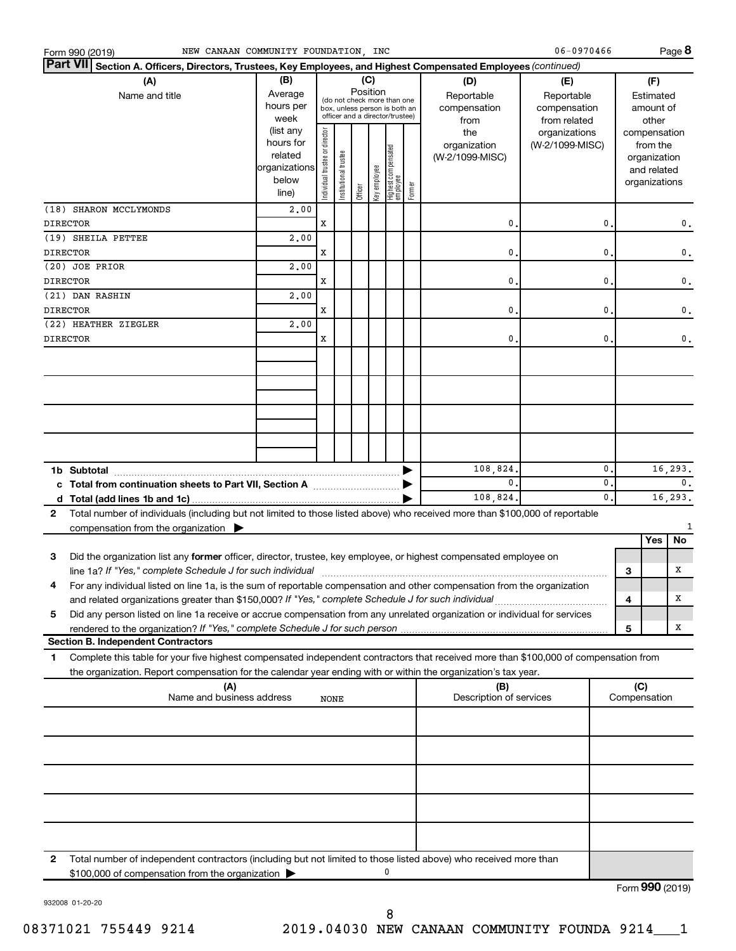| <b>Part VII</b><br>Section A. Officers, Directors, Trustees, Key Employees, and Highest Compensated Employees (continued)<br>(B)<br>(C)<br>(A)<br>(D)<br>(E)<br>(F)<br>Position<br>Average<br>Name and title<br>Reportable<br>Reportable<br>Estimated<br>(do not check more than one<br>hours per<br>compensation<br>compensation<br>amount of<br>box, unless person is both an<br>officer and a director/trustee)<br>week<br>from related<br>other<br>from<br>(list any<br>Individual trustee or director<br>the<br>organizations<br>compensation<br>hours for<br>organization<br>(W-2/1099-MISC)<br>from the<br>Highest compensated<br>employee<br>Institutional trustee<br>related<br>(W-2/1099-MISC)<br>organization<br>organizations<br>Key employee<br>and related<br>below<br>organizations<br>Former<br>Officer<br>line)<br>2,00<br>(18) SHARON MCCLYMONDS<br>X<br><b>DIRECTOR</b><br>0<br>$\mathbf 0$<br>0.<br>(19) SHEILA PETTEE<br>2,00<br>х<br><b>DIRECTOR</b><br>0<br>0<br>0.<br>(20) JOE PRIOR<br>2,00<br>х<br>0<br>0<br><b>DIRECTOR</b><br>0.<br>(21) DAN RASHIN<br>2,00<br>х<br>0<br>0<br><b>DIRECTOR</b><br>0.<br>2,00<br>(22) HEATHER ZIEGLER<br>х<br><b>DIRECTOR</b><br>0<br>$\mathbf 0$<br>0.<br>108,824.<br>$\mathbf{0}$<br>16,293.<br>$\mathbf{0}$<br>$\mathbf{0}$<br>0.<br>c Total from continuation sheets to Part VII, Section A manufactured by<br>0.<br>16,293.<br>108,824.<br>Total number of individuals (including but not limited to those listed above) who received more than \$100,000 of reportable<br>$\mathbf{2}$<br>compensation from the organization $\blacktriangleright$<br>Yes<br>No<br>Did the organization list any former officer, director, trustee, key employee, or highest compensated employee on<br>3<br>line 1a? If "Yes," complete Schedule J for such individual manufacture content to the set of the set of the schedule J for such individual<br>х<br>3<br>For any individual listed on line 1a, is the sum of reportable compensation and other compensation from the organization<br>4<br>$\overline{\mathbf{4}}$<br>х<br>Did any person listed on line 1a receive or accrue compensation from any unrelated organization or individual for services<br>5<br>x<br>5<br><b>Section B. Independent Contractors</b><br>Complete this table for your five highest compensated independent contractors that received more than \$100,000 of compensation from<br>1<br>the organization. Report compensation for the calendar year ending with or within the organization's tax year.<br>(A)<br>(C)<br>(B)<br>Name and business address<br>Description of services<br>Compensation<br>NONE<br>$\mathbf{2}$<br>Total number of independent contractors (including but not limited to those listed above) who received more than<br>\$100,000 of compensation from the organization<br>$000 \times 20$ | Form 990 (2019) | NEW CANAAN COMMUNITY FOUNDATION, INC |  |  |  |  | 06-0970466 |  | Page 8 |
|------------------------------------------------------------------------------------------------------------------------------------------------------------------------------------------------------------------------------------------------------------------------------------------------------------------------------------------------------------------------------------------------------------------------------------------------------------------------------------------------------------------------------------------------------------------------------------------------------------------------------------------------------------------------------------------------------------------------------------------------------------------------------------------------------------------------------------------------------------------------------------------------------------------------------------------------------------------------------------------------------------------------------------------------------------------------------------------------------------------------------------------------------------------------------------------------------------------------------------------------------------------------------------------------------------------------------------------------------------------------------------------------------------------------------------------------------------------------------------------------------------------------------------------------------------------------------------------------------------------------------------------------------------------------------------------------------------------------------------------------------------------------------------------------------------------------------------------------------------------------------------------------------------------------------------------------------------------------------------------------------------------------------------------------------------------------------------------------------------------------------------------------------------------------------------------------------------------------------------------------------------------------------------------------------------------------------------------------------------------------------------------------------------------------------------------------------------------------------------------------------------------------------------------------------------------------------------------------------------------------------------------------------------------------------------------------------------------------------------------------------------------------------------------------------------------------------------------------------------|-----------------|--------------------------------------|--|--|--|--|------------|--|--------|
|                                                                                                                                                                                                                                                                                                                                                                                                                                                                                                                                                                                                                                                                                                                                                                                                                                                                                                                                                                                                                                                                                                                                                                                                                                                                                                                                                                                                                                                                                                                                                                                                                                                                                                                                                                                                                                                                                                                                                                                                                                                                                                                                                                                                                                                                                                                                                                                                                                                                                                                                                                                                                                                                                                                                                                                                                                                            |                 |                                      |  |  |  |  |            |  |        |
|                                                                                                                                                                                                                                                                                                                                                                                                                                                                                                                                                                                                                                                                                                                                                                                                                                                                                                                                                                                                                                                                                                                                                                                                                                                                                                                                                                                                                                                                                                                                                                                                                                                                                                                                                                                                                                                                                                                                                                                                                                                                                                                                                                                                                                                                                                                                                                                                                                                                                                                                                                                                                                                                                                                                                                                                                                                            |                 |                                      |  |  |  |  |            |  |        |
|                                                                                                                                                                                                                                                                                                                                                                                                                                                                                                                                                                                                                                                                                                                                                                                                                                                                                                                                                                                                                                                                                                                                                                                                                                                                                                                                                                                                                                                                                                                                                                                                                                                                                                                                                                                                                                                                                                                                                                                                                                                                                                                                                                                                                                                                                                                                                                                                                                                                                                                                                                                                                                                                                                                                                                                                                                                            |                 |                                      |  |  |  |  |            |  |        |
|                                                                                                                                                                                                                                                                                                                                                                                                                                                                                                                                                                                                                                                                                                                                                                                                                                                                                                                                                                                                                                                                                                                                                                                                                                                                                                                                                                                                                                                                                                                                                                                                                                                                                                                                                                                                                                                                                                                                                                                                                                                                                                                                                                                                                                                                                                                                                                                                                                                                                                                                                                                                                                                                                                                                                                                                                                                            |                 |                                      |  |  |  |  |            |  |        |
|                                                                                                                                                                                                                                                                                                                                                                                                                                                                                                                                                                                                                                                                                                                                                                                                                                                                                                                                                                                                                                                                                                                                                                                                                                                                                                                                                                                                                                                                                                                                                                                                                                                                                                                                                                                                                                                                                                                                                                                                                                                                                                                                                                                                                                                                                                                                                                                                                                                                                                                                                                                                                                                                                                                                                                                                                                                            |                 |                                      |  |  |  |  |            |  |        |
|                                                                                                                                                                                                                                                                                                                                                                                                                                                                                                                                                                                                                                                                                                                                                                                                                                                                                                                                                                                                                                                                                                                                                                                                                                                                                                                                                                                                                                                                                                                                                                                                                                                                                                                                                                                                                                                                                                                                                                                                                                                                                                                                                                                                                                                                                                                                                                                                                                                                                                                                                                                                                                                                                                                                                                                                                                                            |                 |                                      |  |  |  |  |            |  |        |
|                                                                                                                                                                                                                                                                                                                                                                                                                                                                                                                                                                                                                                                                                                                                                                                                                                                                                                                                                                                                                                                                                                                                                                                                                                                                                                                                                                                                                                                                                                                                                                                                                                                                                                                                                                                                                                                                                                                                                                                                                                                                                                                                                                                                                                                                                                                                                                                                                                                                                                                                                                                                                                                                                                                                                                                                                                                            |                 |                                      |  |  |  |  |            |  |        |
|                                                                                                                                                                                                                                                                                                                                                                                                                                                                                                                                                                                                                                                                                                                                                                                                                                                                                                                                                                                                                                                                                                                                                                                                                                                                                                                                                                                                                                                                                                                                                                                                                                                                                                                                                                                                                                                                                                                                                                                                                                                                                                                                                                                                                                                                                                                                                                                                                                                                                                                                                                                                                                                                                                                                                                                                                                                            |                 |                                      |  |  |  |  |            |  |        |
|                                                                                                                                                                                                                                                                                                                                                                                                                                                                                                                                                                                                                                                                                                                                                                                                                                                                                                                                                                                                                                                                                                                                                                                                                                                                                                                                                                                                                                                                                                                                                                                                                                                                                                                                                                                                                                                                                                                                                                                                                                                                                                                                                                                                                                                                                                                                                                                                                                                                                                                                                                                                                                                                                                                                                                                                                                                            |                 |                                      |  |  |  |  |            |  |        |
|                                                                                                                                                                                                                                                                                                                                                                                                                                                                                                                                                                                                                                                                                                                                                                                                                                                                                                                                                                                                                                                                                                                                                                                                                                                                                                                                                                                                                                                                                                                                                                                                                                                                                                                                                                                                                                                                                                                                                                                                                                                                                                                                                                                                                                                                                                                                                                                                                                                                                                                                                                                                                                                                                                                                                                                                                                                            |                 |                                      |  |  |  |  |            |  |        |
|                                                                                                                                                                                                                                                                                                                                                                                                                                                                                                                                                                                                                                                                                                                                                                                                                                                                                                                                                                                                                                                                                                                                                                                                                                                                                                                                                                                                                                                                                                                                                                                                                                                                                                                                                                                                                                                                                                                                                                                                                                                                                                                                                                                                                                                                                                                                                                                                                                                                                                                                                                                                                                                                                                                                                                                                                                                            |                 |                                      |  |  |  |  |            |  |        |
|                                                                                                                                                                                                                                                                                                                                                                                                                                                                                                                                                                                                                                                                                                                                                                                                                                                                                                                                                                                                                                                                                                                                                                                                                                                                                                                                                                                                                                                                                                                                                                                                                                                                                                                                                                                                                                                                                                                                                                                                                                                                                                                                                                                                                                                                                                                                                                                                                                                                                                                                                                                                                                                                                                                                                                                                                                                            |                 |                                      |  |  |  |  |            |  |        |
|                                                                                                                                                                                                                                                                                                                                                                                                                                                                                                                                                                                                                                                                                                                                                                                                                                                                                                                                                                                                                                                                                                                                                                                                                                                                                                                                                                                                                                                                                                                                                                                                                                                                                                                                                                                                                                                                                                                                                                                                                                                                                                                                                                                                                                                                                                                                                                                                                                                                                                                                                                                                                                                                                                                                                                                                                                                            |                 |                                      |  |  |  |  |            |  |        |
|                                                                                                                                                                                                                                                                                                                                                                                                                                                                                                                                                                                                                                                                                                                                                                                                                                                                                                                                                                                                                                                                                                                                                                                                                                                                                                                                                                                                                                                                                                                                                                                                                                                                                                                                                                                                                                                                                                                                                                                                                                                                                                                                                                                                                                                                                                                                                                                                                                                                                                                                                                                                                                                                                                                                                                                                                                                            |                 |                                      |  |  |  |  |            |  |        |
|                                                                                                                                                                                                                                                                                                                                                                                                                                                                                                                                                                                                                                                                                                                                                                                                                                                                                                                                                                                                                                                                                                                                                                                                                                                                                                                                                                                                                                                                                                                                                                                                                                                                                                                                                                                                                                                                                                                                                                                                                                                                                                                                                                                                                                                                                                                                                                                                                                                                                                                                                                                                                                                                                                                                                                                                                                                            |                 |                                      |  |  |  |  |            |  |        |
|                                                                                                                                                                                                                                                                                                                                                                                                                                                                                                                                                                                                                                                                                                                                                                                                                                                                                                                                                                                                                                                                                                                                                                                                                                                                                                                                                                                                                                                                                                                                                                                                                                                                                                                                                                                                                                                                                                                                                                                                                                                                                                                                                                                                                                                                                                                                                                                                                                                                                                                                                                                                                                                                                                                                                                                                                                                            |                 |                                      |  |  |  |  |            |  |        |
|                                                                                                                                                                                                                                                                                                                                                                                                                                                                                                                                                                                                                                                                                                                                                                                                                                                                                                                                                                                                                                                                                                                                                                                                                                                                                                                                                                                                                                                                                                                                                                                                                                                                                                                                                                                                                                                                                                                                                                                                                                                                                                                                                                                                                                                                                                                                                                                                                                                                                                                                                                                                                                                                                                                                                                                                                                                            |                 |                                      |  |  |  |  |            |  |        |
|                                                                                                                                                                                                                                                                                                                                                                                                                                                                                                                                                                                                                                                                                                                                                                                                                                                                                                                                                                                                                                                                                                                                                                                                                                                                                                                                                                                                                                                                                                                                                                                                                                                                                                                                                                                                                                                                                                                                                                                                                                                                                                                                                                                                                                                                                                                                                                                                                                                                                                                                                                                                                                                                                                                                                                                                                                                            |                 |                                      |  |  |  |  |            |  |        |
|                                                                                                                                                                                                                                                                                                                                                                                                                                                                                                                                                                                                                                                                                                                                                                                                                                                                                                                                                                                                                                                                                                                                                                                                                                                                                                                                                                                                                                                                                                                                                                                                                                                                                                                                                                                                                                                                                                                                                                                                                                                                                                                                                                                                                                                                                                                                                                                                                                                                                                                                                                                                                                                                                                                                                                                                                                                            |                 |                                      |  |  |  |  |            |  |        |
|                                                                                                                                                                                                                                                                                                                                                                                                                                                                                                                                                                                                                                                                                                                                                                                                                                                                                                                                                                                                                                                                                                                                                                                                                                                                                                                                                                                                                                                                                                                                                                                                                                                                                                                                                                                                                                                                                                                                                                                                                                                                                                                                                                                                                                                                                                                                                                                                                                                                                                                                                                                                                                                                                                                                                                                                                                                            |                 |                                      |  |  |  |  |            |  |        |
|                                                                                                                                                                                                                                                                                                                                                                                                                                                                                                                                                                                                                                                                                                                                                                                                                                                                                                                                                                                                                                                                                                                                                                                                                                                                                                                                                                                                                                                                                                                                                                                                                                                                                                                                                                                                                                                                                                                                                                                                                                                                                                                                                                                                                                                                                                                                                                                                                                                                                                                                                                                                                                                                                                                                                                                                                                                            |                 |                                      |  |  |  |  |            |  |        |
|                                                                                                                                                                                                                                                                                                                                                                                                                                                                                                                                                                                                                                                                                                                                                                                                                                                                                                                                                                                                                                                                                                                                                                                                                                                                                                                                                                                                                                                                                                                                                                                                                                                                                                                                                                                                                                                                                                                                                                                                                                                                                                                                                                                                                                                                                                                                                                                                                                                                                                                                                                                                                                                                                                                                                                                                                                                            |                 |                                      |  |  |  |  |            |  |        |
|                                                                                                                                                                                                                                                                                                                                                                                                                                                                                                                                                                                                                                                                                                                                                                                                                                                                                                                                                                                                                                                                                                                                                                                                                                                                                                                                                                                                                                                                                                                                                                                                                                                                                                                                                                                                                                                                                                                                                                                                                                                                                                                                                                                                                                                                                                                                                                                                                                                                                                                                                                                                                                                                                                                                                                                                                                                            |                 |                                      |  |  |  |  |            |  |        |
|                                                                                                                                                                                                                                                                                                                                                                                                                                                                                                                                                                                                                                                                                                                                                                                                                                                                                                                                                                                                                                                                                                                                                                                                                                                                                                                                                                                                                                                                                                                                                                                                                                                                                                                                                                                                                                                                                                                                                                                                                                                                                                                                                                                                                                                                                                                                                                                                                                                                                                                                                                                                                                                                                                                                                                                                                                                            |                 |                                      |  |  |  |  |            |  |        |
|                                                                                                                                                                                                                                                                                                                                                                                                                                                                                                                                                                                                                                                                                                                                                                                                                                                                                                                                                                                                                                                                                                                                                                                                                                                                                                                                                                                                                                                                                                                                                                                                                                                                                                                                                                                                                                                                                                                                                                                                                                                                                                                                                                                                                                                                                                                                                                                                                                                                                                                                                                                                                                                                                                                                                                                                                                                            |                 |                                      |  |  |  |  |            |  |        |
|                                                                                                                                                                                                                                                                                                                                                                                                                                                                                                                                                                                                                                                                                                                                                                                                                                                                                                                                                                                                                                                                                                                                                                                                                                                                                                                                                                                                                                                                                                                                                                                                                                                                                                                                                                                                                                                                                                                                                                                                                                                                                                                                                                                                                                                                                                                                                                                                                                                                                                                                                                                                                                                                                                                                                                                                                                                            |                 |                                      |  |  |  |  |            |  |        |
|                                                                                                                                                                                                                                                                                                                                                                                                                                                                                                                                                                                                                                                                                                                                                                                                                                                                                                                                                                                                                                                                                                                                                                                                                                                                                                                                                                                                                                                                                                                                                                                                                                                                                                                                                                                                                                                                                                                                                                                                                                                                                                                                                                                                                                                                                                                                                                                                                                                                                                                                                                                                                                                                                                                                                                                                                                                            |                 |                                      |  |  |  |  |            |  |        |
|                                                                                                                                                                                                                                                                                                                                                                                                                                                                                                                                                                                                                                                                                                                                                                                                                                                                                                                                                                                                                                                                                                                                                                                                                                                                                                                                                                                                                                                                                                                                                                                                                                                                                                                                                                                                                                                                                                                                                                                                                                                                                                                                                                                                                                                                                                                                                                                                                                                                                                                                                                                                                                                                                                                                                                                                                                                            |                 |                                      |  |  |  |  |            |  |        |
|                                                                                                                                                                                                                                                                                                                                                                                                                                                                                                                                                                                                                                                                                                                                                                                                                                                                                                                                                                                                                                                                                                                                                                                                                                                                                                                                                                                                                                                                                                                                                                                                                                                                                                                                                                                                                                                                                                                                                                                                                                                                                                                                                                                                                                                                                                                                                                                                                                                                                                                                                                                                                                                                                                                                                                                                                                                            |                 |                                      |  |  |  |  |            |  |        |
|                                                                                                                                                                                                                                                                                                                                                                                                                                                                                                                                                                                                                                                                                                                                                                                                                                                                                                                                                                                                                                                                                                                                                                                                                                                                                                                                                                                                                                                                                                                                                                                                                                                                                                                                                                                                                                                                                                                                                                                                                                                                                                                                                                                                                                                                                                                                                                                                                                                                                                                                                                                                                                                                                                                                                                                                                                                            |                 |                                      |  |  |  |  |            |  |        |
|                                                                                                                                                                                                                                                                                                                                                                                                                                                                                                                                                                                                                                                                                                                                                                                                                                                                                                                                                                                                                                                                                                                                                                                                                                                                                                                                                                                                                                                                                                                                                                                                                                                                                                                                                                                                                                                                                                                                                                                                                                                                                                                                                                                                                                                                                                                                                                                                                                                                                                                                                                                                                                                                                                                                                                                                                                                            |                 |                                      |  |  |  |  |            |  |        |
|                                                                                                                                                                                                                                                                                                                                                                                                                                                                                                                                                                                                                                                                                                                                                                                                                                                                                                                                                                                                                                                                                                                                                                                                                                                                                                                                                                                                                                                                                                                                                                                                                                                                                                                                                                                                                                                                                                                                                                                                                                                                                                                                                                                                                                                                                                                                                                                                                                                                                                                                                                                                                                                                                                                                                                                                                                                            |                 |                                      |  |  |  |  |            |  |        |
|                                                                                                                                                                                                                                                                                                                                                                                                                                                                                                                                                                                                                                                                                                                                                                                                                                                                                                                                                                                                                                                                                                                                                                                                                                                                                                                                                                                                                                                                                                                                                                                                                                                                                                                                                                                                                                                                                                                                                                                                                                                                                                                                                                                                                                                                                                                                                                                                                                                                                                                                                                                                                                                                                                                                                                                                                                                            |                 |                                      |  |  |  |  |            |  |        |
|                                                                                                                                                                                                                                                                                                                                                                                                                                                                                                                                                                                                                                                                                                                                                                                                                                                                                                                                                                                                                                                                                                                                                                                                                                                                                                                                                                                                                                                                                                                                                                                                                                                                                                                                                                                                                                                                                                                                                                                                                                                                                                                                                                                                                                                                                                                                                                                                                                                                                                                                                                                                                                                                                                                                                                                                                                                            |                 |                                      |  |  |  |  |            |  |        |
|                                                                                                                                                                                                                                                                                                                                                                                                                                                                                                                                                                                                                                                                                                                                                                                                                                                                                                                                                                                                                                                                                                                                                                                                                                                                                                                                                                                                                                                                                                                                                                                                                                                                                                                                                                                                                                                                                                                                                                                                                                                                                                                                                                                                                                                                                                                                                                                                                                                                                                                                                                                                                                                                                                                                                                                                                                                            |                 |                                      |  |  |  |  |            |  |        |
|                                                                                                                                                                                                                                                                                                                                                                                                                                                                                                                                                                                                                                                                                                                                                                                                                                                                                                                                                                                                                                                                                                                                                                                                                                                                                                                                                                                                                                                                                                                                                                                                                                                                                                                                                                                                                                                                                                                                                                                                                                                                                                                                                                                                                                                                                                                                                                                                                                                                                                                                                                                                                                                                                                                                                                                                                                                            |                 |                                      |  |  |  |  |            |  |        |
|                                                                                                                                                                                                                                                                                                                                                                                                                                                                                                                                                                                                                                                                                                                                                                                                                                                                                                                                                                                                                                                                                                                                                                                                                                                                                                                                                                                                                                                                                                                                                                                                                                                                                                                                                                                                                                                                                                                                                                                                                                                                                                                                                                                                                                                                                                                                                                                                                                                                                                                                                                                                                                                                                                                                                                                                                                                            |                 |                                      |  |  |  |  |            |  |        |
|                                                                                                                                                                                                                                                                                                                                                                                                                                                                                                                                                                                                                                                                                                                                                                                                                                                                                                                                                                                                                                                                                                                                                                                                                                                                                                                                                                                                                                                                                                                                                                                                                                                                                                                                                                                                                                                                                                                                                                                                                                                                                                                                                                                                                                                                                                                                                                                                                                                                                                                                                                                                                                                                                                                                                                                                                                                            |                 |                                      |  |  |  |  |            |  |        |
|                                                                                                                                                                                                                                                                                                                                                                                                                                                                                                                                                                                                                                                                                                                                                                                                                                                                                                                                                                                                                                                                                                                                                                                                                                                                                                                                                                                                                                                                                                                                                                                                                                                                                                                                                                                                                                                                                                                                                                                                                                                                                                                                                                                                                                                                                                                                                                                                                                                                                                                                                                                                                                                                                                                                                                                                                                                            |                 |                                      |  |  |  |  |            |  |        |
|                                                                                                                                                                                                                                                                                                                                                                                                                                                                                                                                                                                                                                                                                                                                                                                                                                                                                                                                                                                                                                                                                                                                                                                                                                                                                                                                                                                                                                                                                                                                                                                                                                                                                                                                                                                                                                                                                                                                                                                                                                                                                                                                                                                                                                                                                                                                                                                                                                                                                                                                                                                                                                                                                                                                                                                                                                                            |                 |                                      |  |  |  |  |            |  |        |

932008 01-20-20

Form (2019) **990**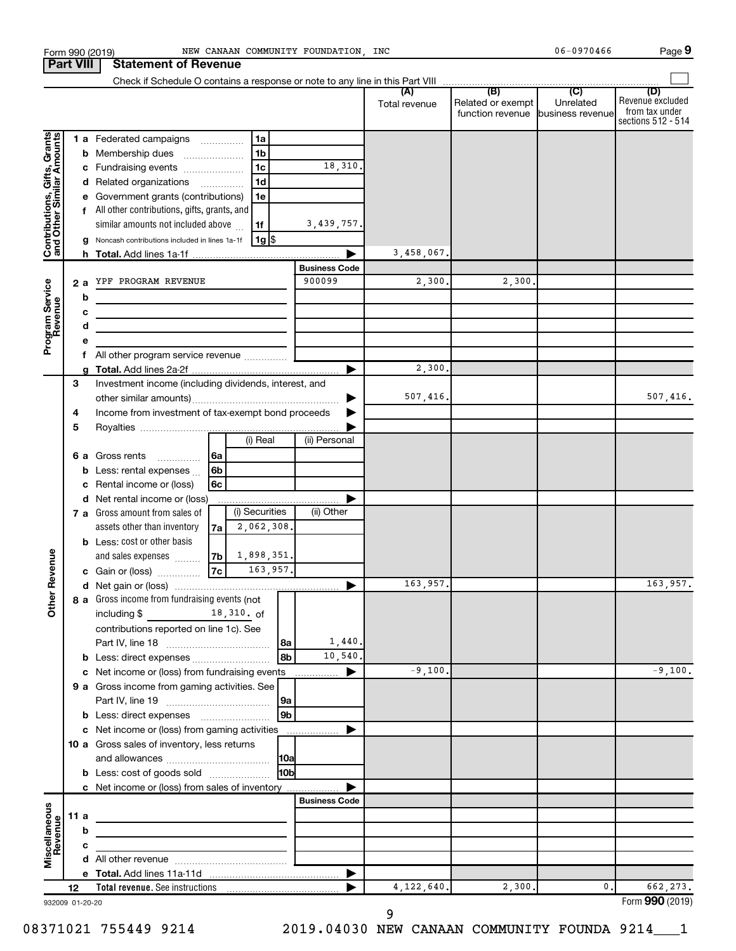| <b>Part VIII</b>                                          |     |        | <b>Statement of Revenue</b>                                                                  |                                                   |                      |               |                                                        |           |                                                                 |
|-----------------------------------------------------------|-----|--------|----------------------------------------------------------------------------------------------|---------------------------------------------------|----------------------|---------------|--------------------------------------------------------|-----------|-----------------------------------------------------------------|
|                                                           |     |        |                                                                                              |                                                   |                      |               |                                                        |           |                                                                 |
|                                                           |     |        |                                                                                              |                                                   |                      | Total revenue | Related or exempt<br>function revenue business revenue | Unrelated | (D)<br>Revenue excluded<br>from tax under<br>sections 512 - 514 |
|                                                           |     |        | 1 a Federated campaigns                                                                      | 1a                                                |                      |               |                                                        |           |                                                                 |
|                                                           |     |        | <b>b</b> Membership dues                                                                     | 1 <sub>b</sub>                                    |                      |               |                                                        |           |                                                                 |
| Contributions, Gifts, Grants<br>and Other Similar Amounts |     |        | c Fundraising events                                                                         | 1 <sub>c</sub>                                    | 18,310.              |               |                                                        |           |                                                                 |
|                                                           |     |        | d Related organizations                                                                      | 1 <sub>d</sub>                                    |                      |               |                                                        |           |                                                                 |
|                                                           |     |        | Government grants (contributions)                                                            | 1e                                                |                      |               |                                                        |           |                                                                 |
|                                                           |     |        | f All other contributions, gifts, grants, and                                                |                                                   |                      |               |                                                        |           |                                                                 |
|                                                           |     |        | similar amounts not included above                                                           | 1f                                                | 3,439,757.           |               |                                                        |           |                                                                 |
|                                                           |     |        | Noncash contributions included in lines 1a-1f                                                | $1g$ $\frac{1}{3}$                                |                      |               |                                                        |           |                                                                 |
|                                                           |     |        |                                                                                              |                                                   |                      | 3,458,067.    |                                                        |           |                                                                 |
|                                                           |     |        |                                                                                              |                                                   | <b>Business Code</b> |               |                                                        |           |                                                                 |
| Program Service<br>Revenue                                |     | 2a     | YPF PROGRAM REVENUE                                                                          |                                                   | 900099               | 2,300.        | 2,300.                                                 |           |                                                                 |
|                                                           |     | b      |                                                                                              |                                                   |                      |               |                                                        |           |                                                                 |
|                                                           |     | с      | the control of the control of the control of the control of the control of                   |                                                   |                      |               |                                                        |           |                                                                 |
|                                                           |     | d      | <u> 1989 - Johann Barbara, martxa alemaniar a</u>                                            |                                                   |                      |               |                                                        |           |                                                                 |
|                                                           |     | е<br>f | All other program service revenue  [                                                         |                                                   |                      |               |                                                        |           |                                                                 |
|                                                           |     |        |                                                                                              |                                                   | ►                    | 2,300.        |                                                        |           |                                                                 |
|                                                           | 3   |        | Investment income (including dividends, interest, and                                        |                                                   |                      |               |                                                        |           |                                                                 |
|                                                           |     |        |                                                                                              |                                                   |                      | 507,416.      |                                                        |           | 507,416.                                                        |
|                                                           | 4   |        | Income from investment of tax-exempt bond proceeds                                           |                                                   |                      |               |                                                        |           |                                                                 |
|                                                           | 5   |        |                                                                                              |                                                   |                      |               |                                                        |           |                                                                 |
|                                                           |     |        |                                                                                              | (i) Real                                          | (ii) Personal        |               |                                                        |           |                                                                 |
|                                                           |     |        | 6 a Gross rents<br>$\overline{\phantom{a}}$                                                  | 6a                                                |                      |               |                                                        |           |                                                                 |
|                                                           |     | b      | Less: rental expenses                                                                        | 6b                                                |                      |               |                                                        |           |                                                                 |
|                                                           |     | c      | Rental income or (loss)                                                                      | 6c                                                |                      |               |                                                        |           |                                                                 |
|                                                           |     |        | d Net rental income or (loss)                                                                |                                                   |                      |               |                                                        |           |                                                                 |
|                                                           |     |        | 7 a Gross amount from sales of                                                               | (i) Securities                                    | (ii) Other           |               |                                                        |           |                                                                 |
|                                                           |     |        | assets other than inventory<br><b>b</b> Less: cost or other basis                            | 2,062,308.<br>7a                                  |                      |               |                                                        |           |                                                                 |
|                                                           |     |        | and sales expenses                                                                           | 1,898,351.<br> 7 <sub>b</sub>                     |                      |               |                                                        |           |                                                                 |
|                                                           |     |        | c Gain or (loss)                                                                             | 7c <br>163,957.                                   |                      |               |                                                        |           |                                                                 |
| Revenue                                                   |     |        |                                                                                              |                                                   |                      | 163,957.      |                                                        |           | 163,957.                                                        |
| ৯                                                         |     |        | 8 a Gross income from fundraising events (not                                                |                                                   |                      |               |                                                        |           |                                                                 |
| Ĕ                                                         |     |        | including \$                                                                                 | 18,310. of                                        |                      |               |                                                        |           |                                                                 |
|                                                           |     |        | contributions reported on line 1c). See                                                      |                                                   |                      |               |                                                        |           |                                                                 |
|                                                           |     |        |                                                                                              |                                                   | 1,440.<br>l 8a       |               |                                                        |           |                                                                 |
|                                                           |     |        | <b>b</b> Less: direct expenses                                                               |                                                   | 10,540.<br>8b        |               |                                                        |           |                                                                 |
|                                                           |     |        | c Net income or (loss) from fundraising events                                               |                                                   | ▶                    | $-9,100.$     |                                                        |           | $-9,100.$                                                       |
|                                                           |     |        | 9 a Gross income from gaming activities. See                                                 |                                                   |                      |               |                                                        |           |                                                                 |
|                                                           |     |        |                                                                                              |                                                   |                      |               |                                                        |           |                                                                 |
|                                                           |     |        |                                                                                              |                                                   | 9b                   |               |                                                        |           |                                                                 |
|                                                           |     |        | c Net income or (loss) from gaming activities<br>10 a Gross sales of inventory, less returns |                                                   |                      |               |                                                        |           |                                                                 |
|                                                           |     |        |                                                                                              |                                                   |                      |               |                                                        |           |                                                                 |
|                                                           |     |        | <b>b</b> Less: cost of goods sold                                                            |                                                   | l10bl                |               |                                                        |           |                                                                 |
|                                                           |     |        | c Net income or (loss) from sales of inventory                                               |                                                   |                      |               |                                                        |           |                                                                 |
|                                                           |     |        |                                                                                              |                                                   | <b>Business Code</b> |               |                                                        |           |                                                                 |
| Miscellaneous<br>Revenue                                  | 11a |        |                                                                                              | <u> 1980 - Johann Barbara, martxa alemaniar a</u> |                      |               |                                                        |           |                                                                 |
|                                                           |     | b      |                                                                                              |                                                   |                      |               |                                                        |           |                                                                 |
|                                                           |     | c      |                                                                                              | <u> 1989 - Johann Barbara, martxa al</u>          |                      |               |                                                        |           |                                                                 |
|                                                           |     |        |                                                                                              |                                                   |                      |               |                                                        |           |                                                                 |
|                                                           |     |        |                                                                                              |                                                   | ▶                    |               |                                                        |           |                                                                 |
|                                                           | 12  |        |                                                                                              |                                                   |                      | 4, 122, 640.  | 2,300.                                                 | 0.        | 662,273.                                                        |
| 932009 01-20-20                                           |     |        |                                                                                              |                                                   |                      |               |                                                        |           | Form 990 (2019)                                                 |

Form 990 (2019) NEW CANAAN COMMUNITY FOUNDATION, INC CONNECTRITION 06-0970466 Page

932009 01-20-20

**9**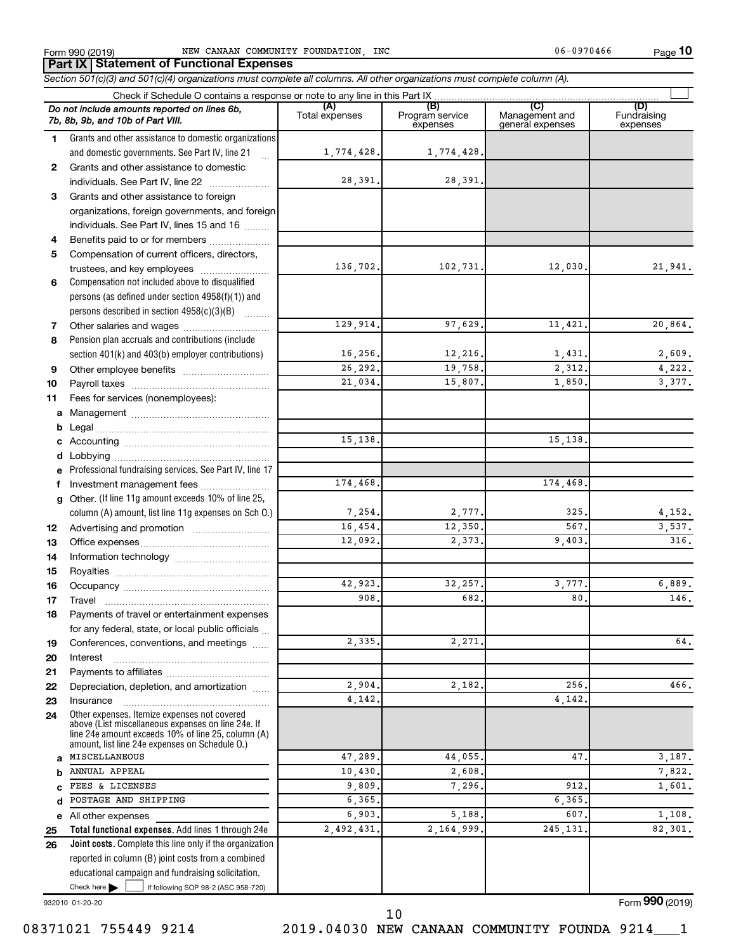**10**

**Total functional expenses.**  Add lines 1 through 24e **Joint costs.** Complete this line only if the organization **(A) (B) (C) (D)** Fundraising **1 2 3 4 5 6 7 8 9 10 11 a** Management ~~~~~~~~~~~~~~~~ **b c d e f g 12 13 14 15 16 17 18 19 20 21 22 23 24 a b c d e 25 26** *Section 501(c)(3) and 501(c)(4) organizations must complete all columns. All other organizations must complete column (A).* Grants and other assistance to domestic organizations and domestic governments. See Part IV, line 21 Compensation not included above to disqualified persons (as defined under section 4958(f)(1)) and persons described in section  $4958(c)(3)(B)$   $\ldots$ Pension plan accruals and contributions (include section 401(k) and 403(b) employer contributions) Professional fundraising services. See Part IV, line 17 Other. (If line 11g amount exceeds 10% of line 25, column (A) amount, list line 11g expenses on Sch O.) Other expenses. Itemize expenses not covered above (List miscellaneous expenses on line 24e. If line 24e amount exceeds 10% of line 25, column (A) amount, list line 24e expenses on Schedule O.) reported in column (B) joint costs from a combined educational campaign and fundraising solicitation. Check if Schedule O contains a response or note to any line in this Part IX Total expenses Program service expenses Management and general expenses expenses .<br>... Grants and other assistance to domestic  $individuals. See Part IV, line 22$  ........... Grants and other assistance to foreign organizations, foreign governments, and foreign individuals. See Part IV, lines 15 and 16  $\ldots$ Benefits paid to or for members .................... Compensation of current officers, directors, trustees, and key employees ........................ Other salaries and wages ~~~~~~~~~~ Other employee benefits ~~~~~~~~~~ Payroll taxes ~~~~~~~~~~~~~~~~ Fees for services (nonemployees): Legal ~~~~~~~~~~~~~~~~~~~~ Accounting ~~~~~~~~~~~~~~~~~ Lobbying ~~~~~~~~~~~~~~~~~~ Investment management fees ........................ Advertising and promotion ........................... Office expenses ~~~~~~~~~~~~~~~ Information technology ~~~~~~~~~~~ Royalties ~~~~~~~~~~~~~~~~~~ Occupancy ~~~~~~~~~~~~~~~~~ Travel ~~~~~~~~~~~~~~~~~~~ Payments of travel or entertainment expenses for any federal, state, or local public officials ... Conferences, conventions, and meetings Interest ~~~~~~~~~~~~~~~~~~ Payments to affiliates ~~~~~~~~~~~~ Depreciation, depletion, and amortization ...... Insurance ~~~~~~~~~~~~~~~~~ All other expenses *Do not include amounts reported on lines 6b, 7b, 8b, 9b, and 10b of Part VIII.* **Part IX Statement of Functional Expenses**  $\Box$ 1,774,428. 1,774,428. 28,391. 28,391. 136,702. 102,731. 12,030. 21,941. 129,914. 97,629. 11,421. 20,864. 16,256. 12,216. 1,431. 2,609. 26,292. 19,758. 2,312. 4,222. 21,034. 15,807. 1,850. 3,377. 15,138. 15,138. 174,468. 174,468. 7,254. 2,777. 325. 4,152. 16,454. **12,350.** 12,350. 567. 3,537. 12,092. 2,373. 9,403. 316. 42,923. 32,257. 3,777. 6,889.  $908.$  682. 682. 80. 146.  $2,335.$  2,271. 64. 2,904. 2,182. 256. 256. 466. 4,142. 4,142. MISCELLANEOUS 47,289. 44,055. 47. 3,187. ANNUAL APPEAL 7,822. 2,608. 2,608. 2,608. 2,608. 2,608. 2,608. 2,622. FEES & LICENSES 1,601. **9.809.** 9.809. 7.296. 912. 912. 1,601. POSTAGE AND SHIPPING 6,365. 6,365.  $6,903.$   $5,188.$   $607.$   $1,108.$ 2,492,431. 2,164,999. 245,131. 82,301.

932010 01-20-20

Form (2019) **990**

Check here  $\blacktriangleright$  |

Check here  $\begin{array}{c} \begin{array}{|c} \hline \end{array} \end{array}$  if following SOP 98-2 (ASC 958-720)

10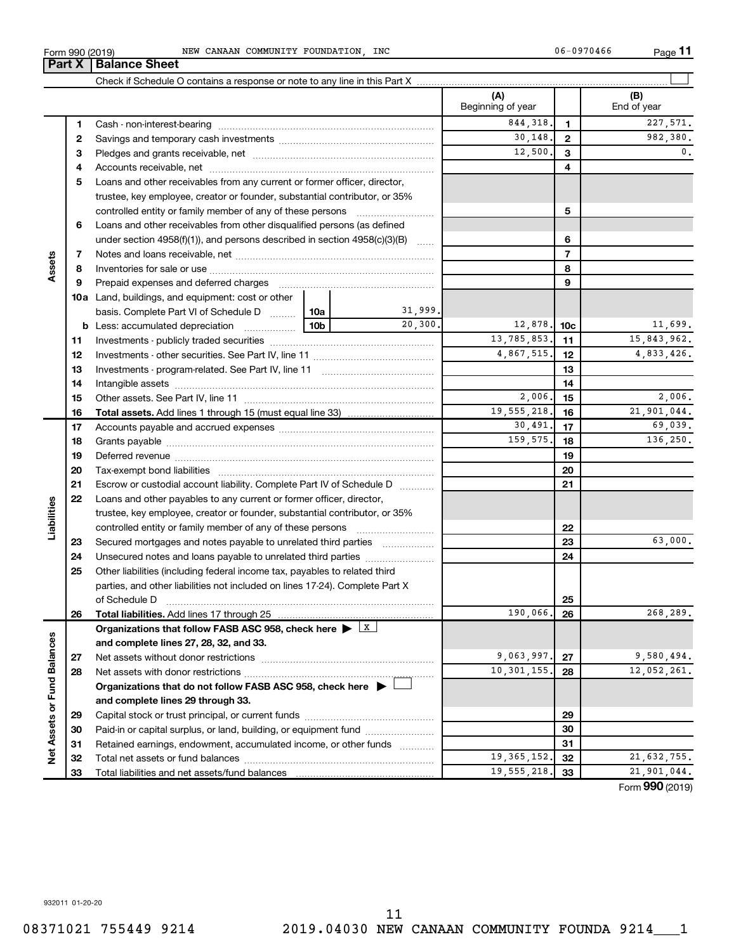trustee, key employee, creator or founder, substantial contributor, or 35% controlled entity or family member of any of these persons ~~~~~~~~~ **5 6** Loans and other receivables from other disqualified persons (as defined under section 4958(f)(1)), and persons described in section 4958(c)(3)(B)  $\ldots$ **6 7 7** Notes and loans receivable, net ~~~~~~~~~~~~~~~~~~~~~~~ **Assets 8 8** Inventories for sale or use ~~~~~~~~~~~~~~~~~~~~~~~~~~ **9 9** Prepaid expenses and deferred charges ~~~~~~~~~~~~~~~~~~ **10 a** Land, buildings, and equipment: cost or other 31,999. basis. Complete Part VI of Schedule D  $\frac{1}{10}$  10a  $20,300.$  12,878. 10c 11,699. **b** Less: accumulated depreciation  $\ldots$  [10b **10c**  $13,785,853.$  11  $15,843,962.$ **11 11** Investments - publicly traded securities ~~~~~~~~~~~~~~~~~~~ 4,867,515. 12 4,833,426. **12 12** Investments - other securities. See Part IV, line 11 ~~~~~~~~~~~~~~ **13 13** Investments - program-related. See Part IV, line 11 ~~~~~~~~~~~~~ **14 14** Intangible assets ~~~~~~~~~~~~~~~~~~~~~~~~~~~~~~ 2,006. 2,006. **15 15** Other assets. See Part IV, line 11  $\ldots$   $\ldots$   $\ldots$   $\ldots$   $\ldots$   $\ldots$   $\ldots$   $\ldots$   $\ldots$   $\ldots$   $\ldots$   $\ldots$   $\ldots$   $\ldots$   $\ldots$   $\ldots$   $\ldots$   $\ldots$   $\ldots$   $\ldots$   $\ldots$   $\ldots$   $\ldots$   $\ldots$   $\ldots$   $\ldots$   $\ldots$   $\ldots$   $\ldots$   $\ldots$   $\$ 19,555,218. 16 21,901,044. **16 16 Total assets.**  Add lines 1 through 15 (must equal line 33)  $30,491.$   $17$   $69,039.$ **17 17** Accounts payable and accrued expenses ~~~~~~~~~~~~~~~~~~ **18** 159,575. 18 136,250. **18** Grants payable ~~~~~~~~~~~~~~~~~~~~~~~~~~~~~~~ **19 19** Deferred revenue ~~~~~~~~~~~~~~~~~~~~~~~~~~~~~~ **20 20** Tax-exempt bond liabilities ~~~~~~~~~~~~~~~~~~~~~~~~~ **21 21** Escrow or custodial account liability. Complete Part IV of Schedule D ........... **22** Loans and other payables to any current or former officer, director, **Liabilities** trustee, key employee, creator or founder, substantial contributor, or 35% **22** controlled entity or family member of any of these persons ~~~~~~~~~ 63,000. **23** Secured mortgages and notes payable to unrelated third parties  $\ldots$ ................. **23 24** Unsecured notes and loans payable to unrelated third parties **24 25** Other liabilities (including federal income tax, payables to related third parties, and other liabilities not included on lines 17-24). Complete Part X of Schedule D ~~~~~~~~~~~~~~~~~~~~~~~~~~~~~~~ **25 26** 190,066. 268,289. **26 Total liabilities.**  Add lines 17 through 25 Organizations that follow FASB ASC 958, check here  $\blacktriangleright$  **X** Net Assets or Fund Balances **Net Assets or Fund Balances and complete lines 27, 28, 32, and 33.** 9,063,997. 27 9,580,494. **27 27** Net assets without donor restrictions ~~~~~~~~~~~~~~~~~~~~ 10,301,155. 28 12,052,261. **28 28** Net assets with donor restrictions ~~~~~~~~~~~~~~~~~~~~~~ **Organizations that do not follow FASB ASC 958, check here** | † **and complete lines 29 through 33. 29 29** Capital stock or trust principal, or current funds ~~~~~~~~~~~~~~~ **30 30** Paid-in or capital surplus, or land, building, or equipment fund ....................... **31 31** Retained earnings, endowment, accumulated income, or other funds ............ Total net assets or fund balances ~~~~~~~~~~~~~~~~~~~~~~ **32** 19,365,152, 32 21,632,755. **32** 19,555,218. 33 **33** Total liabilities and net assets/fund balances **33**

Form 990 (2019) NEW CANAAN COMMUNITY FOUNDATION, INC CONNECTRITION 06-0970466 Page

**3** Pledges and grants receivable, net ~~~~~~~~~~~~~~~~~~~~~ **4** Accounts receivable, net ~~~~~~~~~~~~~~~~~~~~~~~~~~ **5** Loans and other receivables from any current or former officer, director,

Cash - non-interest-bearing ~~~~~~~~~~~~~~~~~~~~~~~~~ Savings and temporary cash investments ~~~~~~~~~~~~~~~~~~

Check if Schedule O contains a response or note to any line in this Part X

**Part X** | **Balance Sheet** 

**1 2** **(A) (B)**

Beginning of year | | End of year

844,318. 1 227,571. 30,148. 9 982,380.  $12,500$ ,  $3$  0.

 $\perp$ 

Form (2019) **990**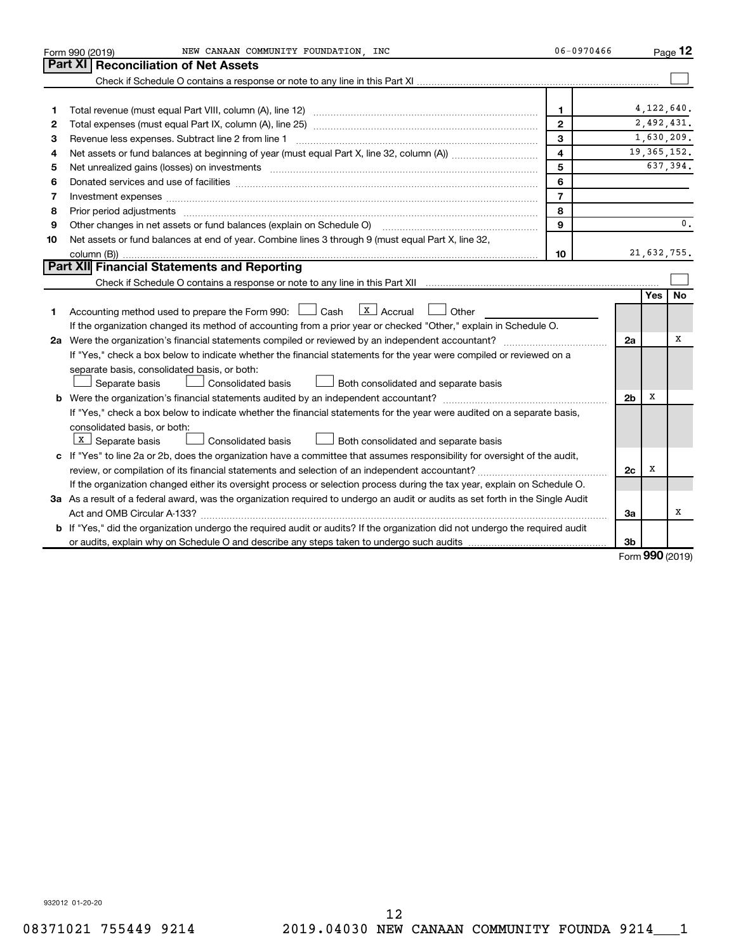|    | NEW CANAAN COMMUNITY FOUNDATION, INC<br>Form 990 (2019)                                                                                                                                                                       | 06-0970466     |                |       | Page 12        |
|----|-------------------------------------------------------------------------------------------------------------------------------------------------------------------------------------------------------------------------------|----------------|----------------|-------|----------------|
|    | Part XI<br><b>Reconciliation of Net Assets</b>                                                                                                                                                                                |                |                |       |                |
|    |                                                                                                                                                                                                                               |                |                |       |                |
|    |                                                                                                                                                                                                                               |                |                |       |                |
| 1  |                                                                                                                                                                                                                               | $\mathbf{1}$   |                |       | 4, 122, 640.   |
| 2  |                                                                                                                                                                                                                               | $\mathbf{2}$   |                |       | 2,492,431.     |
| З  | Revenue less expenses. Subtract line 2 from line 1                                                                                                                                                                            | 3              |                |       | 1,630,209.     |
| 4  |                                                                                                                                                                                                                               | $\overline{4}$ |                |       | 19, 365, 152.  |
| 5  | Net unrealized gains (losses) on investments [111] www.martime.community.community.community.community.communi                                                                                                                | 5              |                |       | 637,394.       |
| 6  | Donated services and use of facilities [[111][12] manufactures in the service of facilities [[11] manufactures in the service and use of facilities [[11] manufactures in the service of facilities [[11] manufactures in the | 6              |                |       |                |
| 7  | Investment expenses www.communication.com/www.communication.com/www.communication.com/www.com                                                                                                                                 | $\overline{7}$ |                |       |                |
| 8  | Prior period adjustments www.communication.communication.communication.com/news-managements                                                                                                                                   | 8              |                |       |                |
| 9  | Other changes in net assets or fund balances (explain on Schedule O) manual contraction control of the changes in net assets or fund balances (explain on Schedule O)                                                         | 9              |                |       | $\mathbf{0}$ . |
| 10 | Net assets or fund balances at end of year. Combine lines 3 through 9 (must equal Part X, line 32,                                                                                                                            |                |                |       |                |
|    |                                                                                                                                                                                                                               | 10             |                |       | 21,632,755.    |
|    | Part XII Financial Statements and Reporting                                                                                                                                                                                   |                |                |       |                |
|    |                                                                                                                                                                                                                               |                |                |       |                |
|    |                                                                                                                                                                                                                               |                |                | Yes l | No             |
| 1. | $\lfloor x \rfloor$ Accrual<br>Accounting method used to prepare the Form 990: $\Box$ Cash<br>Other                                                                                                                           |                |                |       |                |
|    | If the organization changed its method of accounting from a prior year or checked "Other," explain in Schedule O.                                                                                                             |                |                |       |                |
|    | 2a Were the organization's financial statements compiled or reviewed by an independent accountant?                                                                                                                            |                | 2a             |       | х              |
|    | If "Yes," check a box below to indicate whether the financial statements for the year were compiled or reviewed on a                                                                                                          |                |                |       |                |
|    | separate basis, consolidated basis, or both:                                                                                                                                                                                  |                |                |       |                |
|    | Separate basis<br>Consolidated basis<br>$\Box$ Both consolidated and separate basis                                                                                                                                           |                |                |       |                |
|    |                                                                                                                                                                                                                               |                | 2 <sub>b</sub> | х     |                |
|    | If "Yes," check a box below to indicate whether the financial statements for the year were audited on a separate basis,                                                                                                       |                |                |       |                |
|    | consolidated basis, or both:                                                                                                                                                                                                  |                |                |       |                |
|    | $X$ Separate basis<br>Consolidated basis<br>Both consolidated and separate basis                                                                                                                                              |                |                |       |                |
|    | c If "Yes" to line 2a or 2b, does the organization have a committee that assumes responsibility for oversight of the audit,                                                                                                   |                |                |       |                |
|    |                                                                                                                                                                                                                               |                | 2c             | х     |                |
|    | If the organization changed either its oversight process or selection process during the tax year, explain on Schedule O.                                                                                                     |                |                |       |                |
|    | 3a As a result of a federal award, was the organization required to undergo an audit or audits as set forth in the Single Audit                                                                                               |                |                |       |                |
|    |                                                                                                                                                                                                                               |                | За             |       | x              |
|    | b If "Yes," did the organization undergo the required audit or audits? If the organization did not undergo the required audit                                                                                                 |                |                |       |                |
|    |                                                                                                                                                                                                                               |                | 3 <sub>b</sub> | ממח   |                |

Form (2019) **990**

932012 01-20-20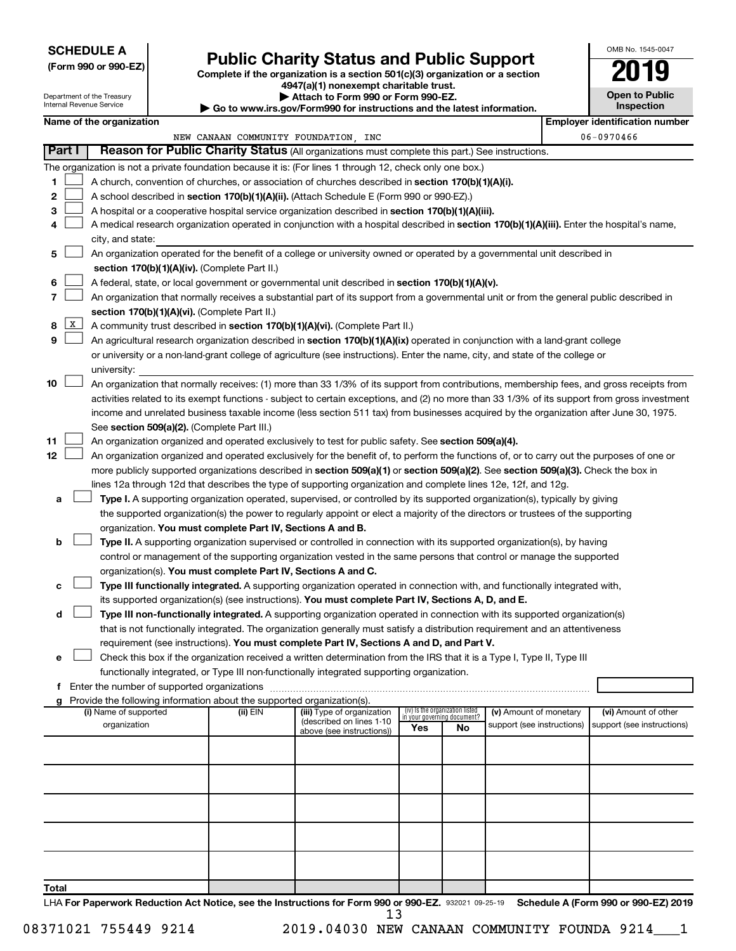# **SCHEDULE A**

Department of the Treasury Internal Revenue Service

# Form 990 or 990-EZ)<br>
Complete if the organization is a section 501(c)(3) organization or a section<br> **Public Charity Status and Public Support**

**4947(a)(1) nonexempt charitable trust.**

|  |  |  | Attach to Form 990 or Form 990-EZ. |  |
|--|--|--|------------------------------------|--|
|  |  |  |                                    |  |

**| Go to www.irs.gov/Form990 for instructions and the latest information.**

| OMB No 1545-0047                    |
|-------------------------------------|
|                                     |
| <b>Open to Public</b><br>Inspection |

|       |              | Name of the organization                                                                                                                      |                                      |                                                        |                                 |    |                                                      | <b>Employer identification number</b>              |
|-------|--------------|-----------------------------------------------------------------------------------------------------------------------------------------------|--------------------------------------|--------------------------------------------------------|---------------------------------|----|------------------------------------------------------|----------------------------------------------------|
|       |              |                                                                                                                                               | NEW CANAAN COMMUNITY FOUNDATION, INC |                                                        |                                 |    |                                                      | 06-0970466                                         |
|       | Part I       | Reason for Public Charity Status (All organizations must complete this part.) See instructions.                                               |                                      |                                                        |                                 |    |                                                      |                                                    |
|       |              | The organization is not a private foundation because it is: (For lines 1 through 12, check only one box.)                                     |                                      |                                                        |                                 |    |                                                      |                                                    |
| 1     |              | A church, convention of churches, or association of churches described in section 170(b)(1)(A)(i).                                            |                                      |                                                        |                                 |    |                                                      |                                                    |
| 2     |              | A school described in section 170(b)(1)(A)(ii). (Attach Schedule E (Form 990 or 990-EZ).)                                                     |                                      |                                                        |                                 |    |                                                      |                                                    |
| з     |              | A hospital or a cooperative hospital service organization described in section 170(b)(1)(A)(iii).                                             |                                      |                                                        |                                 |    |                                                      |                                                    |
| 4     |              | A medical research organization operated in conjunction with a hospital described in section 170(b)(1)(A)(iii). Enter the hospital's name,    |                                      |                                                        |                                 |    |                                                      |                                                    |
|       |              | city, and state:                                                                                                                              |                                      |                                                        |                                 |    |                                                      |                                                    |
| 5     |              | An organization operated for the benefit of a college or university owned or operated by a governmental unit described in                     |                                      |                                                        |                                 |    |                                                      |                                                    |
|       |              | section 170(b)(1)(A)(iv). (Complete Part II.)                                                                                                 |                                      |                                                        |                                 |    |                                                      |                                                    |
| 6     |              | A federal, state, or local government or governmental unit described in section 170(b)(1)(A)(v).                                              |                                      |                                                        |                                 |    |                                                      |                                                    |
| 7     |              | An organization that normally receives a substantial part of its support from a governmental unit or from the general public described in     |                                      |                                                        |                                 |    |                                                      |                                                    |
|       |              | section 170(b)(1)(A)(vi). (Complete Part II.)                                                                                                 |                                      |                                                        |                                 |    |                                                      |                                                    |
| 8     | $\mathbf{x}$ | A community trust described in section 170(b)(1)(A)(vi). (Complete Part II.)                                                                  |                                      |                                                        |                                 |    |                                                      |                                                    |
| 9     |              |                                                                                                                                               |                                      |                                                        |                                 |    |                                                      |                                                    |
|       |              | An agricultural research organization described in section 170(b)(1)(A)(ix) operated in conjunction with a land-grant college                 |                                      |                                                        |                                 |    |                                                      |                                                    |
|       |              | or university or a non-land-grant college of agriculture (see instructions). Enter the name, city, and state of the college or                |                                      |                                                        |                                 |    |                                                      |                                                    |
|       |              | university:                                                                                                                                   |                                      |                                                        |                                 |    |                                                      |                                                    |
| 10    |              | An organization that normally receives: (1) more than 33 1/3% of its support from contributions, membership fees, and gross receipts from     |                                      |                                                        |                                 |    |                                                      |                                                    |
|       |              | activities related to its exempt functions - subject to certain exceptions, and (2) no more than 33 1/3% of its support from gross investment |                                      |                                                        |                                 |    |                                                      |                                                    |
|       |              | income and unrelated business taxable income (less section 511 tax) from businesses acquired by the organization after June 30, 1975.         |                                      |                                                        |                                 |    |                                                      |                                                    |
|       |              | See section 509(a)(2). (Complete Part III.)                                                                                                   |                                      |                                                        |                                 |    |                                                      |                                                    |
| 11    |              | An organization organized and operated exclusively to test for public safety. See section 509(a)(4).                                          |                                      |                                                        |                                 |    |                                                      |                                                    |
| 12    |              | An organization organized and operated exclusively for the benefit of, to perform the functions of, or to carry out the purposes of one or    |                                      |                                                        |                                 |    |                                                      |                                                    |
|       |              | more publicly supported organizations described in section 509(a)(1) or section 509(a)(2). See section 509(a)(3). Check the box in            |                                      |                                                        |                                 |    |                                                      |                                                    |
|       |              | lines 12a through 12d that describes the type of supporting organization and complete lines 12e, 12f, and 12g.                                |                                      |                                                        |                                 |    |                                                      |                                                    |
| а     |              | Type I. A supporting organization operated, supervised, or controlled by its supported organization(s), typically by giving                   |                                      |                                                        |                                 |    |                                                      |                                                    |
|       |              | the supported organization(s) the power to regularly appoint or elect a majority of the directors or trustees of the supporting               |                                      |                                                        |                                 |    |                                                      |                                                    |
|       |              | organization. You must complete Part IV, Sections A and B.                                                                                    |                                      |                                                        |                                 |    |                                                      |                                                    |
| b     |              | Type II. A supporting organization supervised or controlled in connection with its supported organization(s), by having                       |                                      |                                                        |                                 |    |                                                      |                                                    |
|       |              | control or management of the supporting organization vested in the same persons that control or manage the supported                          |                                      |                                                        |                                 |    |                                                      |                                                    |
|       |              | organization(s). You must complete Part IV, Sections A and C.                                                                                 |                                      |                                                        |                                 |    |                                                      |                                                    |
| с     |              | Type III functionally integrated. A supporting organization operated in connection with, and functionally integrated with,                    |                                      |                                                        |                                 |    |                                                      |                                                    |
|       |              | its supported organization(s) (see instructions). You must complete Part IV, Sections A, D, and E.                                            |                                      |                                                        |                                 |    |                                                      |                                                    |
| d     |              | Type III non-functionally integrated. A supporting organization operated in connection with its supported organization(s)                     |                                      |                                                        |                                 |    |                                                      |                                                    |
|       |              | that is not functionally integrated. The organization generally must satisfy a distribution requirement and an attentiveness                  |                                      |                                                        |                                 |    |                                                      |                                                    |
|       |              | requirement (see instructions). You must complete Part IV, Sections A and D, and Part V.                                                      |                                      |                                                        |                                 |    |                                                      |                                                    |
|       |              | Check this box if the organization received a written determination from the IRS that it is a Type I, Type II, Type III                       |                                      |                                                        |                                 |    |                                                      |                                                    |
|       |              | functionally integrated, or Type III non-functionally integrated supporting organization.                                                     |                                      |                                                        |                                 |    |                                                      |                                                    |
|       |              |                                                                                                                                               |                                      |                                                        |                                 |    |                                                      |                                                    |
| a     |              | Provide the following information about the supported organization(s).                                                                        |                                      |                                                        | (iv) Is the organization listed |    |                                                      |                                                    |
|       |              | (i) Name of supported<br>organization                                                                                                         | (ii) $EIN$                           | (iii) Type of organization<br>(described on lines 1-10 | in your governing document?     |    | (v) Amount of monetary<br>support (see instructions) | (vi) Amount of other<br>support (see instructions) |
|       |              |                                                                                                                                               |                                      | above (see instructions))                              | Yes                             | No |                                                      |                                                    |
|       |              |                                                                                                                                               |                                      |                                                        |                                 |    |                                                      |                                                    |
|       |              |                                                                                                                                               |                                      |                                                        |                                 |    |                                                      |                                                    |
|       |              |                                                                                                                                               |                                      |                                                        |                                 |    |                                                      |                                                    |
|       |              |                                                                                                                                               |                                      |                                                        |                                 |    |                                                      |                                                    |
|       |              |                                                                                                                                               |                                      |                                                        |                                 |    |                                                      |                                                    |
|       |              |                                                                                                                                               |                                      |                                                        |                                 |    |                                                      |                                                    |
|       |              |                                                                                                                                               |                                      |                                                        |                                 |    |                                                      |                                                    |
|       |              |                                                                                                                                               |                                      |                                                        |                                 |    |                                                      |                                                    |
|       |              |                                                                                                                                               |                                      |                                                        |                                 |    |                                                      |                                                    |
|       |              |                                                                                                                                               |                                      |                                                        |                                 |    |                                                      |                                                    |
| Total |              |                                                                                                                                               |                                      |                                                        |                                 |    |                                                      |                                                    |

LHA For Paperwork Reduction Act Notice, see the Instructions for Form 990 or 990-EZ. 932021 09-25-19 Schedule A (Form 990 or 990-EZ) 2019 13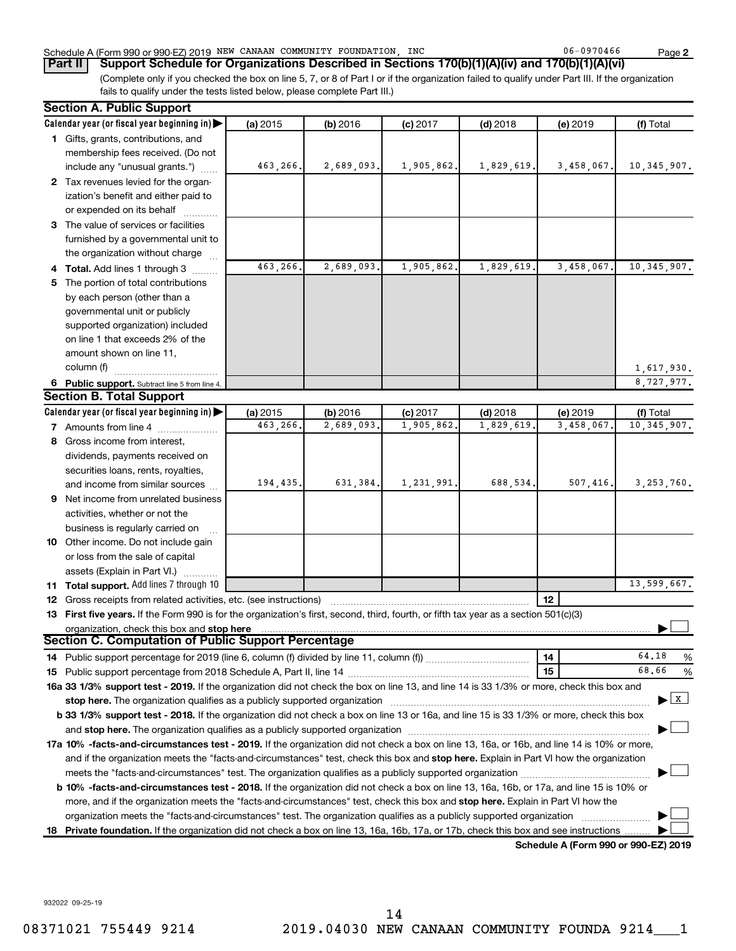# Schedule A (Form 990 or 990-EZ) 2019 Page NEW CANAAN COMMUNITY FOUNDATION, INC 06-0970466

(Complete only if you checked the box on line 5, 7, or 8 of Part I or if the organization failed to qualify under Part III. If the organization fails to qualify under the tests listed below, please complete Part III.) **Part II Support Schedule for Organizations Described in Sections 170(b)(1)(A)(iv) and 170(b)(1)(A)(vi)**

|    | <b>Section A. Public Support</b>                                                                                                                                                                                               |          |            |            |            |                                      |                                    |
|----|--------------------------------------------------------------------------------------------------------------------------------------------------------------------------------------------------------------------------------|----------|------------|------------|------------|--------------------------------------|------------------------------------|
|    | Calendar year (or fiscal year beginning in)                                                                                                                                                                                    | (a) 2015 | (b) 2016   | $(c)$ 2017 | $(d)$ 2018 | (e) 2019                             | (f) Total                          |
|    | 1 Gifts, grants, contributions, and                                                                                                                                                                                            |          |            |            |            |                                      |                                    |
|    | membership fees received. (Do not                                                                                                                                                                                              |          |            |            |            |                                      |                                    |
|    | include any "unusual grants.")                                                                                                                                                                                                 | 463,266. | 2,689,093. | 1,905,862. | 1,829,619. | 3,458,067.                           | 10, 345, 907.                      |
|    | 2 Tax revenues levied for the organ-                                                                                                                                                                                           |          |            |            |            |                                      |                                    |
|    | ization's benefit and either paid to                                                                                                                                                                                           |          |            |            |            |                                      |                                    |
|    | or expended on its behalf                                                                                                                                                                                                      |          |            |            |            |                                      |                                    |
|    | 3 The value of services or facilities                                                                                                                                                                                          |          |            |            |            |                                      |                                    |
|    | furnished by a governmental unit to                                                                                                                                                                                            |          |            |            |            |                                      |                                    |
|    | the organization without charge                                                                                                                                                                                                |          |            |            |            |                                      |                                    |
|    | 4 Total. Add lines 1 through 3                                                                                                                                                                                                 | 463,266. | 2,689,093. | 1,905,862. | 1,829,619. | 3,458,067                            | 10, 345, 907.                      |
| 5. | The portion of total contributions                                                                                                                                                                                             |          |            |            |            |                                      |                                    |
|    | by each person (other than a                                                                                                                                                                                                   |          |            |            |            |                                      |                                    |
|    | governmental unit or publicly                                                                                                                                                                                                  |          |            |            |            |                                      |                                    |
|    | supported organization) included                                                                                                                                                                                               |          |            |            |            |                                      |                                    |
|    | on line 1 that exceeds 2% of the                                                                                                                                                                                               |          |            |            |            |                                      |                                    |
|    | amount shown on line 11,                                                                                                                                                                                                       |          |            |            |            |                                      |                                    |
|    | column (f)                                                                                                                                                                                                                     |          |            |            |            |                                      | 1,617,930.                         |
|    | 6 Public support. Subtract line 5 from line 4.                                                                                                                                                                                 |          |            |            |            |                                      | 8,727,977.                         |
|    | <b>Section B. Total Support</b>                                                                                                                                                                                                |          |            |            |            |                                      |                                    |
|    | Calendar year (or fiscal year beginning in)                                                                                                                                                                                    | (a) 2015 | (b) 2016   | $(c)$ 2017 | $(d)$ 2018 | (e) 2019                             | (f) Total                          |
|    | 7 Amounts from line 4                                                                                                                                                                                                          | 463,266. | 2,689,093. | 1,905,862  | 1,829,619  | 3,458,067                            | 10, 345, 907.                      |
|    | 8 Gross income from interest,                                                                                                                                                                                                  |          |            |            |            |                                      |                                    |
|    | dividends, payments received on                                                                                                                                                                                                |          |            |            |            |                                      |                                    |
|    | securities loans, rents, royalties,                                                                                                                                                                                            |          |            |            |            |                                      |                                    |
|    | and income from similar sources                                                                                                                                                                                                | 194,435. | 631,384.   | 1,231,991. | 688,534.   | 507,416.                             | 3, 253, 760.                       |
|    | 9 Net income from unrelated business                                                                                                                                                                                           |          |            |            |            |                                      |                                    |
|    | activities, whether or not the                                                                                                                                                                                                 |          |            |            |            |                                      |                                    |
|    | business is regularly carried on                                                                                                                                                                                               |          |            |            |            |                                      |                                    |
|    | 10 Other income. Do not include gain                                                                                                                                                                                           |          |            |            |            |                                      |                                    |
|    | or loss from the sale of capital                                                                                                                                                                                               |          |            |            |            |                                      |                                    |
|    | assets (Explain in Part VI.)                                                                                                                                                                                                   |          |            |            |            |                                      |                                    |
|    | 11 Total support. Add lines 7 through 10                                                                                                                                                                                       |          |            |            |            |                                      | 13,599,667.                        |
|    | <b>12</b> Gross receipts from related activities, etc. (see instructions)                                                                                                                                                      |          |            |            |            | 12                                   |                                    |
|    | 13 First five years. If the Form 990 is for the organization's first, second, third, fourth, or fifth tax year as a section 501(c)(3)                                                                                          |          |            |            |            |                                      |                                    |
|    | organization, check this box and stop here                                                                                                                                                                                     |          |            |            |            |                                      |                                    |
|    | Section C. Computation of Public Support Percentage                                                                                                                                                                            |          |            |            |            |                                      |                                    |
|    |                                                                                                                                                                                                                                |          |            |            |            | 14                                   | 64.18<br>%                         |
|    |                                                                                                                                                                                                                                |          |            |            |            | 15                                   | 68.66<br>%                         |
|    | 16a 33 1/3% support test - 2019. If the organization did not check the box on line 13, and line 14 is 33 1/3% or more, check this box and                                                                                      |          |            |            |            |                                      |                                    |
|    | stop here. The organization qualifies as a publicly supported organization manufactured content and the support of the state of the state of the state of the state of the state of the state of the state of the state of the |          |            |            |            |                                      | $\blacktriangleright$ $\mathbf{X}$ |
|    | b 33 1/3% support test - 2018. If the organization did not check a box on line 13 or 16a, and line 15 is 33 1/3% or more, check this box                                                                                       |          |            |            |            |                                      |                                    |
|    |                                                                                                                                                                                                                                |          |            |            |            |                                      |                                    |
|    | 17a 10% -facts-and-circumstances test - 2019. If the organization did not check a box on line 13, 16a, or 16b, and line 14 is 10% or more,                                                                                     |          |            |            |            |                                      |                                    |
|    | and if the organization meets the "facts-and-circumstances" test, check this box and stop here. Explain in Part VI how the organization                                                                                        |          |            |            |            |                                      |                                    |
|    |                                                                                                                                                                                                                                |          |            |            |            |                                      |                                    |
|    | <b>b 10%</b> -facts-and-circumstances test - 2018. If the organization did not check a box on line 13, 16a, 16b, or 17a, and line 15 is 10% or                                                                                 |          |            |            |            |                                      |                                    |
|    | more, and if the organization meets the "facts-and-circumstances" test, check this box and stop here. Explain in Part VI how the                                                                                               |          |            |            |            |                                      |                                    |
|    | organization meets the "facts-and-circumstances" test. The organization qualifies as a publicly supported organization                                                                                                         |          |            |            |            |                                      |                                    |
|    | 18 Private foundation. If the organization did not check a box on line 13, 16a, 16b, 17a, or 17b, check this box and see instructions.                                                                                         |          |            |            |            |                                      |                                    |
|    |                                                                                                                                                                                                                                |          |            |            |            | Schodule A (Form 000 or 000 F7) 2010 |                                    |

**Schedule A (Form 990 or 990-EZ) 2019**

932022 09-25-19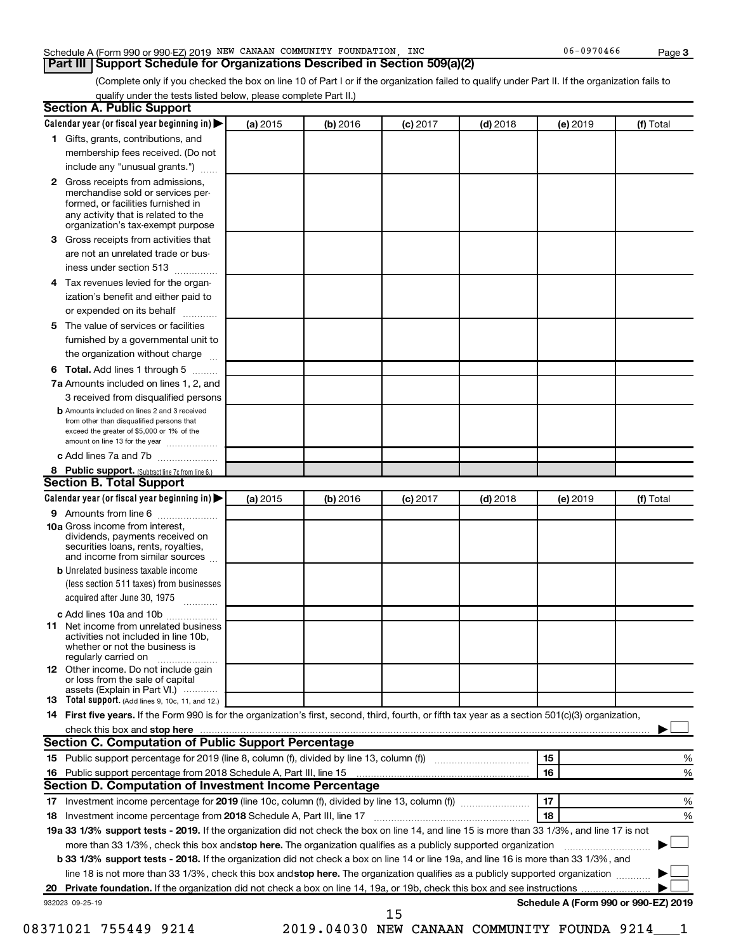# Schedule A (Form 990 or 990-EZ) 2019 Page NEW CANAAN COMMUNITY FOUNDATION, INC 06-0970466

**Part III Support Schedule for Organizations Described in Section 509(a)(2)** 

(Complete only if you checked the box on line 10 of Part I or if the organization failed to qualify under Part II. If the organization fails to qualify under the tests listed below, please complete Part II.)

|    | Calendar year (or fiscal year beginning in)                                                                                                         | (a) 2015 | (b) 2016 | $(c)$ 2017 | $(d)$ 2018 | (e) 2019 | (f) Total                            |
|----|-----------------------------------------------------------------------------------------------------------------------------------------------------|----------|----------|------------|------------|----------|--------------------------------------|
|    | 1 Gifts, grants, contributions, and                                                                                                                 |          |          |            |            |          |                                      |
|    | membership fees received. (Do not                                                                                                                   |          |          |            |            |          |                                      |
|    | include any "unusual grants.")                                                                                                                      |          |          |            |            |          |                                      |
|    | 2 Gross receipts from admissions,<br>merchandise sold or services per-                                                                              |          |          |            |            |          |                                      |
|    | formed, or facilities furnished in<br>any activity that is related to the<br>organization's tax-exempt purpose                                      |          |          |            |            |          |                                      |
| 3. | Gross receipts from activities that                                                                                                                 |          |          |            |            |          |                                      |
|    | are not an unrelated trade or bus-                                                                                                                  |          |          |            |            |          |                                      |
|    | iness under section 513                                                                                                                             |          |          |            |            |          |                                      |
| 4  | Tax revenues levied for the organ-                                                                                                                  |          |          |            |            |          |                                      |
|    | ization's benefit and either paid to                                                                                                                |          |          |            |            |          |                                      |
|    | or expended on its behalf<br>.                                                                                                                      |          |          |            |            |          |                                      |
| 5. | The value of services or facilities                                                                                                                 |          |          |            |            |          |                                      |
|    | furnished by a governmental unit to                                                                                                                 |          |          |            |            |          |                                      |
|    | the organization without charge                                                                                                                     |          |          |            |            |          |                                      |
| 6  | Total. Add lines 1 through 5                                                                                                                        |          |          |            |            |          |                                      |
|    | 7a Amounts included on lines 1, 2, and                                                                                                              |          |          |            |            |          |                                      |
|    | 3 received from disqualified persons                                                                                                                |          |          |            |            |          |                                      |
|    | <b>b</b> Amounts included on lines 2 and 3 received                                                                                                 |          |          |            |            |          |                                      |
|    | from other than disqualified persons that<br>exceed the greater of \$5,000 or 1% of the<br>amount on line 13 for the year                           |          |          |            |            |          |                                      |
|    | c Add lines 7a and 7b                                                                                                                               |          |          |            |            |          |                                      |
|    | 8 Public support. (Subtract line 7c from line 6.)                                                                                                   |          |          |            |            |          |                                      |
|    | <b>Section B. Total Support</b>                                                                                                                     |          |          |            |            |          |                                      |
|    | Calendar year (or fiscal year beginning in)                                                                                                         | (a) 2015 | (b) 2016 | $(c)$ 2017 | $(d)$ 2018 | (e) 2019 | (f) Total                            |
|    | <b>9</b> Amounts from line 6                                                                                                                        |          |          |            |            |          |                                      |
|    | <b>10a</b> Gross income from interest,<br>dividends, payments received on<br>securities loans, rents, royalties,<br>and income from similar sources |          |          |            |            |          |                                      |
|    | <b>b</b> Unrelated business taxable income                                                                                                          |          |          |            |            |          |                                      |
|    | (less section 511 taxes) from businesses<br>acquired after June 30, 1975 [[11, 11, 11, 11]                                                          |          |          |            |            |          |                                      |
|    |                                                                                                                                                     |          |          |            |            |          |                                      |
| 11 | c Add lines 10a and 10b<br>Net income from unrelated business<br>activities not included in line 10b.<br>whether or not the business is             |          |          |            |            |          |                                      |
|    | regularly carried on<br><b>12</b> Other income. Do not include gain<br>or loss from the sale of capital                                             |          |          |            |            |          |                                      |
|    | assets (Explain in Part VI.)                                                                                                                        |          |          |            |            |          |                                      |
|    | <b>13</b> Total support. (Add lines 9, 10c, 11, and 12.)                                                                                            |          |          |            |            |          |                                      |
|    | 14 First five years. If the Form 990 is for the organization's first, second, third, fourth, or fifth tax year as a section 501(c)(3) organization, |          |          |            |            |          |                                      |
|    |                                                                                                                                                     |          |          |            |            |          |                                      |
|    | <b>Section C. Computation of Public Support Percentage</b>                                                                                          |          |          |            |            |          |                                      |
|    |                                                                                                                                                     |          |          |            |            | 15       | %                                    |
|    |                                                                                                                                                     |          |          |            |            | 16       | %                                    |
|    | Section D. Computation of Investment Income Percentage                                                                                              |          |          |            |            |          |                                      |
|    |                                                                                                                                                     |          |          |            |            | 17       | %                                    |
|    |                                                                                                                                                     |          |          |            |            | 18       | %                                    |
|    | 18 Investment income percentage from 2018 Schedule A, Part III, line 17                                                                             |          |          |            |            |          |                                      |
|    | 19a 33 1/3% support tests - 2019. If the organization did not check the box on line 14, and line 15 is more than 33 1/3%, and line 17 is not        |          |          |            |            |          |                                      |
|    | more than 33 1/3%, check this box and stop here. The organization qualifies as a publicly supported organization                                    |          |          |            |            |          |                                      |
|    | <b>b 33 1/3% support tests - 2018.</b> If the organization did not check a box on line 14 or line 19a, and line 16 is more than 33 1/3%, and        |          |          |            |            |          |                                      |
|    | line 18 is not more than 33 1/3%, check this box and stop here. The organization qualifies as a publicly supported organization                     |          |          |            |            |          |                                      |
|    |                                                                                                                                                     |          |          |            |            |          | Schedule A (Form 990 or 990-EZ) 2019 |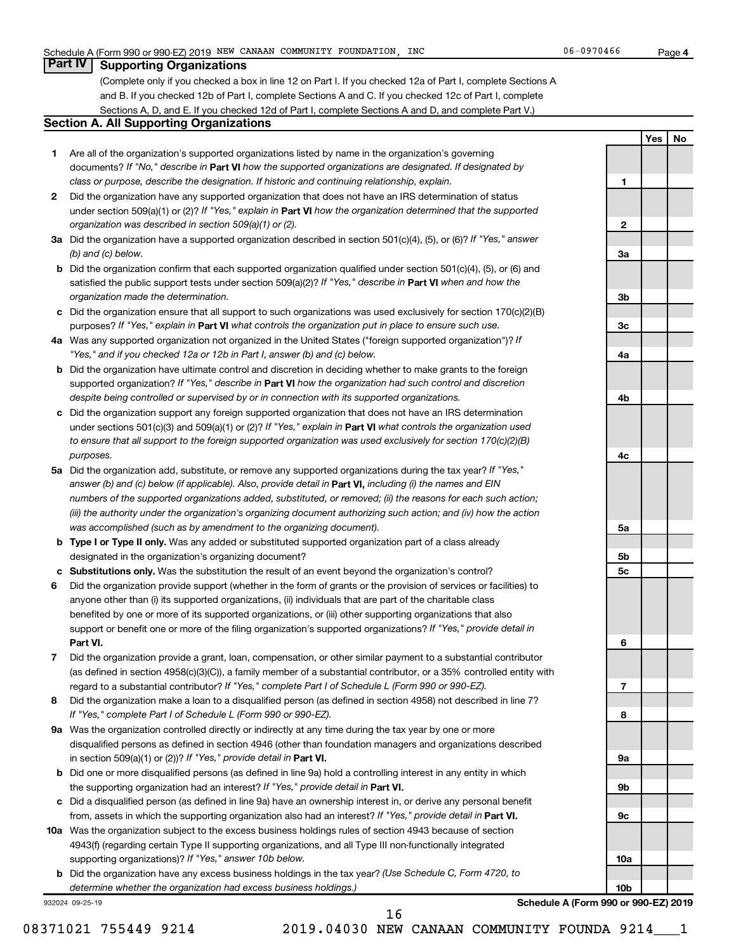# **Part IV Supporting Organizations**

(Complete only if you checked a box in line 12 on Part I. If you checked 12a of Part I, complete Sections A and B. If you checked 12b of Part I, complete Sections A and C. If you checked 12c of Part I, complete Sections A, D, and E. If you checked 12d of Part I, complete Sections A and D, and complete Part V.)

# **Section A. All Supporting Organizations**

- **1** Are all of the organization's supported organizations listed by name in the organization's governing documents? If "No," describe in Part VI how the supported organizations are designated. If designated by *class or purpose, describe the designation. If historic and continuing relationship, explain.*
- **2** Did the organization have any supported organization that does not have an IRS determination of status under section 509(a)(1) or (2)? If "Yes," explain in Part **VI** how the organization determined that the supported *organization was described in section 509(a)(1) or (2).*
- **3a** Did the organization have a supported organization described in section 501(c)(4), (5), or (6)? If "Yes," answer *(b) and (c) below.*
- **b** Did the organization confirm that each supported organization qualified under section 501(c)(4), (5), or (6) and satisfied the public support tests under section 509(a)(2)? If "Yes," describe in Part VI when and how the *organization made the determination.*
- **c** Did the organization ensure that all support to such organizations was used exclusively for section 170(c)(2)(B) purposes? If "Yes," explain in Part VI what controls the organization put in place to ensure such use.
- **4 a** *If* Was any supported organization not organized in the United States ("foreign supported organization")? *"Yes," and if you checked 12a or 12b in Part I, answer (b) and (c) below.*
- **b** Did the organization have ultimate control and discretion in deciding whether to make grants to the foreign supported organization? If "Yes," describe in Part VI how the organization had such control and discretion *despite being controlled or supervised by or in connection with its supported organizations.*
- **c** Did the organization support any foreign supported organization that does not have an IRS determination under sections 501(c)(3) and 509(a)(1) or (2)? If "Yes," explain in Part VI what controls the organization used *to ensure that all support to the foreign supported organization was used exclusively for section 170(c)(2)(B) purposes.*
- **5a** Did the organization add, substitute, or remove any supported organizations during the tax year? If "Yes," answer (b) and (c) below (if applicable). Also, provide detail in **Part VI,** including (i) the names and EIN *numbers of the supported organizations added, substituted, or removed; (ii) the reasons for each such action; (iii) the authority under the organization's organizing document authorizing such action; and (iv) how the action was accomplished (such as by amendment to the organizing document).*
- **b** Type I or Type II only. Was any added or substituted supported organization part of a class already designated in the organization's organizing document?
- **c Substitutions only.**  Was the substitution the result of an event beyond the organization's control?
- **6** Did the organization provide support (whether in the form of grants or the provision of services or facilities) to **Part VI.** support or benefit one or more of the filing organization's supported organizations? If "Yes," provide detail in anyone other than (i) its supported organizations, (ii) individuals that are part of the charitable class benefited by one or more of its supported organizations, or (iii) other supporting organizations that also
- **7** Did the organization provide a grant, loan, compensation, or other similar payment to a substantial contributor regard to a substantial contributor? If "Yes," complete Part I of Schedule L (Form 990 or 990-EZ). (as defined in section 4958(c)(3)(C)), a family member of a substantial contributor, or a 35% controlled entity with
- **8** Did the organization make a loan to a disqualified person (as defined in section 4958) not described in line 7? *If "Yes," complete Part I of Schedule L (Form 990 or 990-EZ).*
- **9 a** Was the organization controlled directly or indirectly at any time during the tax year by one or more in section 509(a)(1) or (2))? If "Yes," provide detail in **Part VI.** disqualified persons as defined in section 4946 (other than foundation managers and organizations described
- **b** Did one or more disqualified persons (as defined in line 9a) hold a controlling interest in any entity in which the supporting organization had an interest? If "Yes," provide detail in Part VI.
- **c** Did a disqualified person (as defined in line 9a) have an ownership interest in, or derive any personal benefit from, assets in which the supporting organization also had an interest? If "Yes," provide detail in Part VI.
- **10 a** Was the organization subject to the excess business holdings rules of section 4943 because of section supporting organizations)? If "Yes," answer 10b below. 4943(f) (regarding certain Type II supporting organizations, and all Type III non-functionally integrated
	- **b** Did the organization have any excess business holdings in the tax year? (Use Schedule C, Form 4720, to *determine whether the organization had excess business holdings.)*

932024 09-25-19



**Schedule A (Form 990 or 990-EZ) 2019**

08371021 755449 9214 2019.04030 NEW CANAAN COMMUNITY FOUNDA 9214 1 16

**Yes No**

**1**

**2**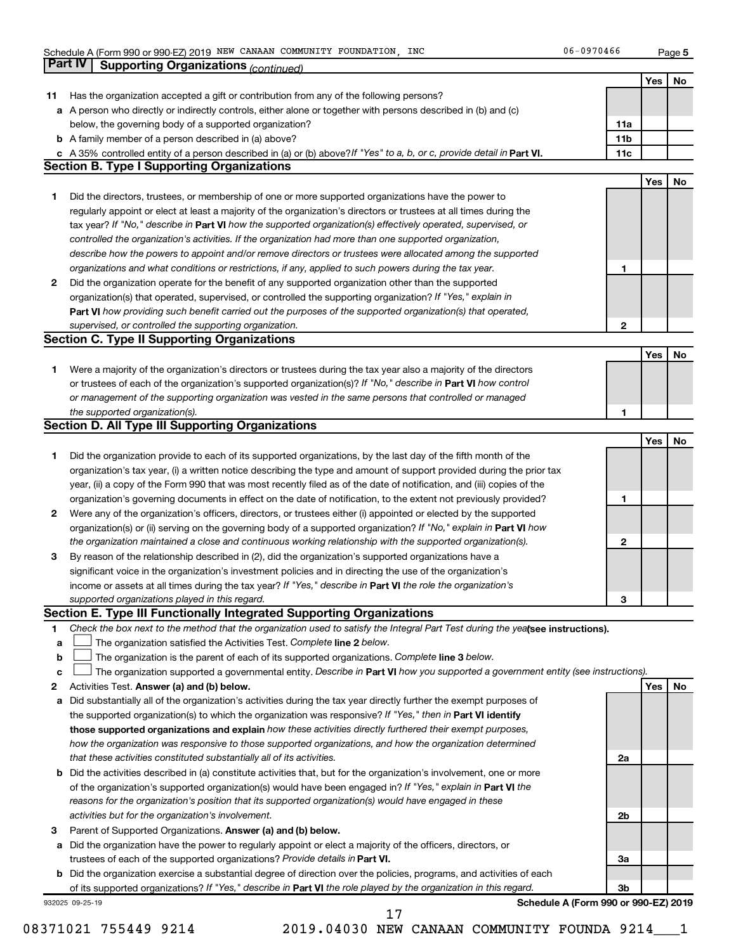**5**

|    | Part IV<br><b>Supporting Organizations (continued)</b>                                                                                                                       |                 |     |    |
|----|------------------------------------------------------------------------------------------------------------------------------------------------------------------------------|-----------------|-----|----|
|    |                                                                                                                                                                              |                 | Yes | No |
| 11 | Has the organization accepted a gift or contribution from any of the following persons?                                                                                      |                 |     |    |
|    | a A person who directly or indirectly controls, either alone or together with persons described in (b) and (c)                                                               |                 |     |    |
|    | below, the governing body of a supported organization?                                                                                                                       | 11a             |     |    |
|    | <b>b</b> A family member of a person described in (a) above?                                                                                                                 | 11 <sub>b</sub> |     |    |
|    |                                                                                                                                                                              | 11c             |     |    |
|    | c A 35% controlled entity of a person described in (a) or (b) above? If "Yes" to a, b, or c, provide detail in Part VI.<br><b>Section B. Type I Supporting Organizations</b> |                 |     |    |
|    |                                                                                                                                                                              |                 |     |    |
|    |                                                                                                                                                                              |                 | Yes | No |
| 1. | Did the directors, trustees, or membership of one or more supported organizations have the power to                                                                          |                 |     |    |
|    | regularly appoint or elect at least a majority of the organization's directors or trustees at all times during the                                                           |                 |     |    |
|    | tax year? If "No," describe in Part VI how the supported organization(s) effectively operated, supervised, or                                                                |                 |     |    |
|    | controlled the organization's activities. If the organization had more than one supported organization,                                                                      |                 |     |    |
|    | describe how the powers to appoint and/or remove directors or trustees were allocated among the supported                                                                    |                 |     |    |
|    | organizations and what conditions or restrictions, if any, applied to such powers during the tax year.                                                                       | 1               |     |    |
| 2  | Did the organization operate for the benefit of any supported organization other than the supported                                                                          |                 |     |    |
|    | organization(s) that operated, supervised, or controlled the supporting organization? If "Yes," explain in                                                                   |                 |     |    |
|    | Part VI how providing such benefit carried out the purposes of the supported organization(s) that operated,                                                                  |                 |     |    |
|    | supervised, or controlled the supporting organization.                                                                                                                       | $\mathbf{2}$    |     |    |
|    | <b>Section C. Type II Supporting Organizations</b>                                                                                                                           |                 |     |    |
|    |                                                                                                                                                                              |                 | Yes | No |
| 1. | Were a majority of the organization's directors or trustees during the tax year also a majority of the directors                                                             |                 |     |    |
|    | or trustees of each of the organization's supported organization(s)? If "No," describe in Part VI how control                                                                |                 |     |    |
|    | or management of the supporting organization was vested in the same persons that controlled or managed                                                                       |                 |     |    |
|    | the supported organization(s).                                                                                                                                               | 1               |     |    |
|    | <b>Section D. All Type III Supporting Organizations</b>                                                                                                                      |                 |     |    |
|    |                                                                                                                                                                              |                 | Yes | No |
| 1  | Did the organization provide to each of its supported organizations, by the last day of the fifth month of the                                                               |                 |     |    |
|    | organization's tax year, (i) a written notice describing the type and amount of support provided during the prior tax                                                        |                 |     |    |
|    |                                                                                                                                                                              |                 |     |    |
|    | year, (ii) a copy of the Form 990 that was most recently filed as of the date of notification, and (iii) copies of the                                                       |                 |     |    |
|    | organization's governing documents in effect on the date of notification, to the extent not previously provided?                                                             | 1               |     |    |
| 2  | Were any of the organization's officers, directors, or trustees either (i) appointed or elected by the supported                                                             |                 |     |    |
|    | organization(s) or (ii) serving on the governing body of a supported organization? If "No," explain in Part VI how                                                           |                 |     |    |
|    | the organization maintained a close and continuous working relationship with the supported organization(s).                                                                  | 2               |     |    |
| 3  | By reason of the relationship described in (2), did the organization's supported organizations have a                                                                        |                 |     |    |
|    | significant voice in the organization's investment policies and in directing the use of the organization's                                                                   |                 |     |    |
|    | income or assets at all times during the tax year? If "Yes," describe in Part VI the role the organization's                                                                 |                 |     |    |
|    | supported organizations played in this regard.                                                                                                                               | з               |     |    |
|    | Section E. Type III Functionally Integrated Supporting Organizations                                                                                                         |                 |     |    |
| 1  | Check the box next to the method that the organization used to satisfy the Integral Part Test during the yealsee instructions).                                              |                 |     |    |
| а  | The organization satisfied the Activities Test. Complete line 2 below.                                                                                                       |                 |     |    |
| b  | The organization is the parent of each of its supported organizations. Complete line 3 below.                                                                                |                 |     |    |
| с  | The organization supported a governmental entity. Describe in Part VI how you supported a government entity (see instructions).                                              |                 |     |    |
| 2  | Activities Test. Answer (a) and (b) below.                                                                                                                                   |                 | Yes | No |
| а  | Did substantially all of the organization's activities during the tax year directly further the exempt purposes of                                                           |                 |     |    |
|    | the supported organization(s) to which the organization was responsive? If "Yes," then in Part VI identify                                                                   |                 |     |    |
|    | those supported organizations and explain how these activities directly furthered their exempt purposes,                                                                     |                 |     |    |
|    | how the organization was responsive to those supported organizations, and how the organization determined                                                                    |                 |     |    |
|    | that these activities constituted substantially all of its activities.                                                                                                       | 2a              |     |    |
| b  | Did the activities described in (a) constitute activities that, but for the organization's involvement, one or more                                                          |                 |     |    |
|    | of the organization's supported organization(s) would have been engaged in? If "Yes," explain in Part VI the                                                                 |                 |     |    |
|    | reasons for the organization's position that its supported organization(s) would have engaged in these                                                                       |                 |     |    |
|    | activities but for the organization's involvement.                                                                                                                           | 2b              |     |    |
| 3  | Parent of Supported Organizations. Answer (a) and (b) below.                                                                                                                 |                 |     |    |
|    | Did the organization have the power to regularly appoint or elect a majority of the officers, directors, or                                                                  |                 |     |    |
| а  |                                                                                                                                                                              |                 |     |    |
|    | trustees of each of the supported organizations? Provide details in Part VI.                                                                                                 | За              |     |    |
|    | <b>b</b> Did the organization exercise a substantial degree of direction over the policies, programs, and activities of each                                                 |                 |     |    |
|    | of its supported organizations? If "Yes," describe in Part VI the role played by the organization in this regard.                                                            | Зb              |     |    |
|    | Schedule A (Form 990 or 990-EZ) 2019<br>932025 09-25-19<br>17                                                                                                                |                 |     |    |
|    |                                                                                                                                                                              |                 |     |    |

08371021 755449 9214 2019.04030 NEW CANAAN COMMUNITY FOUNDA 9214\_\_\_1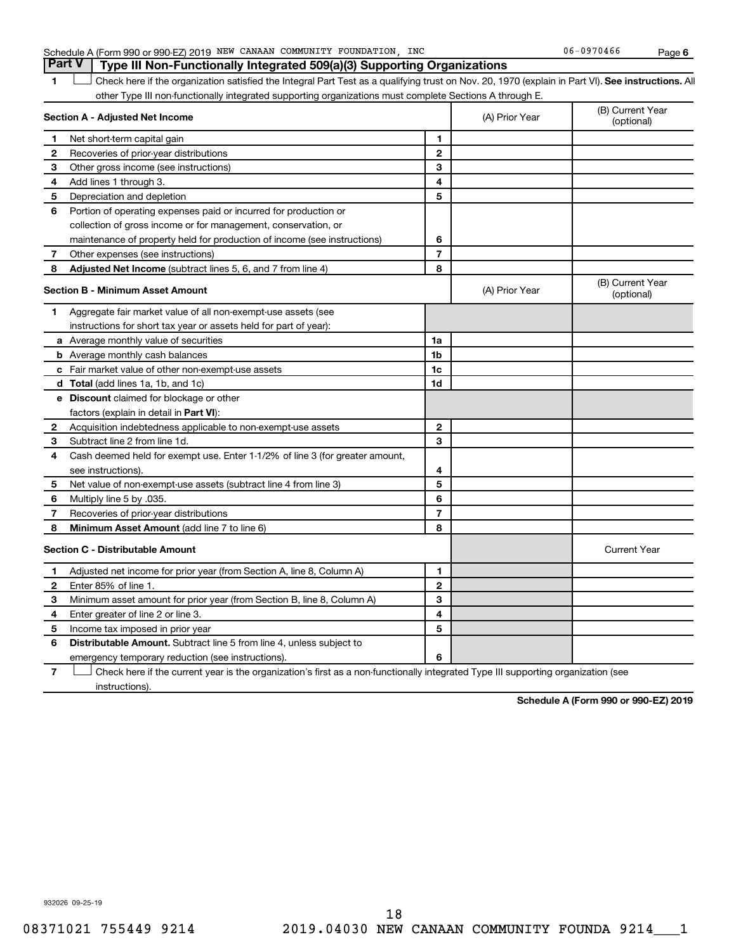| Part V   Type III Non-Functionally Integrated 509(a)(3) Supporting Organizations |  |
|----------------------------------------------------------------------------------|--|
|                                                                                  |  |

**6**

1 **Letter See instructions.** All Check here if the organization satisfied the Integral Part Test as a qualifying trust on Nov. 20, 1970 (explain in Part VI). See instructions. All other Type III non-functionally integrated supporting organizations must complete Sections A through E.

|    | Section A - Adjusted Net Income                                              |                | (A) Prior Year | (B) Current Year<br>(optional) |
|----|------------------------------------------------------------------------------|----------------|----------------|--------------------------------|
| 1  | Net short-term capital gain                                                  | 1              |                |                                |
| 2  | Recoveries of prior-year distributions                                       | $\mathbf{2}$   |                |                                |
| 3  | Other gross income (see instructions)                                        | 3              |                |                                |
| 4  | Add lines 1 through 3.                                                       | 4              |                |                                |
| 5  | Depreciation and depletion                                                   | 5              |                |                                |
| 6  | Portion of operating expenses paid or incurred for production or             |                |                |                                |
|    | collection of gross income or for management, conservation, or               |                |                |                                |
|    | maintenance of property held for production of income (see instructions)     | 6              |                |                                |
| 7  | Other expenses (see instructions)                                            | $\overline{7}$ |                |                                |
| 8  | Adjusted Net Income (subtract lines 5, 6, and 7 from line 4)                 | 8              |                |                                |
|    | <b>Section B - Minimum Asset Amount</b>                                      |                | (A) Prior Year | (B) Current Year<br>(optional) |
| 1. | Aggregate fair market value of all non-exempt-use assets (see                |                |                |                                |
|    | instructions for short tax year or assets held for part of year):            |                |                |                                |
|    | a Average monthly value of securities                                        | 1a             |                |                                |
|    | <b>b</b> Average monthly cash balances                                       | 1 <sub>b</sub> |                |                                |
|    | c Fair market value of other non-exempt-use assets                           | 1c             |                |                                |
|    | <b>d</b> Total (add lines 1a, 1b, and 1c)                                    | 1d             |                |                                |
|    | e Discount claimed for blockage or other                                     |                |                |                                |
|    | factors (explain in detail in Part VI):                                      |                |                |                                |
| 2  | Acquisition indebtedness applicable to non-exempt-use assets                 | $\mathbf{2}$   |                |                                |
| 3  | Subtract line 2 from line 1d.                                                | 3              |                |                                |
| 4  | Cash deemed held for exempt use. Enter 1-1/2% of line 3 (for greater amount, |                |                |                                |
|    | see instructions).                                                           | 4              |                |                                |
| 5  | Net value of non-exempt-use assets (subtract line 4 from line 3)             | 5              |                |                                |
| 6  | Multiply line 5 by .035.                                                     | 6              |                |                                |
| 7  | Recoveries of prior-year distributions                                       | $\overline{7}$ |                |                                |
| 8  | Minimum Asset Amount (add line 7 to line 6)                                  | 8              |                |                                |
|    | <b>Section C - Distributable Amount</b>                                      |                |                | <b>Current Year</b>            |
| 1  | Adjusted net income for prior year (from Section A, line 8, Column A)        | 1              |                |                                |
| 2  | Enter 85% of line 1.                                                         | $\mathbf{2}$   |                |                                |
| 3  | Minimum asset amount for prior year (from Section B, line 8, Column A)       | 3              |                |                                |
| 4  | Enter greater of line 2 or line 3.                                           | 4              |                |                                |
| 5  | Income tax imposed in prior year                                             | 5              |                |                                |
| 6  | <b>Distributable Amount.</b> Subtract line 5 from line 4, unless subject to  |                |                |                                |
|    | emergency temporary reduction (see instructions).                            | 6              |                |                                |
|    |                                                                              |                |                |                                |

**7** Check here if the current year is the organization's first as a non-functionally integrated Type III supporting organization (see † instructions).

**Schedule A (Form 990 or 990-EZ) 2019**

932026 09-25-19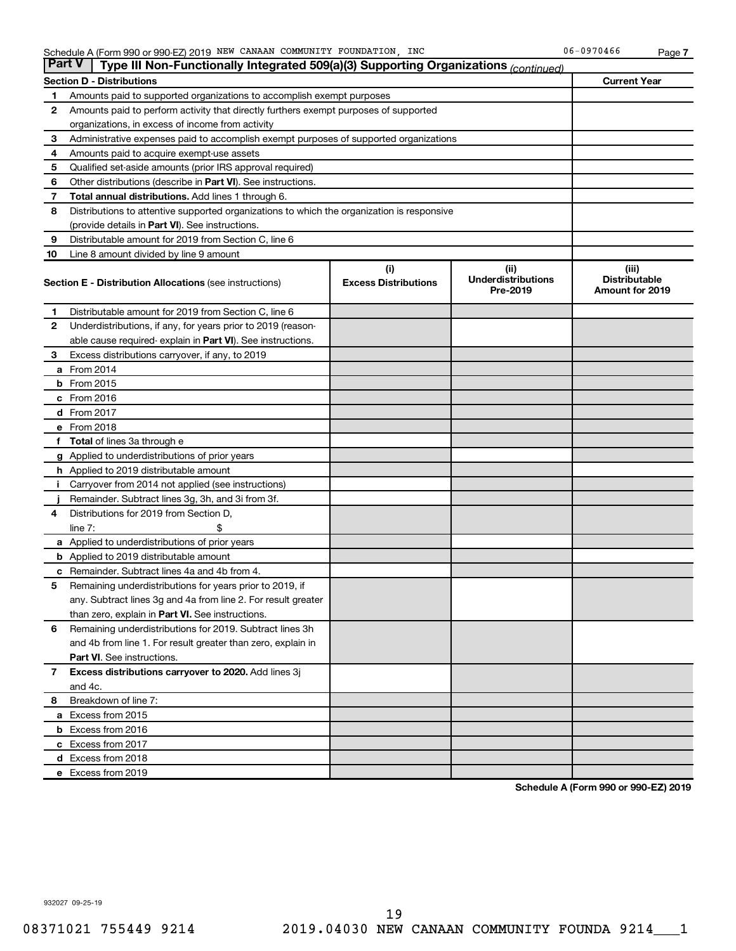| <b>Part V</b>  | Type III Non-Functionally Integrated 509(a)(3) Supporting Organizations (continued)        |                                    |                                               |                                                  |
|----------------|--------------------------------------------------------------------------------------------|------------------------------------|-----------------------------------------------|--------------------------------------------------|
|                | <b>Section D - Distributions</b>                                                           |                                    |                                               | <b>Current Year</b>                              |
| 1              | Amounts paid to supported organizations to accomplish exempt purposes                      |                                    |                                               |                                                  |
| $\mathbf{2}$   | Amounts paid to perform activity that directly furthers exempt purposes of supported       |                                    |                                               |                                                  |
|                | organizations, in excess of income from activity                                           |                                    |                                               |                                                  |
| 3              | Administrative expenses paid to accomplish exempt purposes of supported organizations      |                                    |                                               |                                                  |
| 4              | Amounts paid to acquire exempt-use assets                                                  |                                    |                                               |                                                  |
| 5              | Qualified set-aside amounts (prior IRS approval required)                                  |                                    |                                               |                                                  |
| 6              | Other distributions (describe in <b>Part VI</b> ). See instructions.                       |                                    |                                               |                                                  |
| 7              | Total annual distributions. Add lines 1 through 6.                                         |                                    |                                               |                                                  |
| 8              | Distributions to attentive supported organizations to which the organization is responsive |                                    |                                               |                                                  |
|                | (provide details in Part VI). See instructions.                                            |                                    |                                               |                                                  |
| 9              | Distributable amount for 2019 from Section C, line 6                                       |                                    |                                               |                                                  |
| 10             | Line 8 amount divided by line 9 amount                                                     |                                    |                                               |                                                  |
|                | <b>Section E - Distribution Allocations (see instructions)</b>                             | (i)<br><b>Excess Distributions</b> | (ii)<br><b>Underdistributions</b><br>Pre-2019 | (iii)<br><b>Distributable</b><br>Amount for 2019 |
| 1              | Distributable amount for 2019 from Section C, line 6                                       |                                    |                                               |                                                  |
| $\mathbf{2}$   | Underdistributions, if any, for years prior to 2019 (reason-                               |                                    |                                               |                                                  |
|                | able cause required-explain in Part VI). See instructions.                                 |                                    |                                               |                                                  |
| 3              | Excess distributions carryover, if any, to 2019                                            |                                    |                                               |                                                  |
|                | a From 2014                                                                                |                                    |                                               |                                                  |
|                | <b>b</b> From 2015                                                                         |                                    |                                               |                                                  |
|                | c From 2016                                                                                |                                    |                                               |                                                  |
|                | d From 2017                                                                                |                                    |                                               |                                                  |
|                | e From 2018                                                                                |                                    |                                               |                                                  |
|                | f Total of lines 3a through e                                                              |                                    |                                               |                                                  |
|                | <b>g</b> Applied to underdistributions of prior years                                      |                                    |                                               |                                                  |
|                | <b>h</b> Applied to 2019 distributable amount                                              |                                    |                                               |                                                  |
| Ť.             | Carryover from 2014 not applied (see instructions)                                         |                                    |                                               |                                                  |
|                | Remainder. Subtract lines 3g, 3h, and 3i from 3f.                                          |                                    |                                               |                                                  |
| 4              | Distributions for 2019 from Section D,                                                     |                                    |                                               |                                                  |
|                | line $7:$                                                                                  |                                    |                                               |                                                  |
|                | <b>a</b> Applied to underdistributions of prior years                                      |                                    |                                               |                                                  |
|                | <b>b</b> Applied to 2019 distributable amount                                              |                                    |                                               |                                                  |
| c              | Remainder. Subtract lines 4a and 4b from 4.                                                |                                    |                                               |                                                  |
| 5              | Remaining underdistributions for years prior to 2019, if                                   |                                    |                                               |                                                  |
|                | any. Subtract lines 3g and 4a from line 2. For result greater                              |                                    |                                               |                                                  |
|                | than zero, explain in Part VI. See instructions.                                           |                                    |                                               |                                                  |
| 6              | Remaining underdistributions for 2019. Subtract lines 3h                                   |                                    |                                               |                                                  |
|                | and 4b from line 1. For result greater than zero, explain in                               |                                    |                                               |                                                  |
|                | <b>Part VI.</b> See instructions.                                                          |                                    |                                               |                                                  |
| $\overline{7}$ | Excess distributions carryover to 2020. Add lines 3j                                       |                                    |                                               |                                                  |
|                | and 4c.                                                                                    |                                    |                                               |                                                  |
| 8              | Breakdown of line 7:                                                                       |                                    |                                               |                                                  |
|                | a Excess from 2015                                                                         |                                    |                                               |                                                  |
|                | <b>b</b> Excess from 2016                                                                  |                                    |                                               |                                                  |
|                | c Excess from 2017                                                                         |                                    |                                               |                                                  |
|                | d Excess from 2018                                                                         |                                    |                                               |                                                  |
|                | e Excess from 2019                                                                         |                                    |                                               |                                                  |

**Schedule A (Form 990 or 990-EZ) 2019**

932027 09-25-19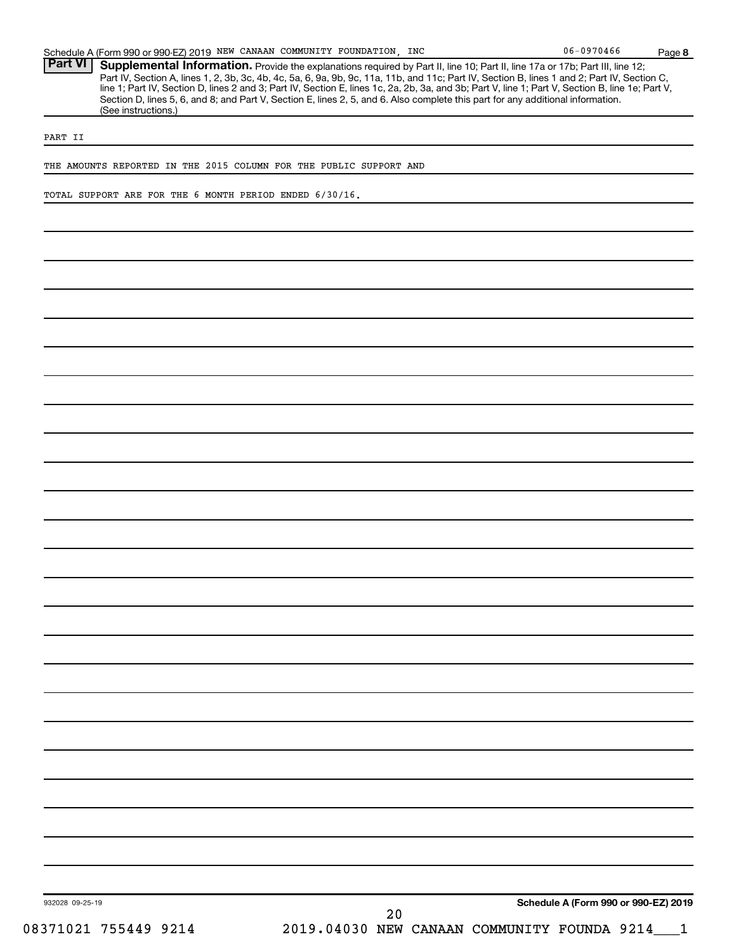| Schedule A (Form 990 or 990-EZ) 2019 NEW CANAAN COMMUNITY FOUNDATION, INC                                                                        | $06 - 0970466$ | Page 8 |
|--------------------------------------------------------------------------------------------------------------------------------------------------|----------------|--------|
| <b>Part VI</b><br>Supplemental Information. Provide the explanations required by Part II, line 10; Part II, line 17a or 17b; Part III, line 12;  |                |        |
| Part IV, Section A, lines 1, 2, 3b, 3c, 4b, 4c, 5a, 6, 9a, 9b, 9c, 11a, 11b, and 11c; Part IV, Section B, lines 1 and 2; Part IV, Section C,     |                |        |
| line 1; Part IV, Section D, lines 2 and 3; Part IV, Section E, lines 1c, 2a, 2b, 3a, and 3b; Part V, line 1; Part V, Section B, line 1e; Part V, |                |        |
| Section D, lines 5, 6, and 8; and Part V, Section E, lines 2, 5, and 6. Also complete this part for any additional information.                  |                |        |
| (See instructions.)                                                                                                                              |                |        |
|                                                                                                                                                  |                |        |
| PART II                                                                                                                                          |                |        |
|                                                                                                                                                  |                |        |
| THE AMOUNTS REPORTED IN THE 2015 COLUMN FOR THE PUBLIC SUPPORT AND                                                                               |                |        |
|                                                                                                                                                  |                |        |
|                                                                                                                                                  |                |        |
| TOTAL SUPPORT ARE FOR THE 6 MONTH PERIOD ENDED 6/30/16.                                                                                          |                |        |
|                                                                                                                                                  |                |        |
|                                                                                                                                                  |                |        |
|                                                                                                                                                  |                |        |
|                                                                                                                                                  |                |        |
|                                                                                                                                                  |                |        |
|                                                                                                                                                  |                |        |
|                                                                                                                                                  |                |        |
|                                                                                                                                                  |                |        |
|                                                                                                                                                  |                |        |
|                                                                                                                                                  |                |        |
|                                                                                                                                                  |                |        |
|                                                                                                                                                  |                |        |
|                                                                                                                                                  |                |        |
|                                                                                                                                                  |                |        |
|                                                                                                                                                  |                |        |
|                                                                                                                                                  |                |        |
|                                                                                                                                                  |                |        |
|                                                                                                                                                  |                |        |
|                                                                                                                                                  |                |        |
|                                                                                                                                                  |                |        |
|                                                                                                                                                  |                |        |
|                                                                                                                                                  |                |        |
|                                                                                                                                                  |                |        |
|                                                                                                                                                  |                |        |
|                                                                                                                                                  |                |        |
|                                                                                                                                                  |                |        |
|                                                                                                                                                  |                |        |
|                                                                                                                                                  |                |        |
|                                                                                                                                                  |                |        |
|                                                                                                                                                  |                |        |
|                                                                                                                                                  |                |        |
|                                                                                                                                                  |                |        |
|                                                                                                                                                  |                |        |
|                                                                                                                                                  |                |        |
|                                                                                                                                                  |                |        |
|                                                                                                                                                  |                |        |
|                                                                                                                                                  |                |        |
|                                                                                                                                                  |                |        |

932028 09-25-19

20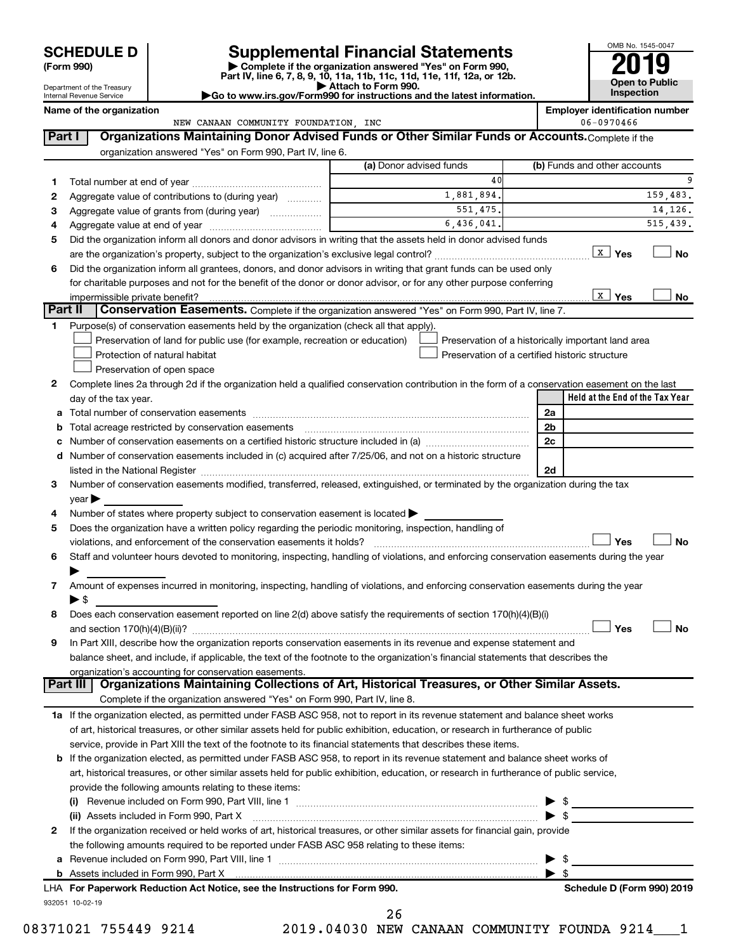| (Form 990) |  |
|------------|--|
|------------|--|

# **SCHEDULE D Supplemental Financial Statements**<br> **Form 990 2019**<br> **Part IV** line 6.7.8.9.10, 11a, 11b, 11d, 11d, 11d, 11d, 11d, 12a, 0r, 12b

**(Form 990) | Complete if the organization answered "Yes" on Form 990, Part IV, line 6, 7, 8, 9, 10, 11a, 11b, 11c, 11d, 11e, 11f, 12a, or 12b.**

**| Attach to Form 990. |Go to www.irs.gov/Form990 for instructions and the latest information.**



Department of the Treasury Internal Revenue Service

|         | Name of the organization<br>NEW CANAAN COMMUNITY FOUNDATION, INC                                                                                                                                                                        |                         | <b>Employer identification number</b><br>06-0970466 |
|---------|-----------------------------------------------------------------------------------------------------------------------------------------------------------------------------------------------------------------------------------------|-------------------------|-----------------------------------------------------|
| Part I  | Organizations Maintaining Donor Advised Funds or Other Similar Funds or Accounts. Complete if the                                                                                                                                       |                         |                                                     |
|         |                                                                                                                                                                                                                                         |                         |                                                     |
|         | organization answered "Yes" on Form 990, Part IV, line 6.                                                                                                                                                                               | (a) Donor advised funds | (b) Funds and other accounts                        |
|         |                                                                                                                                                                                                                                         | 40                      |                                                     |
| 1.      |                                                                                                                                                                                                                                         | 1,881,894.              | 159,483.                                            |
| 2       | Aggregate value of contributions to (during year)                                                                                                                                                                                       | 551,475.                | 14,126.                                             |
| з       | Aggregate value of grants from (during year)                                                                                                                                                                                            | 6,436,041.              | 515,439.                                            |
| 4       | Did the organization inform all donors and donor advisors in writing that the assets held in donor advised funds                                                                                                                        |                         |                                                     |
| 5       |                                                                                                                                                                                                                                         |                         | x  <br>Yes<br><b>No</b>                             |
|         |                                                                                                                                                                                                                                         |                         |                                                     |
| 6       | Did the organization inform all grantees, donors, and donor advisors in writing that grant funds can be used only<br>for charitable purposes and not for the benefit of the donor or donor advisor, or for any other purpose conferring |                         |                                                     |
|         |                                                                                                                                                                                                                                         |                         | $\vert x \vert$<br>Yes<br>No                        |
| Part II | impermissible private benefit?<br><b>Conservation Easements.</b> Complete if the organization answered "Yes" on Form 990, Part IV, line 7.                                                                                              |                         |                                                     |
| 1       | Purpose(s) of conservation easements held by the organization (check all that apply).                                                                                                                                                   |                         |                                                     |
|         | Preservation of land for public use (for example, recreation or education)                                                                                                                                                              |                         | Preservation of a historically important land area  |
|         | Protection of natural habitat                                                                                                                                                                                                           |                         | Preservation of a certified historic structure      |
|         | Preservation of open space                                                                                                                                                                                                              |                         |                                                     |
| 2       | Complete lines 2a through 2d if the organization held a qualified conservation contribution in the form of a conservation easement on the last                                                                                          |                         |                                                     |
|         | day of the tax year.                                                                                                                                                                                                                    |                         | Held at the End of the Tax Year                     |
| а       | Total number of conservation easements                                                                                                                                                                                                  |                         | 2a                                                  |
| b       |                                                                                                                                                                                                                                         |                         | 2b                                                  |
|         |                                                                                                                                                                                                                                         |                         | 2c                                                  |
| d       | Number of conservation easements included in (c) acquired after 7/25/06, and not on a historic structure                                                                                                                                |                         |                                                     |
|         |                                                                                                                                                                                                                                         |                         | 2d                                                  |
| 3       | Number of conservation easements modified, transferred, released, extinguished, or terminated by the organization during the tax                                                                                                        |                         |                                                     |
|         | year                                                                                                                                                                                                                                    |                         |                                                     |
| 4       | Number of states where property subject to conservation easement is located $\blacktriangleright$                                                                                                                                       |                         |                                                     |
| 5       | Does the organization have a written policy regarding the periodic monitoring, inspection, handling of                                                                                                                                  |                         |                                                     |
|         | violations, and enforcement of the conservation easements it holds?                                                                                                                                                                     |                         | Yes<br><b>No</b>                                    |
| 6       | Staff and volunteer hours devoted to monitoring, inspecting, handling of violations, and enforcing conservation easements during the year                                                                                               |                         |                                                     |
|         |                                                                                                                                                                                                                                         |                         |                                                     |
| 7       | Amount of expenses incurred in monitoring, inspecting, handling of violations, and enforcing conservation easements during the year                                                                                                     |                         |                                                     |
|         | ▶ \$                                                                                                                                                                                                                                    |                         |                                                     |
| 8       | Does each conservation easement reported on line 2(d) above satisfy the requirements of section 170(h)(4)(B)(i)                                                                                                                         |                         |                                                     |
|         |                                                                                                                                                                                                                                         |                         | Yes<br>No                                           |
| 9       | In Part XIII, describe how the organization reports conservation easements in its revenue and expense statement and                                                                                                                     |                         |                                                     |
|         | balance sheet, and include, if applicable, the text of the footnote to the organization's financial statements that describes the                                                                                                       |                         |                                                     |
|         | organization's accounting for conservation easements.                                                                                                                                                                                   |                         |                                                     |
|         | Organizations Maintaining Collections of Art, Historical Treasures, or Other Similar Assets.<br>Part III                                                                                                                                |                         |                                                     |
|         | Complete if the organization answered "Yes" on Form 990, Part IV, line 8.                                                                                                                                                               |                         |                                                     |
|         | 1a If the organization elected, as permitted under FASB ASC 958, not to report in its revenue statement and balance sheet works                                                                                                         |                         |                                                     |
|         | of art, historical treasures, or other similar assets held for public exhibition, education, or research in furtherance of public                                                                                                       |                         |                                                     |
|         | service, provide in Part XIII the text of the footnote to its financial statements that describes these items.                                                                                                                          |                         |                                                     |
|         | <b>b</b> If the organization elected, as permitted under FASB ASC 958, to report in its revenue statement and balance sheet works of                                                                                                    |                         |                                                     |
|         | art, historical treasures, or other similar assets held for public exhibition, education, or research in furtherance of public service,                                                                                                 |                         |                                                     |
|         | provide the following amounts relating to these items:                                                                                                                                                                                  |                         |                                                     |
|         |                                                                                                                                                                                                                                         |                         |                                                     |
|         | (ii) Assets included in Form 990, Part X                                                                                                                                                                                                |                         | $\blacktriangleright$ \$                            |
| 2       | If the organization received or held works of art, historical treasures, or other similar assets for financial gain, provide                                                                                                            |                         |                                                     |
|         | the following amounts required to be reported under FASB ASC 958 relating to these items:                                                                                                                                               |                         |                                                     |
| а       |                                                                                                                                                                                                                                         |                         | $\blacktriangleright$ \$                            |
|         |                                                                                                                                                                                                                                         |                         |                                                     |

| LHA For Paperwork Reduction Act Notice, see the Instructions for Form 990. |
|----------------------------------------------------------------------------|
| 932051 10-02-19                                                            |

08371021 755449 9214 2019.04030 NEW CANAAN COMMUNITY FOUNDA 9214 1 26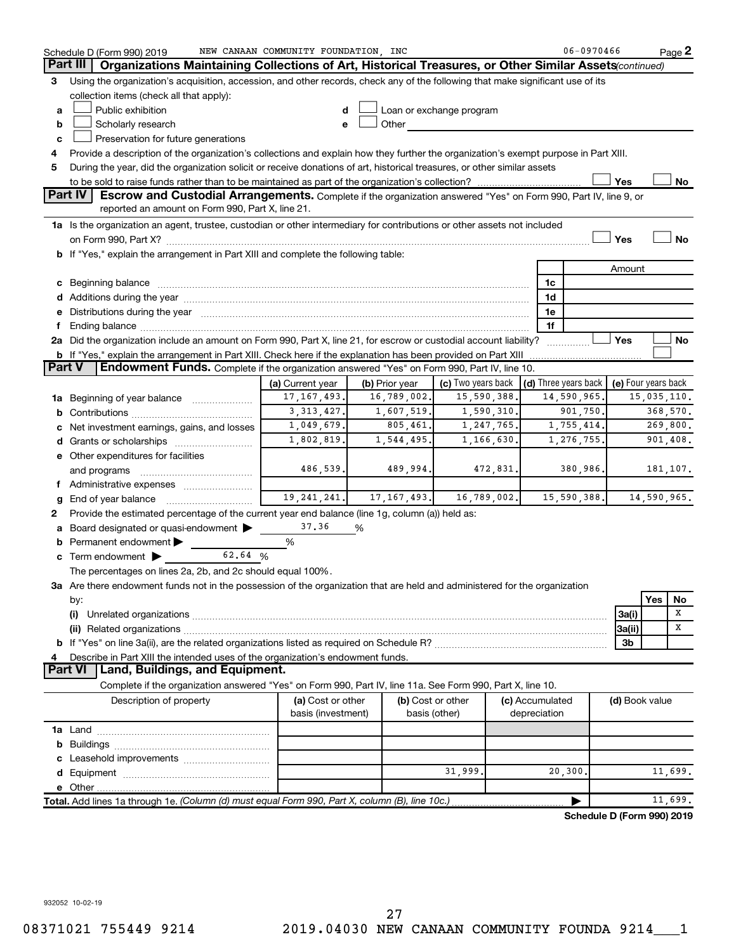|               | Schedule D (Form 990) 2019                                                                                                                                                                                                                  | NEW CANAAN COMMUNITY FOUNDATION, INC    |                |                                    |                                      | $06 - 0970466$             |                     |             | Page 2      |
|---------------|---------------------------------------------------------------------------------------------------------------------------------------------------------------------------------------------------------------------------------------------|-----------------------------------------|----------------|------------------------------------|--------------------------------------|----------------------------|---------------------|-------------|-------------|
|               | Part III<br>Organizations Maintaining Collections of Art, Historical Treasures, or Other Similar Assets(continued)                                                                                                                          |                                         |                |                                    |                                      |                            |                     |             |             |
| 3             | Using the organization's acquisition, accession, and other records, check any of the following that make significant use of its                                                                                                             |                                         |                |                                    |                                      |                            |                     |             |             |
|               | collection items (check all that apply):                                                                                                                                                                                                    |                                         |                |                                    |                                      |                            |                     |             |             |
| a             | Public exhibition                                                                                                                                                                                                                           |                                         |                | Loan or exchange program           |                                      |                            |                     |             |             |
| b             | Scholarly research                                                                                                                                                                                                                          |                                         | Other          |                                    |                                      |                            |                     |             |             |
| c             | Preservation for future generations                                                                                                                                                                                                         |                                         |                |                                    |                                      |                            |                     |             |             |
| 4             | Provide a description of the organization's collections and explain how they further the organization's exempt purpose in Part XIII.                                                                                                        |                                         |                |                                    |                                      |                            |                     |             |             |
| 5             | During the year, did the organization solicit or receive donations of art, historical treasures, or other similar assets                                                                                                                    |                                         |                |                                    |                                      |                            |                     |             |             |
|               |                                                                                                                                                                                                                                             |                                         |                |                                    |                                      |                            | Yes                 |             | No          |
|               | <b>Part IV</b><br>Escrow and Custodial Arrangements. Complete if the organization answered "Yes" on Form 990, Part IV, line 9, or                                                                                                           |                                         |                |                                    |                                      |                            |                     |             |             |
|               | reported an amount on Form 990, Part X, line 21.                                                                                                                                                                                            |                                         |                |                                    |                                      |                            |                     |             |             |
|               | 1a Is the organization an agent, trustee, custodian or other intermediary for contributions or other assets not included                                                                                                                    |                                         |                |                                    |                                      |                            |                     |             |             |
|               |                                                                                                                                                                                                                                             |                                         |                |                                    |                                      |                            | Yes                 |             | No          |
|               | <b>b</b> If "Yes," explain the arrangement in Part XIII and complete the following table:                                                                                                                                                   |                                         |                |                                    |                                      |                            |                     |             |             |
|               |                                                                                                                                                                                                                                             |                                         |                |                                    |                                      |                            | Amount              |             |             |
|               |                                                                                                                                                                                                                                             |                                         |                |                                    | 1c                                   |                            |                     |             |             |
|               |                                                                                                                                                                                                                                             |                                         |                |                                    | 1d                                   |                            |                     |             |             |
|               | e Distributions during the year manufactured and continuum and contact the year manufactured and contact the year manufactured and contact the year manufactured and contact the year manufactured and contact the year manufa              |                                         |                |                                    | 1e                                   |                            |                     |             |             |
|               | Ending balance manufactured and contact the contract of the contract of the contract of the contract of the contract of the contract of the contract of the contract of the contract of the contract of the contract of the co              |                                         |                |                                    | 1f                                   |                            | Yes                 |             |             |
|               | 2a Did the organization include an amount on Form 990, Part X, line 21, for escrow or custodial account liability?<br><b>b</b> If "Yes," explain the arrangement in Part XIII. Check here if the explanation has been provided on Part XIII |                                         |                |                                    |                                      |                            |                     |             | No          |
| <b>Part V</b> | Endowment Funds. Complete if the organization answered "Yes" on Form 990, Part IV, line 10.                                                                                                                                                 |                                         |                |                                    |                                      |                            |                     |             |             |
|               |                                                                                                                                                                                                                                             | (a) Current year                        | (b) Prior year | (c) Two years back                 | $\vert$ (d) Three years back $\vert$ |                            | (e) Four years back |             |             |
| 1a            | Beginning of year balance                                                                                                                                                                                                                   | 17, 167, 493.                           | 16,789,002.    | 15,590,388                         |                                      | 14,590,965.                |                     | 15,035,110. |             |
| b             |                                                                                                                                                                                                                                             | 3, 313, 427.                            | 1,607,519.     | 1,590,310.                         |                                      | 901,750.                   |                     |             | 368,570.    |
|               | Net investment earnings, gains, and losses                                                                                                                                                                                                  | 1,049,679.                              | 805,461.       | 1,247,765.                         |                                      | 1,755,414.                 |                     |             | 269,800.    |
|               | <b>d</b> Grants or scholarships                                                                                                                                                                                                             | 1,802,819.                              | 1,544,495.     | 1,166,630.                         |                                      | 1,276,755.                 |                     |             | 901,408.    |
|               | e Other expenditures for facilities                                                                                                                                                                                                         |                                         |                |                                    |                                      |                            |                     |             |             |
|               | and programs                                                                                                                                                                                                                                | 486,539.                                | 489,994.       | 472,831.                           |                                      | 380,986.                   |                     |             | 181,107.    |
|               | f Administrative expenses                                                                                                                                                                                                                   |                                         |                |                                    |                                      |                            |                     |             |             |
|               | End of year balance                                                                                                                                                                                                                         | 19, 241, 241.                           | 17, 167, 493.  | 16,789,002.                        |                                      | 15,590,388.                |                     |             | 14,590,965. |
| 2             | Provide the estimated percentage of the current year end balance (line 1g, column (a)) held as:                                                                                                                                             |                                         |                |                                    |                                      |                            |                     |             |             |
|               | Board designated or quasi-endowment                                                                                                                                                                                                         | 37.36                                   | %              |                                    |                                      |                            |                     |             |             |
| b             | Permanent endowment                                                                                                                                                                                                                         | %                                       |                |                                    |                                      |                            |                     |             |             |
|               | 62.64 %<br>$\mathbf c$ Term endowment $\blacktriangleright$                                                                                                                                                                                 |                                         |                |                                    |                                      |                            |                     |             |             |
|               | The percentages on lines 2a, 2b, and 2c should equal 100%.                                                                                                                                                                                  |                                         |                |                                    |                                      |                            |                     |             |             |
|               | 3a Are there endowment funds not in the possession of the organization that are held and administered for the organization                                                                                                                  |                                         |                |                                    |                                      |                            |                     |             |             |
|               | by:                                                                                                                                                                                                                                         |                                         |                |                                    |                                      |                            |                     | Yes         | No          |
|               | (i)                                                                                                                                                                                                                                         |                                         |                |                                    |                                      |                            | 3a(i)               |             | х           |
|               |                                                                                                                                                                                                                                             |                                         |                |                                    |                                      |                            | 3a(ii)              |             | х           |
|               |                                                                                                                                                                                                                                             |                                         |                |                                    |                                      |                            | 3b                  |             |             |
|               | Describe in Part XIII the intended uses of the organization's endowment funds.                                                                                                                                                              |                                         |                |                                    |                                      |                            |                     |             |             |
|               | Land, Buildings, and Equipment.<br><b>Part VI</b>                                                                                                                                                                                           |                                         |                |                                    |                                      |                            |                     |             |             |
|               | Complete if the organization answered "Yes" on Form 990, Part IV, line 11a. See Form 990, Part X, line 10.                                                                                                                                  |                                         |                |                                    |                                      |                            |                     |             |             |
|               | Description of property                                                                                                                                                                                                                     | (a) Cost or other<br>basis (investment) |                | (b) Cost or other<br>basis (other) | (c) Accumulated<br>depreciation      |                            | (d) Book value      |             |             |
|               |                                                                                                                                                                                                                                             |                                         |                |                                    |                                      |                            |                     |             |             |
| b             |                                                                                                                                                                                                                                             |                                         |                |                                    |                                      |                            |                     |             |             |
|               |                                                                                                                                                                                                                                             |                                         |                |                                    |                                      |                            |                     |             |             |
|               |                                                                                                                                                                                                                                             |                                         |                | 31,999                             | 20,300.                              |                            |                     |             | 11,699.     |
|               |                                                                                                                                                                                                                                             |                                         |                |                                    |                                      |                            |                     |             |             |
|               | Total. Add lines 1a through 1e. (Column (d) must equal Form 990, Part X, column (B), line 10c.)                                                                                                                                             |                                         |                |                                    |                                      |                            |                     |             | 11,699.     |
|               |                                                                                                                                                                                                                                             |                                         |                |                                    |                                      | Schodule D (Form 000) 2010 |                     |             |             |

**Schedule D (Form 990) 2019**

932052 10-02-19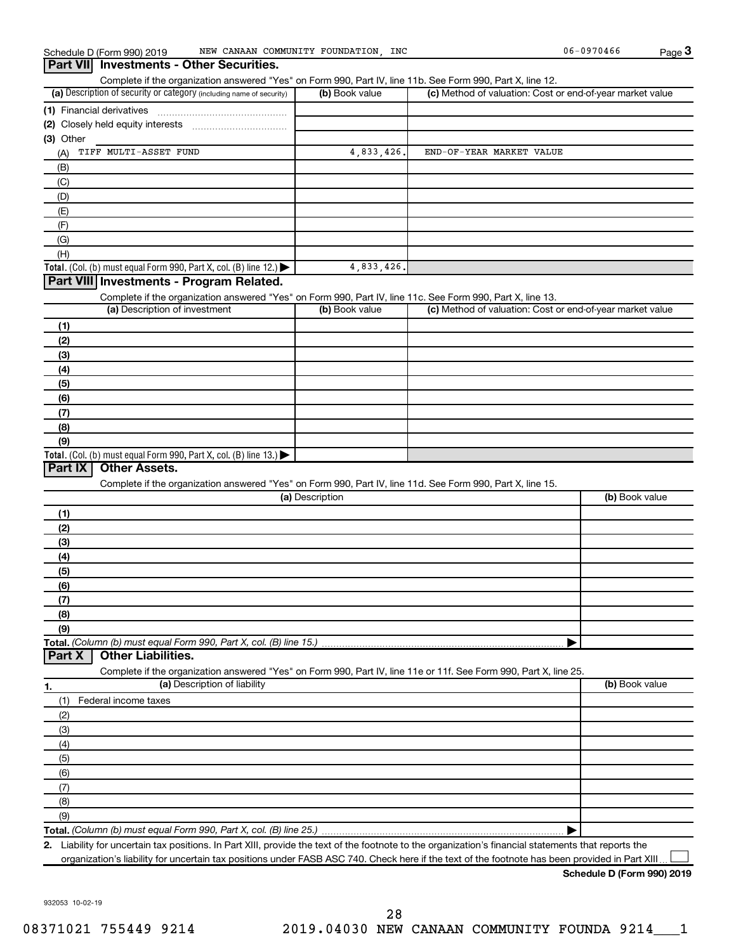## (a) Description of security or category (including name of security)  $\vert$  (b) Book value  $\vert$  (c) **Total.** (Col. (b) must equal Form 990, Part X, col. (B) line 12.)  $\blacktriangleright$ **Total.** (Col. (b) must equal Form 990, Part X, col. (B) line  $13$ .) **(1)** Financial derivatives ~~~~~~~~~~~~~~~ **(2)** Closely held equity interests ~~~~~~~~~~~ **(3)** Other (a) Description of investment (b) Book value **(1) (2) (3) (4) (5) (6) (7) (8) (9)** (a) Description **(1) (2) (3) (4) (5) (6) (7) (8) (9) Total.**  *(Column (b) must equal Form 990, Part X, col. (B) line 15.)* **1. (a)** Description of liability **Book value** Book value **(b)** Book value **Total.**  *(Column (b) must equal Form 990, Part X, col. (B) line 25.)* **2. Schedule D (Form 990) 2019** Schedule D (Form 990) 2019 MEW CANAAN COMMUNITY FOUNDATION, INC 06-0970466 Page Complete if the organization answered "Yes" on Form 990, Part IV, line 11b. See Form 990, Part X, line 12.  $(b)$  Book value  $\vert$  (c) Method of valuation: Cost or end-of-year market value (A) (B) (C) (D) (E) (F) (G) (H) Complete if the organization answered "Yes" on Form 990, Part IV, line 11c. See Form 990, Part X, line 13. (c) Method of valuation: Cost or end-of-year market value Complete if the organization answered "Yes" on Form 990, Part IV, line 11d. See Form 990, Part X, line 15. (b) Book value | Complete if the organization answered "Yes" on Form 990, Part IV, line 11e or 11f. See Form 990, Part X, line 25. (1) Federal income taxes (2) (3) (4) (5) (6) (7) (8) (9) | Liability for uncertain tax positions. In Part XIII, provide the text of the footnote to the organization's financial statements that reports the organization's liability for uncertain tax positions under FASB ASC 740. Check here if the text of the footnote has been provided in Part XIII **3 Part VII Investments - Other Securities. Part VIII Investments - Program Related. Part IX Other Assets. Part X Other Liabilities.**  $\perp$ TIFF MULTI-ASSET FUND 4,833,426. END-OF-YEAR MARKET VALUE 4,833,426.

932053 10-02-19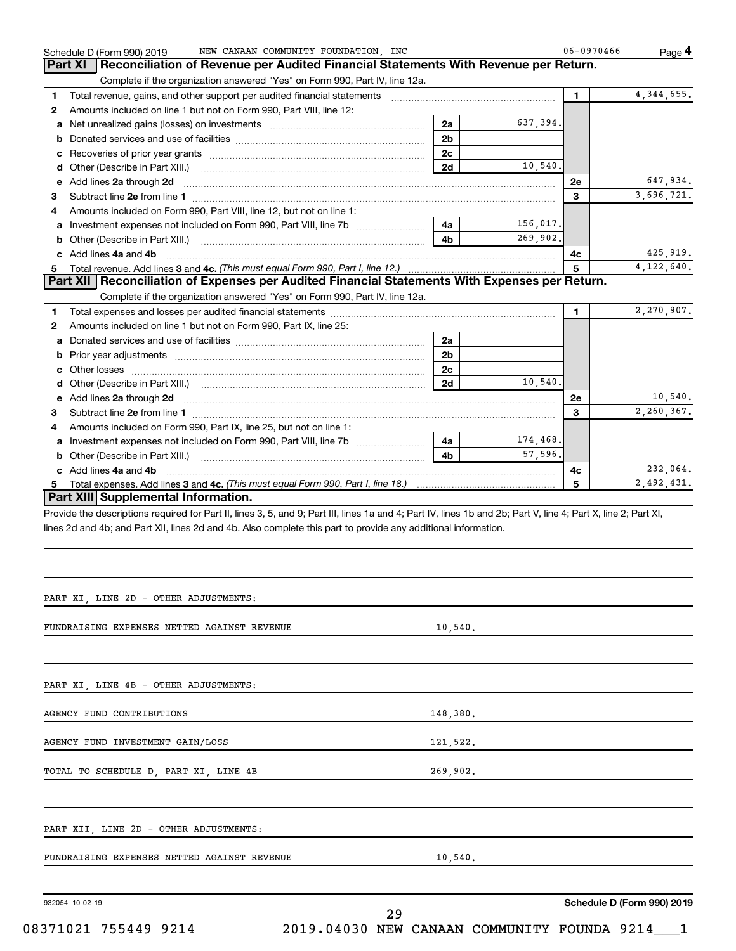|    | NEW CANAAN COMMUNITY FOUNDATION, INC<br>Schedule D (Form 990) 2019                                                                                             |                |                     | 06-0970466   | Page 4                 |
|----|----------------------------------------------------------------------------------------------------------------------------------------------------------------|----------------|---------------------|--------------|------------------------|
|    | Part XI<br>Reconciliation of Revenue per Audited Financial Statements With Revenue per Return.                                                                 |                |                     |              |                        |
|    | Complete if the organization answered "Yes" on Form 990, Part IV, line 12a.                                                                                    |                |                     |              |                        |
| 1  |                                                                                                                                                                |                |                     | $\mathbf{1}$ | 4, 344, 655.           |
| 2  | Amounts included on line 1 but not on Form 990, Part VIII, line 12:                                                                                            |                |                     |              |                        |
| а  |                                                                                                                                                                | 2a             | 637,394.            |              |                        |
| b  |                                                                                                                                                                | 2 <sub>b</sub> |                     |              |                        |
| с  |                                                                                                                                                                | 2c             |                     |              |                        |
| d  |                                                                                                                                                                | 2d             | 10,540,             |              |                        |
| е  | Add lines 2a through 2d                                                                                                                                        |                |                     | 2e           | 647,934.               |
| З  |                                                                                                                                                                |                |                     | 3            | 3,696,721.             |
| 4  | Amounts included on Form 990, Part VIII, line 12, but not on line 1:                                                                                           |                |                     |              |                        |
| а  |                                                                                                                                                                | 4a             | 156,017.            |              |                        |
| b  |                                                                                                                                                                | 4b             | 269,902.            |              |                        |
|    | c Add lines 4a and 4b                                                                                                                                          |                |                     | 4с           | 425,919.               |
| 5. |                                                                                                                                                                |                |                     | 5            | 4,122,640.             |
|    | Part XII   Reconciliation of Expenses per Audited Financial Statements With Expenses per Return.                                                               |                |                     |              |                        |
|    | Complete if the organization answered "Yes" on Form 990, Part IV, line 12a.                                                                                    |                |                     |              |                        |
| 1  |                                                                                                                                                                |                |                     | $\mathbf{1}$ | 2,270,907.             |
| 2  | Amounts included on line 1 but not on Form 990, Part IX, line 25:                                                                                              |                |                     |              |                        |
| а  |                                                                                                                                                                | 2a             |                     |              |                        |
| b  |                                                                                                                                                                | 2 <sub>b</sub> |                     |              |                        |
|    |                                                                                                                                                                | 2 <sub>c</sub> |                     |              |                        |
| d  |                                                                                                                                                                | 2d             | 10,540,             |              |                        |
|    | e Add lines 2a through 2d                                                                                                                                      |                |                     | 2e           | 10,540.                |
| З  |                                                                                                                                                                |                |                     | 3            | 2,260,367.             |
| 4  | Amounts included on Form 990, Part IX, line 25, but not on line 1:                                                                                             |                |                     |              |                        |
| а  |                                                                                                                                                                | 4a             | 174,468.<br>57,596. |              |                        |
|    |                                                                                                                                                                | 4 <sub>b</sub> |                     |              |                        |
|    | c Add lines 4a and 4b                                                                                                                                          |                |                     | 4c<br>5      | 232,064.<br>2,492,431. |
|    | Part XIII Supplemental Information.                                                                                                                            |                |                     |              |                        |
|    | Provide the descriptions required for Part II, lines 3, 5, and 9; Part III, lines 1a and 4; Part IV, lines 1b and 2b; Part V, line 4; Part X, line 2; Part XI, |                |                     |              |                        |
|    | lines 2d and 4b; and Part XII, lines 2d and 4b. Also complete this part to provide any additional information.                                                 |                |                     |              |                        |
|    |                                                                                                                                                                |                |                     |              |                        |
|    |                                                                                                                                                                |                |                     |              |                        |
|    |                                                                                                                                                                |                |                     |              |                        |
|    | PART XI, LINE 2D - OTHER ADJUSTMENTS:                                                                                                                          |                |                     |              |                        |
|    |                                                                                                                                                                |                |                     |              |                        |
|    | FUNDRAISING EXPENSES NETTED AGAINST REVENUE                                                                                                                    | 10,540.        |                     |              |                        |
|    |                                                                                                                                                                |                |                     |              |                        |
|    |                                                                                                                                                                |                |                     |              |                        |
|    | PART XI, LINE 4B - OTHER ADJUSTMENTS:                                                                                                                          |                |                     |              |                        |
|    |                                                                                                                                                                |                |                     |              |                        |
|    | AGENCY FUND CONTRIBUTIONS                                                                                                                                      | 148,380.       |                     |              |                        |
|    |                                                                                                                                                                |                |                     |              |                        |
|    | AGENCY FUND INVESTMENT GAIN/LOSS                                                                                                                               | 121,522.       |                     |              |                        |
|    | TOTAL TO SCHEDULE D, PART XI, LINE 4B                                                                                                                          | 269,902.       |                     |              |                        |
|    |                                                                                                                                                                |                |                     |              |                        |
|    |                                                                                                                                                                |                |                     |              |                        |
|    | PART XII, LINE 2D - OTHER ADJUSTMENTS:                                                                                                                         |                |                     |              |                        |

FUNDRAISING EXPENSES NETTED AGAINST REVENUE 10,540.

932054 10-02-19

**Schedule D (Form 990) 2019**

08371021 755449 9214 2019.04030 NEW CANAAN COMMUNITY FOUNDA 9214\_\_\_1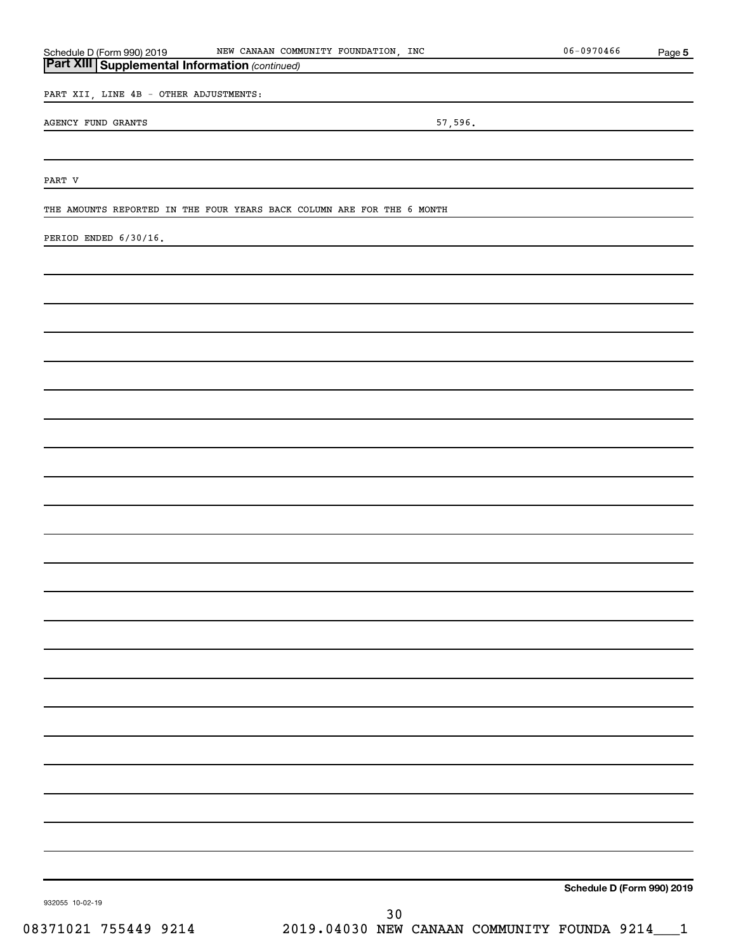# **5** *(continued)* **Part XIII Supplemental Information**  Schedule D (Form 990) 2019 MEW CANAAN COMMUNITY FOUNDATION, INC 06-0970466 Page PART XII, LINE 4B - OTHER ADJUSTMENTS: AGENCY FUND GRANTS 57,596. PART V THE AMOUNTS REPORTED IN THE FOUR YEARS BACK COLUMN ARE FOR THE 6 MONTH PERIOD ENDED 6/30/16.

**Schedule D (Form 990) 2019**

932055 10-02-19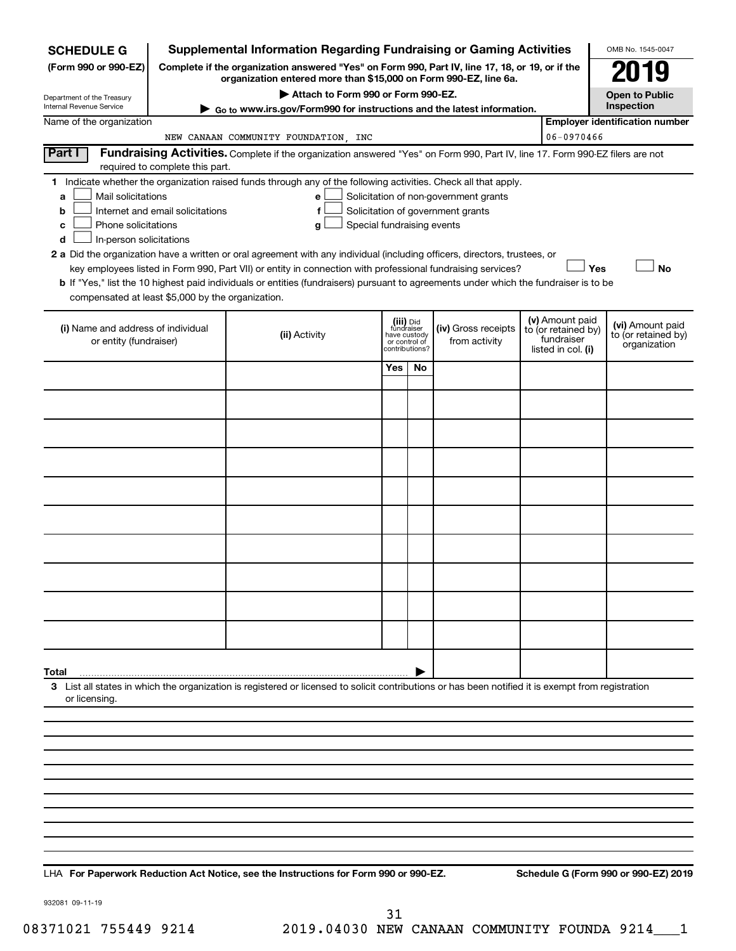| <b>SCHEDULE G</b>                                                                                                                                                                                                                                                      |                                                                                                                                                                     | <b>Supplemental Information Regarding Fundraising or Gaming Activities</b>                                                                         |                       |                                                                            |                                      |  |                                                                            | OMB No. 1545-0047                                       |  |  |
|------------------------------------------------------------------------------------------------------------------------------------------------------------------------------------------------------------------------------------------------------------------------|---------------------------------------------------------------------------------------------------------------------------------------------------------------------|----------------------------------------------------------------------------------------------------------------------------------------------------|-----------------------|----------------------------------------------------------------------------|--------------------------------------|--|----------------------------------------------------------------------------|---------------------------------------------------------|--|--|
| (Form 990 or 990-EZ)                                                                                                                                                                                                                                                   | Complete if the organization answered "Yes" on Form 990, Part IV, line 17, 18, or 19, or if the<br>organization entered more than \$15,000 on Form 990-EZ, line 6a. |                                                                                                                                                    |                       |                                                                            |                                      |  |                                                                            |                                                         |  |  |
| Department of the Treasury                                                                                                                                                                                                                                             |                                                                                                                                                                     |                                                                                                                                                    | <b>Open to Public</b> |                                                                            |                                      |  |                                                                            |                                                         |  |  |
| Internal Revenue Service                                                                                                                                                                                                                                               |                                                                                                                                                                     | Go to www.irs.gov/Form990 for instructions and the latest information.                                                                             |                       |                                                                            |                                      |  |                                                                            | Inspection                                              |  |  |
| Name of the organization                                                                                                                                                                                                                                               |                                                                                                                                                                     | NEW CANAAN COMMUNITY FOUNDATION, INC                                                                                                               |                       |                                                                            |                                      |  | 06-0970466                                                                 | <b>Employer identification number</b>                   |  |  |
| Part I                                                                                                                                                                                                                                                                 |                                                                                                                                                                     | Fundraising Activities. Complete if the organization answered "Yes" on Form 990, Part IV, line 17. Form 990-EZ filers are not                      |                       |                                                                            |                                      |  |                                                                            |                                                         |  |  |
|                                                                                                                                                                                                                                                                        | required to complete this part.                                                                                                                                     |                                                                                                                                                    |                       |                                                                            |                                      |  |                                                                            |                                                         |  |  |
| 1 Indicate whether the organization raised funds through any of the following activities. Check all that apply.<br>Mail solicitations<br>Solicitation of non-government grants<br>e<br>a<br>Solicitation of government grants<br>Internet and email solicitations<br>b |                                                                                                                                                                     |                                                                                                                                                    |                       |                                                                            |                                      |  |                                                                            |                                                         |  |  |
| Phone solicitations<br>c<br>In-person solicitations<br>d                                                                                                                                                                                                               |                                                                                                                                                                     | Special fundraising events<br>g                                                                                                                    |                       |                                                                            |                                      |  |                                                                            |                                                         |  |  |
|                                                                                                                                                                                                                                                                        |                                                                                                                                                                     | 2 a Did the organization have a written or oral agreement with any individual (including officers, directors, trustees, or                         |                       |                                                                            |                                      |  |                                                                            |                                                         |  |  |
|                                                                                                                                                                                                                                                                        |                                                                                                                                                                     | key employees listed in Form 990, Part VII) or entity in connection with professional fundraising services?                                        |                       |                                                                            |                                      |  | Yes                                                                        | <b>No</b>                                               |  |  |
| compensated at least \$5,000 by the organization.                                                                                                                                                                                                                      |                                                                                                                                                                     | <b>b</b> If "Yes," list the 10 highest paid individuals or entities (fundraisers) pursuant to agreements under which the fundraiser is to be       |                       |                                                                            |                                      |  |                                                                            |                                                         |  |  |
| (i) Name and address of individual<br>or entity (fundraiser)                                                                                                                                                                                                           |                                                                                                                                                                     | (ii) Activity                                                                                                                                      |                       | (iii) Did<br>fundraiser<br>have custody<br>or control of<br>contributions? | (iv) Gross receipts<br>from activity |  | (v) Amount paid<br>to (or retained by)<br>fundraiser<br>listed in col. (i) | (vi) Amount paid<br>to (or retained by)<br>organization |  |  |
|                                                                                                                                                                                                                                                                        |                                                                                                                                                                     |                                                                                                                                                    | Yes                   | No                                                                         |                                      |  |                                                                            |                                                         |  |  |
|                                                                                                                                                                                                                                                                        |                                                                                                                                                                     |                                                                                                                                                    |                       |                                                                            |                                      |  |                                                                            |                                                         |  |  |
|                                                                                                                                                                                                                                                                        |                                                                                                                                                                     |                                                                                                                                                    |                       |                                                                            |                                      |  |                                                                            |                                                         |  |  |
|                                                                                                                                                                                                                                                                        |                                                                                                                                                                     |                                                                                                                                                    |                       |                                                                            |                                      |  |                                                                            |                                                         |  |  |
|                                                                                                                                                                                                                                                                        |                                                                                                                                                                     |                                                                                                                                                    |                       |                                                                            |                                      |  |                                                                            |                                                         |  |  |
|                                                                                                                                                                                                                                                                        |                                                                                                                                                                     |                                                                                                                                                    |                       |                                                                            |                                      |  |                                                                            |                                                         |  |  |
|                                                                                                                                                                                                                                                                        |                                                                                                                                                                     |                                                                                                                                                    |                       |                                                                            |                                      |  |                                                                            |                                                         |  |  |
|                                                                                                                                                                                                                                                                        |                                                                                                                                                                     |                                                                                                                                                    |                       |                                                                            |                                      |  |                                                                            |                                                         |  |  |
|                                                                                                                                                                                                                                                                        |                                                                                                                                                                     |                                                                                                                                                    |                       |                                                                            |                                      |  |                                                                            |                                                         |  |  |
|                                                                                                                                                                                                                                                                        |                                                                                                                                                                     |                                                                                                                                                    |                       |                                                                            |                                      |  |                                                                            |                                                         |  |  |
|                                                                                                                                                                                                                                                                        |                                                                                                                                                                     |                                                                                                                                                    |                       |                                                                            |                                      |  |                                                                            |                                                         |  |  |
| Total                                                                                                                                                                                                                                                                  |                                                                                                                                                                     | 3 List all states in which the organization is registered or licensed to solicit contributions or has been notified it is exempt from registration |                       |                                                                            |                                      |  |                                                                            |                                                         |  |  |
| or licensing                                                                                                                                                                                                                                                           |                                                                                                                                                                     |                                                                                                                                                    |                       |                                                                            |                                      |  |                                                                            |                                                         |  |  |
|                                                                                                                                                                                                                                                                        |                                                                                                                                                                     |                                                                                                                                                    |                       |                                                                            |                                      |  |                                                                            |                                                         |  |  |
|                                                                                                                                                                                                                                                                        |                                                                                                                                                                     |                                                                                                                                                    |                       |                                                                            |                                      |  |                                                                            |                                                         |  |  |
|                                                                                                                                                                                                                                                                        |                                                                                                                                                                     |                                                                                                                                                    |                       |                                                                            |                                      |  |                                                                            |                                                         |  |  |
|                                                                                                                                                                                                                                                                        |                                                                                                                                                                     |                                                                                                                                                    |                       |                                                                            |                                      |  |                                                                            |                                                         |  |  |
|                                                                                                                                                                                                                                                                        |                                                                                                                                                                     |                                                                                                                                                    |                       |                                                                            |                                      |  |                                                                            |                                                         |  |  |
|                                                                                                                                                                                                                                                                        |                                                                                                                                                                     |                                                                                                                                                    |                       |                                                                            |                                      |  |                                                                            |                                                         |  |  |
|                                                                                                                                                                                                                                                                        |                                                                                                                                                                     |                                                                                                                                                    |                       |                                                                            |                                      |  |                                                                            |                                                         |  |  |

**For Paperwork Reduction Act Notice, see the Instructions for Form 990 or 990-EZ. Schedule G (Form 990 or 990-EZ) 2019** LHA

932081 09-11-19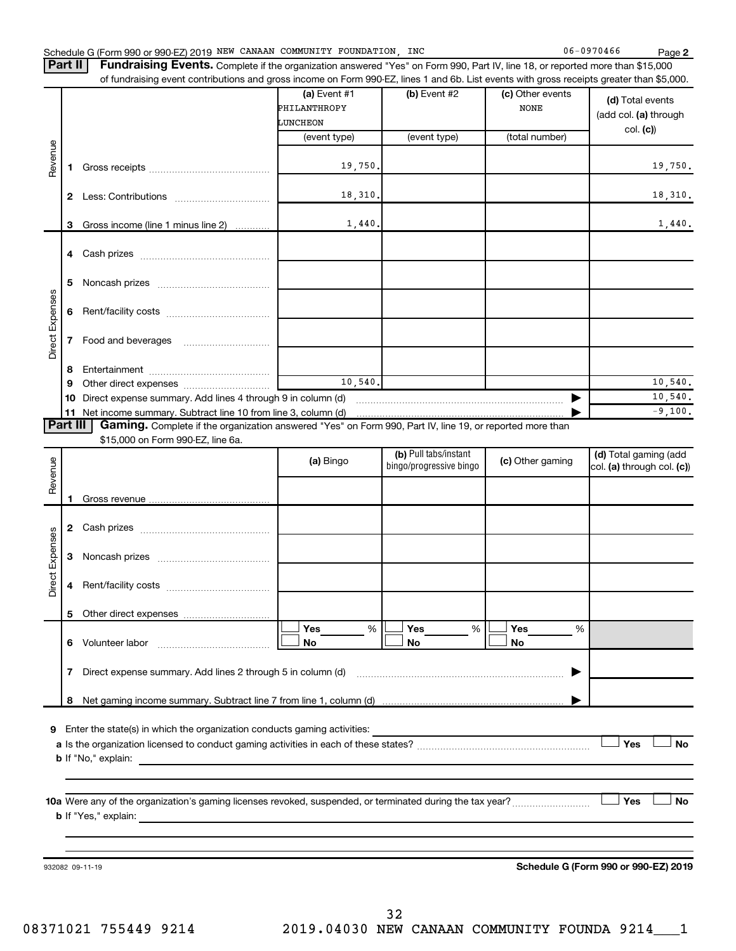|  | Schedule G (Form 990 or 990-EZ) 2019 NEW CANAAN COMMUNITY FOUNDATION, |  |  |  |  | INC | $-0970466$<br>06 |  | Page |
|--|-----------------------------------------------------------------------|--|--|--|--|-----|------------------|--|------|
|--|-----------------------------------------------------------------------|--|--|--|--|-----|------------------|--|------|

**2**  $C \t\t 06-0970466$ 

| Part II   Fundraising Events. Complete if the organization answered "Yes" on Form 990, Part IV, line 18, or reported more than \$15,000  |
|------------------------------------------------------------------------------------------------------------------------------------------|
| of fundraising event contributions and gross income on Form 990-FZ, lines 1 and 6b. List events with gross receipts greater than \$5,000 |

|                 |              | of fundraising event contributions and gross income on Form 990-EZ, lines 1 and 6b. List events with gross receipts greater than \$5,000.     |              |                         |                  |                                      |
|-----------------|--------------|-----------------------------------------------------------------------------------------------------------------------------------------------|--------------|-------------------------|------------------|--------------------------------------|
|                 |              |                                                                                                                                               | (a) Event #1 | (b) Event #2            | (c) Other events | (d) Total events                     |
|                 |              |                                                                                                                                               | PHILANTHROPY |                         | <b>NONE</b>      | (add col. (a) through                |
|                 |              |                                                                                                                                               | LUNCHEON     |                         |                  | col. (c)                             |
|                 |              |                                                                                                                                               | (event type) | (event type)            | (total number)   |                                      |
| Revenue         | 1.           |                                                                                                                                               | 19,750.      |                         |                  | 19,750.                              |
|                 | $\mathbf{2}$ |                                                                                                                                               | 18,310.      |                         |                  | 18,310.                              |
|                 | 3            | Gross income (line 1 minus line 2)                                                                                                            | 1,440.       |                         |                  | 1,440.                               |
|                 |              |                                                                                                                                               |              |                         |                  |                                      |
|                 | 4            |                                                                                                                                               |              |                         |                  |                                      |
|                 | 5            |                                                                                                                                               |              |                         |                  |                                      |
|                 | 6            |                                                                                                                                               |              |                         |                  |                                      |
| Direct Expenses | 7            | Food and beverages                                                                                                                            |              |                         |                  |                                      |
|                 |              |                                                                                                                                               |              |                         |                  |                                      |
|                 | 8            |                                                                                                                                               |              |                         |                  |                                      |
|                 | 9            |                                                                                                                                               | 10,540.      |                         |                  | 10,540.                              |
|                 | 10           | Direct expense summary. Add lines 4 through 9 in column (d)                                                                                   |              |                         |                  | 10,540.                              |
|                 | Part III     | 11 Net income summary. Subtract line 10 from line 3, column (d)                                                                               |              |                         |                  | $-9,100.$                            |
|                 |              | Gaming. Complete if the organization answered "Yes" on Form 990, Part IV, line 19, or reported more than<br>\$15,000 on Form 990-EZ, line 6a. |              |                         |                  |                                      |
|                 |              |                                                                                                                                               |              | (b) Pull tabs/instant   |                  | (d) Total gaming (add                |
| Revenue         |              |                                                                                                                                               | (a) Bingo    | bingo/progressive bingo | (c) Other gaming | col. (a) through col. (c))           |
|                 |              |                                                                                                                                               |              |                         |                  |                                      |
|                 | 1.           |                                                                                                                                               |              |                         |                  |                                      |
|                 |              |                                                                                                                                               |              |                         |                  |                                      |
|                 | $\mathbf{2}$ |                                                                                                                                               |              |                         |                  |                                      |
|                 |              |                                                                                                                                               |              |                         |                  |                                      |
|                 | 3            |                                                                                                                                               |              |                         |                  |                                      |
| Direct Expenses | 4            |                                                                                                                                               |              |                         |                  |                                      |
|                 |              |                                                                                                                                               |              |                         |                  |                                      |
|                 |              |                                                                                                                                               |              |                         |                  |                                      |
|                 |              |                                                                                                                                               | %<br>Yes     | %<br>Yes                | Yes<br>%         |                                      |
|                 |              | 6 Volunteer labor                                                                                                                             | No           | No                      | No               |                                      |
|                 | 7            | Direct expense summary. Add lines 2 through 5 in column (d)                                                                                   |              |                         |                  |                                      |
|                 |              |                                                                                                                                               |              |                         |                  |                                      |
|                 |              |                                                                                                                                               |              |                         |                  |                                      |
|                 |              |                                                                                                                                               |              |                         |                  |                                      |
| 9               |              | Enter the state(s) in which the organization conducts gaming activities:                                                                      |              |                         |                  | Yes<br><b>No</b>                     |
|                 |              | <b>b</b> If "No," explain:                                                                                                                    |              |                         |                  |                                      |
|                 |              | <u> 1989 - Johann Stoff, amerikansk politiker (* 1908)</u>                                                                                    |              |                         |                  |                                      |
|                 |              |                                                                                                                                               |              |                         |                  |                                      |
|                 |              |                                                                                                                                               |              |                         |                  | Yes<br>No                            |
|                 |              |                                                                                                                                               |              |                         |                  |                                      |
|                 |              |                                                                                                                                               |              |                         |                  |                                      |
|                 |              |                                                                                                                                               |              |                         |                  |                                      |
|                 |              |                                                                                                                                               |              |                         |                  |                                      |
|                 |              | 932082 09-11-19                                                                                                                               |              |                         |                  | Schedule G (Form 990 or 990-EZ) 2019 |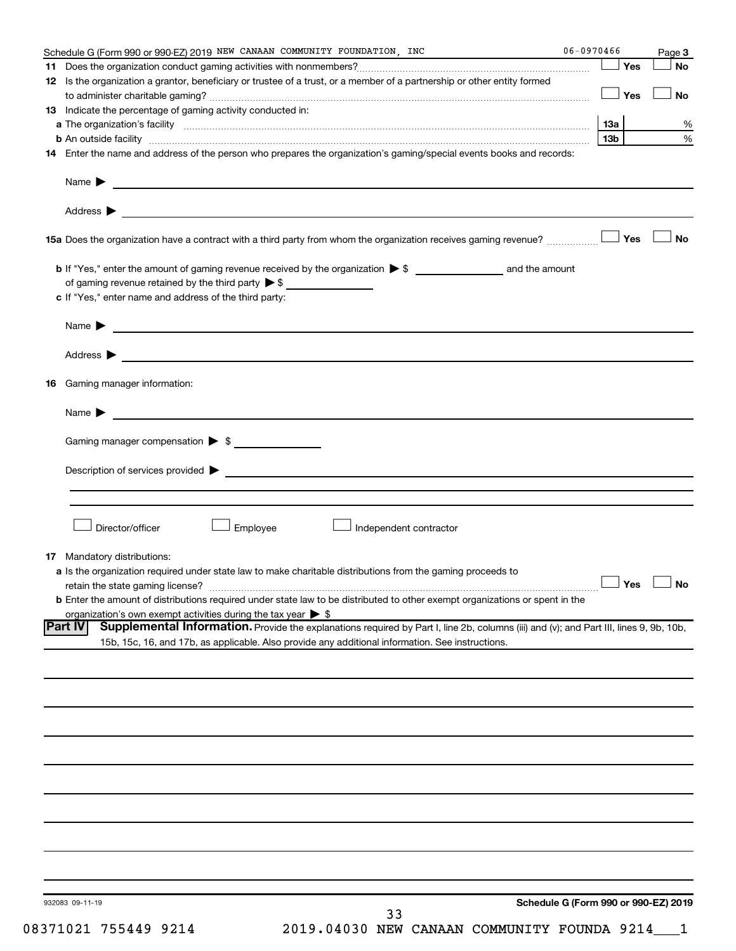|     | Schedule G (Form 990 or 990-EZ) 2019 NEW CANAAN COMMUNITY FOUNDATION, INC                                                                                                                                                                                    | 06-0970466      |     | Page 3               |
|-----|--------------------------------------------------------------------------------------------------------------------------------------------------------------------------------------------------------------------------------------------------------------|-----------------|-----|----------------------|
|     |                                                                                                                                                                                                                                                              |                 | Yes | No                   |
|     | 12 Is the organization a grantor, beneficiary or trustee of a trust, or a member of a partnership or other entity formed                                                                                                                                     |                 | Yes | No                   |
|     | 13 Indicate the percentage of gaming activity conducted in:                                                                                                                                                                                                  |                 |     |                      |
|     |                                                                                                                                                                                                                                                              | 13a             |     | %                    |
|     | <b>b</b> An outside facility <i>www.communicality www.communicality.communicality www.communicality www.communicality.communicality www.communicality.com</i>                                                                                                | 13 <sub>b</sub> |     | %                    |
|     | 14 Enter the name and address of the person who prepares the organization's gaming/special events books and records:                                                                                                                                         |                 |     |                      |
|     | Name $\blacktriangleright$<br><u> 1989 - John Stein, Amerikaansk politiker (* 1908)</u>                                                                                                                                                                      |                 |     |                      |
|     |                                                                                                                                                                                                                                                              |                 |     |                      |
|     | 15a Does the organization have a contract with a third party from whom the organization receives gaming revenue?                                                                                                                                             |                 | Yes | <b>No</b>            |
|     | of gaming revenue retained by the third party $\triangleright$ \$                                                                                                                                                                                            |                 |     |                      |
|     | c If "Yes," enter name and address of the third party:                                                                                                                                                                                                       |                 |     |                      |
|     |                                                                                                                                                                                                                                                              |                 |     |                      |
|     |                                                                                                                                                                                                                                                              |                 |     |                      |
| 16. | Gaming manager information:                                                                                                                                                                                                                                  |                 |     |                      |
|     | Name $\blacktriangleright$<br><u> 1980 - Johann Barbara, martin amerikan basal dan berasal dan berasal dalam basal dan berasal dan berasal dan</u>                                                                                                           |                 |     |                      |
|     | Gaming manager compensation > \$                                                                                                                                                                                                                             |                 |     |                      |
|     | Description of services provided states and the contract of the contract of the contract of the contract of the contract of the contract of the contract of the contract of the contract of the contract of the contract of th                               |                 |     |                      |
|     |                                                                                                                                                                                                                                                              |                 |     |                      |
|     | Director/officer<br>Employee<br>Independent contractor                                                                                                                                                                                                       |                 |     |                      |
|     | <b>17</b> Mandatory distributions:                                                                                                                                                                                                                           |                 |     |                      |
|     | a Is the organization required under state law to make charitable distributions from the gaming proceeds to                                                                                                                                                  |                 |     |                      |
|     |                                                                                                                                                                                                                                                              |                 |     | $\Box$ Yes $\Box$ No |
|     | <b>b</b> Enter the amount of distributions required under state law to be distributed to other exempt organizations or spent in the                                                                                                                          |                 |     |                      |
|     | organization's own exempt activities during the tax year $\triangleright$ \$                                                                                                                                                                                 |                 |     |                      |
|     | Supplemental Information. Provide the explanations required by Part I, line 2b, columns (iii) and (v); and Part III, lines 9, 9b, 10b,<br><b>Part IV</b><br>15b, 15c, 16, and 17b, as applicable. Also provide any additional information. See instructions. |                 |     |                      |
|     |                                                                                                                                                                                                                                                              |                 |     |                      |
|     |                                                                                                                                                                                                                                                              |                 |     |                      |
|     |                                                                                                                                                                                                                                                              |                 |     |                      |
|     |                                                                                                                                                                                                                                                              |                 |     |                      |
|     |                                                                                                                                                                                                                                                              |                 |     |                      |
|     |                                                                                                                                                                                                                                                              |                 |     |                      |
|     |                                                                                                                                                                                                                                                              |                 |     |                      |
|     |                                                                                                                                                                                                                                                              |                 |     |                      |
|     |                                                                                                                                                                                                                                                              |                 |     |                      |
|     | Schedule G (Form 990 or 990-EZ) 2019<br>932083 09-11-19<br>33                                                                                                                                                                                                |                 |     |                      |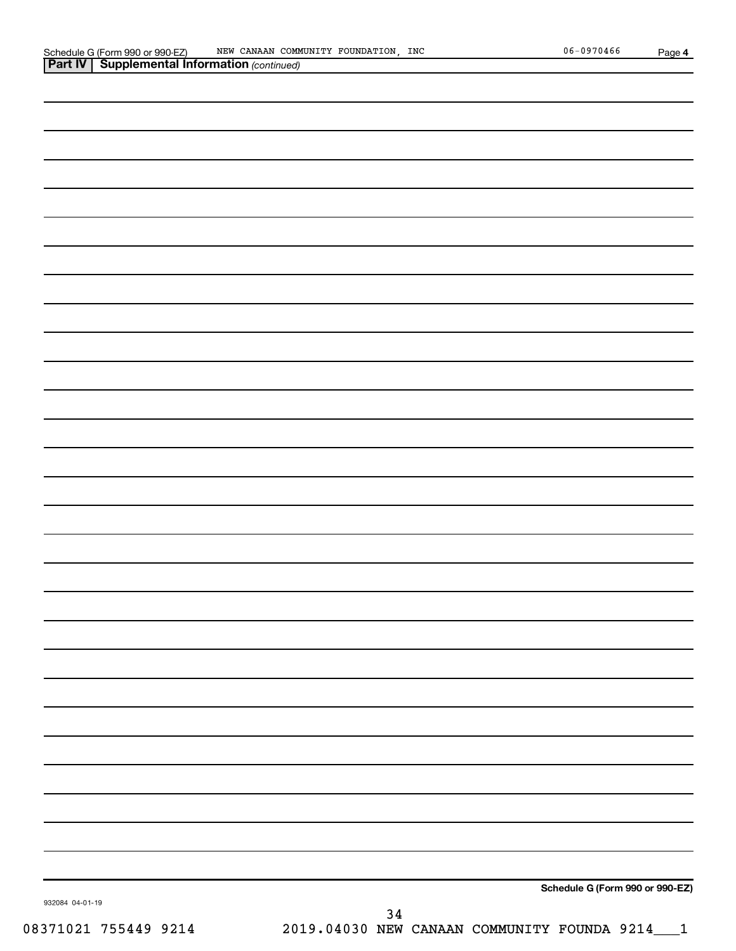| 932084 04-01-19<br>08371021 755449 9214 | 34<br>2019.04030 NEW CANAAN COMMUNITY FOUNDA 9214___1 |
|-----------------------------------------|-------------------------------------------------------|
|                                         | Schedule G (Form 990 or 990-EZ)                       |
|                                         |                                                       |
|                                         |                                                       |
|                                         |                                                       |
|                                         |                                                       |
|                                         |                                                       |
|                                         |                                                       |
|                                         |                                                       |
|                                         |                                                       |
|                                         |                                                       |
|                                         |                                                       |
|                                         |                                                       |
|                                         |                                                       |
|                                         |                                                       |
|                                         |                                                       |
|                                         |                                                       |
|                                         |                                                       |
|                                         |                                                       |
|                                         |                                                       |
|                                         |                                                       |
|                                         |                                                       |
|                                         |                                                       |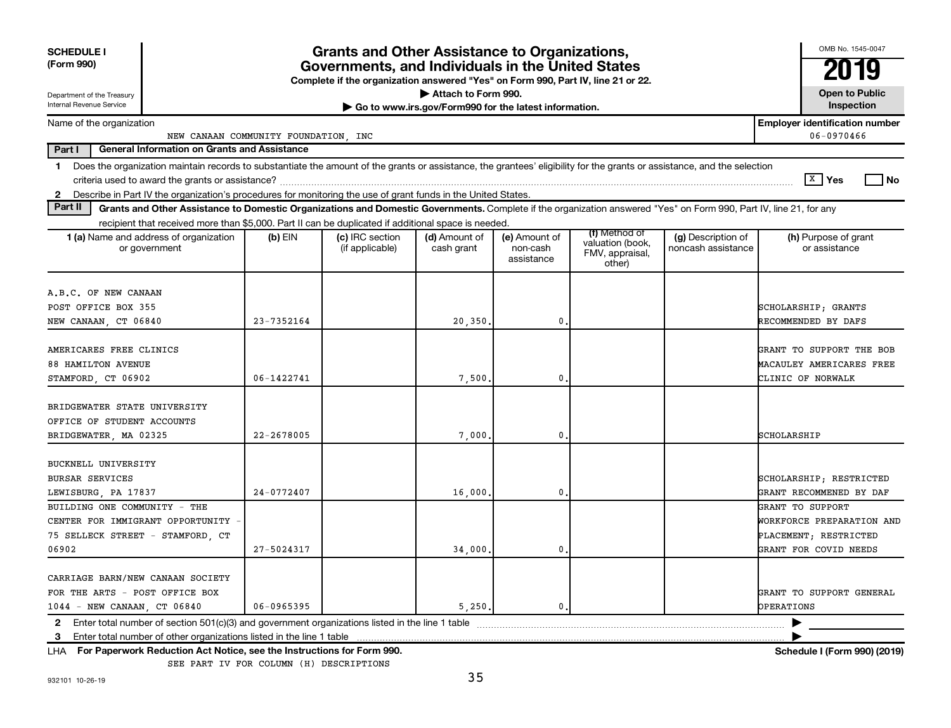| <b>SCHEDULE I</b>                                                                                                                                                              |            | <b>Grants and Other Assistance to Organizations,</b>                             |                                                       |                        |                                               |                    | OMB No. 1545-0047                     |
|--------------------------------------------------------------------------------------------------------------------------------------------------------------------------------|------------|----------------------------------------------------------------------------------|-------------------------------------------------------|------------------------|-----------------------------------------------|--------------------|---------------------------------------|
| (Form 990)                                                                                                                                                                     |            | Governments, and Individuals in the United States                                |                                                       |                        |                                               |                    |                                       |
|                                                                                                                                                                                |            | Complete if the organization answered "Yes" on Form 990, Part IV, line 21 or 22. | Attach to Form 990.                                   |                        |                                               |                    | <b>Open to Public</b>                 |
| Department of the Treasury<br>Internal Revenue Service                                                                                                                         |            |                                                                                  | Go to www.irs.gov/Form990 for the latest information. |                        |                                               |                    | Inspection                            |
| Name of the organization                                                                                                                                                       |            |                                                                                  |                                                       |                        |                                               |                    | <b>Employer identification number</b> |
| NEW CANAAN COMMUNITY FOUNDATION, INC<br>Part I<br><b>General Information on Grants and Assistance</b>                                                                          |            |                                                                                  |                                                       |                        |                                               |                    | 06-0970466                            |
|                                                                                                                                                                                |            |                                                                                  |                                                       |                        |                                               |                    |                                       |
| Does the organization maintain records to substantiate the amount of the grants or assistance, the grantees' eligibility for the grants or assistance, and the selection<br>1. |            |                                                                                  |                                                       |                        |                                               |                    | $\sqrt{X}$ Yes<br>l No                |
| 2 Describe in Part IV the organization's procedures for monitoring the use of grant funds in the United States.                                                                |            |                                                                                  |                                                       |                        |                                               |                    |                                       |
| Part II<br>Grants and Other Assistance to Domestic Organizations and Domestic Governments. Complete if the organization answered "Yes" on Form 990, Part IV, line 21, for any  |            |                                                                                  |                                                       |                        |                                               |                    |                                       |
| recipient that received more than \$5,000. Part II can be duplicated if additional space is needed.                                                                            |            |                                                                                  |                                                       |                        |                                               |                    |                                       |
| 1 (a) Name and address of organization                                                                                                                                         | $(b)$ EIN  | (c) IRC section                                                                  | (d) Amount of                                         | (e) Amount of          | (f) Method of                                 | (g) Description of | (h) Purpose of grant                  |
| or government                                                                                                                                                                  |            | (if applicable)                                                                  | cash grant                                            | non-cash<br>assistance | valuation (book,<br>FMV, appraisal,<br>other) | noncash assistance | or assistance                         |
|                                                                                                                                                                                |            |                                                                                  |                                                       |                        |                                               |                    |                                       |
| A.B.C. OF NEW CANAAN                                                                                                                                                           |            |                                                                                  |                                                       |                        |                                               |                    |                                       |
| POST OFFICE BOX 355                                                                                                                                                            |            |                                                                                  |                                                       |                        |                                               |                    | SCHOLARSHIP; GRANTS                   |
| NEW CANAAN, CT 06840                                                                                                                                                           | 23-7352164 |                                                                                  | 20, 350.                                              | 0                      |                                               |                    | RECOMMENDED BY DAFS                   |
|                                                                                                                                                                                |            |                                                                                  |                                                       |                        |                                               |                    |                                       |
| AMERICARES FREE CLINICS                                                                                                                                                        |            |                                                                                  |                                                       |                        |                                               |                    | GRANT TO SUPPORT THE BOB              |
| <b>88 HAMILTON AVENUE</b>                                                                                                                                                      |            |                                                                                  |                                                       |                        |                                               |                    | MACAULEY AMERICARES FREE              |
| STAMFORD, CT 06902                                                                                                                                                             | 06-1422741 |                                                                                  | 7,500                                                 | 0                      |                                               |                    | CLINIC OF NORWALK                     |
| BRIDGEWATER STATE UNIVERSITY                                                                                                                                                   |            |                                                                                  |                                                       |                        |                                               |                    |                                       |
| OFFICE OF STUDENT ACCOUNTS                                                                                                                                                     |            |                                                                                  |                                                       |                        |                                               |                    |                                       |
| BRIDGEWATER, MA 02325                                                                                                                                                          | 22-2678005 |                                                                                  | 7,000                                                 | 0                      |                                               |                    | SCHOLARSHIP                           |
|                                                                                                                                                                                |            |                                                                                  |                                                       |                        |                                               |                    |                                       |
| <b>BUCKNELL UNIVERSITY</b>                                                                                                                                                     |            |                                                                                  |                                                       |                        |                                               |                    |                                       |
| <b>BURSAR SERVICES</b>                                                                                                                                                         |            |                                                                                  |                                                       |                        |                                               |                    | SCHOLARSHIP; RESTRICTED               |
| LEWISBURG, PA 17837                                                                                                                                                            | 24-0772407 |                                                                                  | 16,000                                                | 0                      |                                               |                    | GRANT RECOMMENED BY DAF               |
| BUILDING ONE COMMUNITY - THE                                                                                                                                                   |            |                                                                                  |                                                       |                        |                                               |                    | GRANT TO SUPPORT                      |
| CENTER FOR IMMIGRANT OPPORTUNITY -                                                                                                                                             |            |                                                                                  |                                                       |                        |                                               |                    | WORKFORCE PREPARATION AND             |
| 75 SELLECK STREET - STAMFORD, CT                                                                                                                                               |            |                                                                                  |                                                       |                        |                                               |                    | PLACEMENT; RESTRICTED                 |
| 06902                                                                                                                                                                          | 27-5024317 |                                                                                  | 34,000                                                | 0                      |                                               |                    | GRANT FOR COVID NEEDS                 |
|                                                                                                                                                                                |            |                                                                                  |                                                       |                        |                                               |                    |                                       |
| CARRIAGE BARN/NEW CANAAN SOCIETY                                                                                                                                               |            |                                                                                  |                                                       |                        |                                               |                    |                                       |
| FOR THE ARTS - POST OFFICE BOX                                                                                                                                                 |            |                                                                                  |                                                       |                        |                                               |                    | GRANT TO SUPPORT GENERAL              |
| 1044 - NEW CANAAN, CT 06840                                                                                                                                                    | 06-0965395 |                                                                                  | 5,250,                                                | $\mathfrak{o}$ .       |                                               |                    | OPERATIONS                            |
| Enter total number of section 501(c)(3) and government organizations listed in the line 1 table<br>$\mathbf{2}$                                                                |            |                                                                                  |                                                       |                        |                                               |                    |                                       |
| Enter total number of other organizations listed in the line 1 table<br>3                                                                                                      |            |                                                                                  |                                                       |                        |                                               |                    |                                       |
| LHA For Paperwork Reduction Act Notice, see the Instructions for Form 990.                                                                                                     |            |                                                                                  |                                                       |                        |                                               |                    | Schedule I (Form 990) (2019)          |
| SEE PART IV FOR COLUMN (H) DESCRIPTIONS                                                                                                                                        |            |                                                                                  |                                                       |                        |                                               |                    |                                       |

932101 10-26-19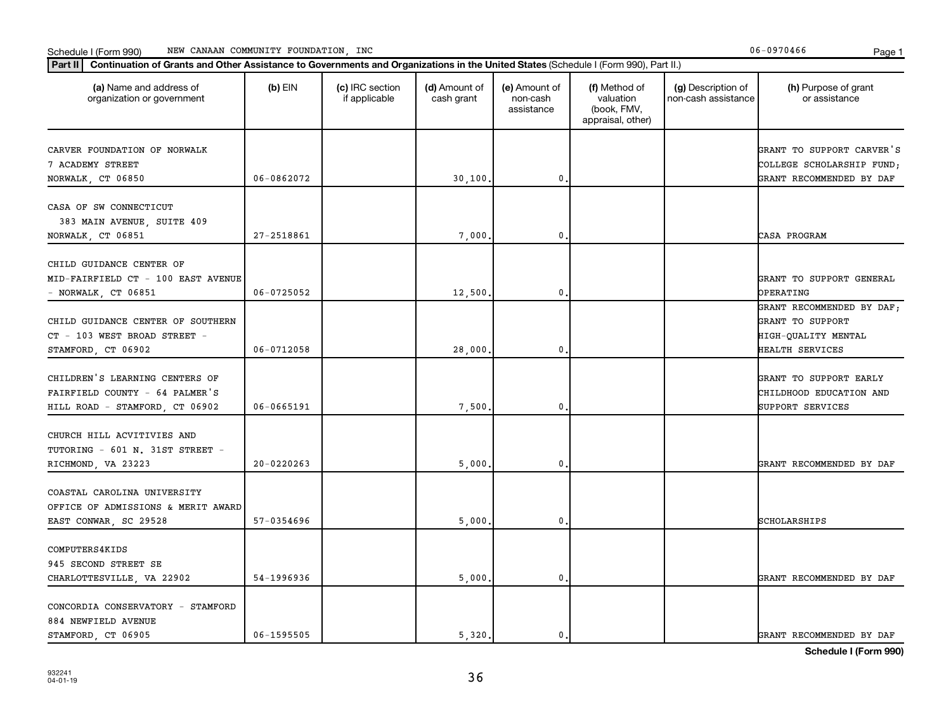#### Schedule I (Form 990) Page 1 NEW CANAAN COMMUNITY FOUNDATION, INC 06-0970466

| (a) Name and address of<br>organization or government                                              | $(b)$ EIN      | (c) IRC section<br>if applicable | (d) Amount of<br>cash grant | (e) Amount of<br>non-cash<br>assistance | (f) Method of<br>valuation<br>(book, FMV,<br>appraisal, other) | (g) Description of<br>non-cash assistance | (h) Purpose of grant<br>or assistance                                                   |
|----------------------------------------------------------------------------------------------------|----------------|----------------------------------|-----------------------------|-----------------------------------------|----------------------------------------------------------------|-------------------------------------------|-----------------------------------------------------------------------------------------|
| CARVER FOUNDATION OF NORWALK<br>7 ACADEMY STREET<br>NORWALK, CT 06850                              | 06-0862072     |                                  | 30,100.                     | $\mathbf 0$                             |                                                                |                                           | GRANT TO SUPPORT CARVER'S<br>COLLEGE SCHOLARSHIP FUND;<br>GRANT RECOMMENDED BY DAF      |
|                                                                                                    |                |                                  |                             |                                         |                                                                |                                           |                                                                                         |
| CASA OF SW CONNECTICUT<br>383 MAIN AVENUE, SUITE 409<br>NORWALK, CT 06851                          | 27-2518861     |                                  | 7,000                       | 0                                       |                                                                |                                           | CASA PROGRAM                                                                            |
|                                                                                                    |                |                                  |                             |                                         |                                                                |                                           |                                                                                         |
| CHILD GUIDANCE CENTER OF<br>MID-FAIRFIELD CT - 100 EAST AVENUE<br>- NORWALK, $CT$ 06851            | $06 - 0725052$ |                                  | 12,500.                     | $\mathbf 0$                             |                                                                |                                           | GRANT TO SUPPORT GENERAL<br>OPERATING                                                   |
| CHILD GUIDANCE CENTER OF SOUTHERN<br>CT - 103 WEST BROAD STREET -<br>STAMFORD, CT 06902            | $06 - 0712058$ |                                  | 28,000                      | 0                                       |                                                                |                                           | GRANT RECOMMENDED BY DAF;<br>GRANT TO SUPPORT<br>HIGH-QUALITY MENTAL<br>HEALTH SERVICES |
| CHILDREN'S LEARNING CENTERS OF<br>FAIRFIELD COUNTY - 64 PALMER'S<br>HILL ROAD - STAMFORD, CT 06902 | 06-0665191     |                                  | 7,500.                      | $\mathbf{0}$                            |                                                                |                                           | GRANT TO SUPPORT EARLY<br>CHILDHOOD EDUCATION AND<br>SUPPORT SERVICES                   |
| CHURCH HILL ACVITIVIES AND<br>TUTORING - 601 N. 31ST STREET -<br>RICHMOND, VA 23223                | $20 - 0220263$ |                                  | 5,000                       | 0                                       |                                                                |                                           | GRANT RECOMMENDED BY DAF                                                                |
| COASTAL CAROLINA UNIVERSITY<br>OFFICE OF ADMISSIONS & MERIT AWARD<br>EAST CONWAR, SC 29528         | 57-0354696     |                                  | 5,000.                      | $\mathbf 0$                             |                                                                |                                           | SCHOLARSHIPS                                                                            |
| COMPUTERS4KIDS<br>945 SECOND STREET SE<br>CHARLOTTESVILLE, VA 22902                                | 54-1996936     |                                  | 5,000                       | 0                                       |                                                                |                                           | GRANT RECOMMENDED BY DAF                                                                |
| CONCORDIA CONSERVATORY - STAMFORD<br>884 NEWFIELD AVENUE<br>STAMFORD CT 06905                      | 06-1595505     |                                  | 5,320.                      | 0.                                      |                                                                |                                           | GRANT RECOMMENDED BY DAF                                                                |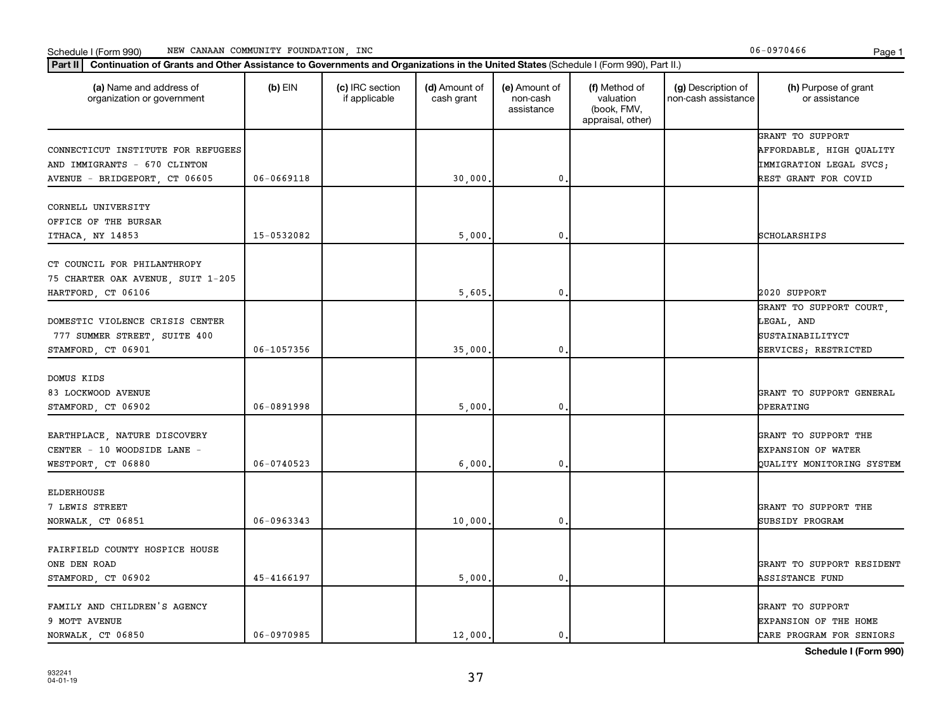#### Schedule I (Form 990) Page 1 NEW CANAAN COMMUNITY FOUNDATION, INC 06-0970466

| (a) Name and address of<br>organization or government                                  | $(b)$ EIN      | (c) IRC section<br>if applicable | (d) Amount of<br>cash grant | (e) Amount of<br>non-cash<br>assistance | (f) Method of<br>valuation<br>(book, FMV,<br>appraisal, other) | (g) Description of<br>non-cash assistance | (h) Purpose of grant<br>or assistance                                             |
|----------------------------------------------------------------------------------------|----------------|----------------------------------|-----------------------------|-----------------------------------------|----------------------------------------------------------------|-------------------------------------------|-----------------------------------------------------------------------------------|
| CONNECTICUT INSTITUTE FOR REFUGEES<br>AND IMMIGRANTS - 670 CLINTON                     |                |                                  |                             |                                         |                                                                |                                           | GRANT TO SUPPORT<br>AFFORDABLE, HIGH QUALITY<br>IMMIGRATION LEGAL SVCS;           |
| AVENUE - BRIDGEPORT, CT 06605                                                          | $06 - 0669118$ |                                  | 30,000.                     | 0                                       |                                                                |                                           | REST GRANT FOR COVID                                                              |
| CORNELL UNIVERSITY<br>OFFICE OF THE BURSAR<br>ITHACA, NY 14853                         | 15-0532082     |                                  | 5,000                       | 0                                       |                                                                |                                           | SCHOLARSHIPS                                                                      |
| CT COUNCIL FOR PHILANTHROPY<br>75 CHARTER OAK AVENUE, SUIT 1-205<br>HARTFORD, CT 06106 |                |                                  | 5,605                       | $\mathbf{0}$                            |                                                                |                                           | 2020 SUPPORT                                                                      |
| DOMESTIC VIOLENCE CRISIS CENTER<br>777 SUMMER STREET, SUITE 400<br>STAMFORD, CT 06901  | 06-1057356     |                                  | 35,000                      | 0                                       |                                                                |                                           | GRANT TO SUPPORT COURT.<br>LEGAL, AND<br>SUSTAINABILITYCT<br>SERVICES; RESTRICTED |
| DOMUS KIDS<br>83 LOCKWOOD AVENUE<br>STAMFORD, CT 06902                                 | 06-0891998     |                                  | 5,000                       | 0                                       |                                                                |                                           | GRANT TO SUPPORT GENERAL<br>OPERATING                                             |
| EARTHPLACE, NATURE DISCOVERY<br>CENTER - 10 WOODSIDE LANE -<br>WESTPORT, CT 06880      | 06-0740523     |                                  | 6,000                       | $\mathbf{0}$                            |                                                                |                                           | GRANT TO SUPPORT THE<br><b>EXPANSION OF WATER</b><br>QUALITY MONITORING SYSTEM    |
| <b>ELDERHOUSE</b><br>7 LEWIS STREET<br>NORWALK, CT 06851                               | 06-0963343     |                                  | 10,000                      | 0                                       |                                                                |                                           | GRANT TO SUPPORT THE<br>SUBSIDY PROGRAM                                           |
| FAIRFIELD COUNTY HOSPICE HOUSE<br>ONE DEN ROAD<br>STAMFORD, CT 06902                   | 45-4166197     |                                  | 5,000                       | 0                                       |                                                                |                                           | GRANT TO SUPPORT RESIDENT<br>ASSISTANCE FUND                                      |
| FAMILY AND CHILDREN'S AGENCY<br>9 MOTT AVENUE<br>NORWALK CT 06850                      | 06-0970985     |                                  | 12,000.                     | $\mathbf{0}$                            |                                                                |                                           | GRANT TO SUPPORT<br><b>EXPANSION OF THE HOME</b><br>CARE PROGRAM FOR SENIORS      |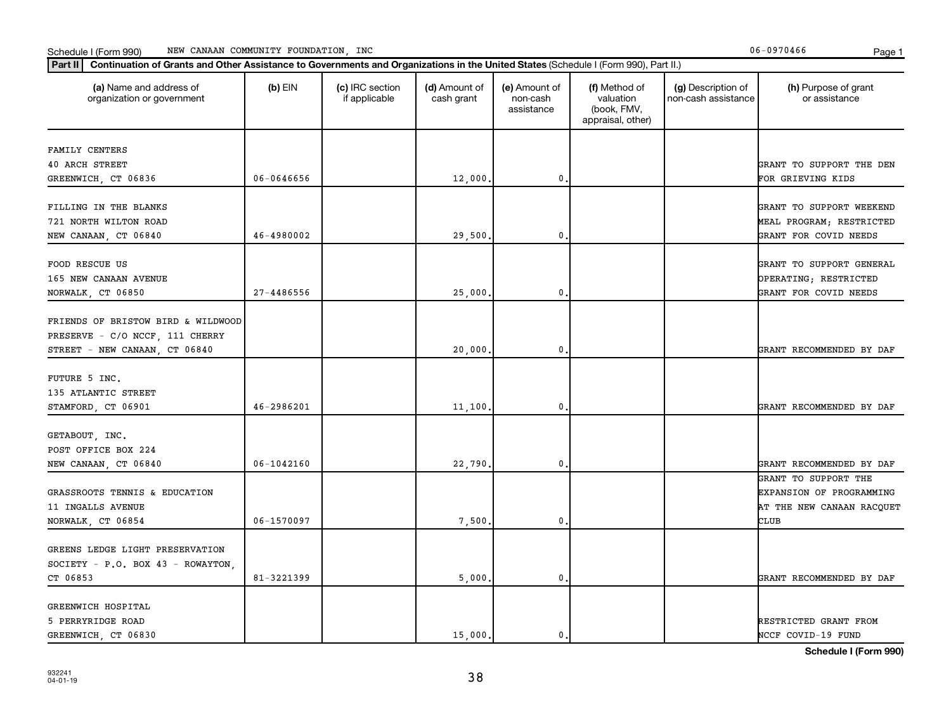## **Part III Continuation of Grants and Other Assistance to Governments and Organizations in the United States (Schi<br>
Part III Continuation of Grants and Other Assistance to Governments and Organizations in the United State** Schedule I (Form 990) MEW CANAAN COMMUNITY FOUNDATION, INC **Page 1** Account 2008 1

| (a) Name and address of<br>$(b)$ EIN<br>(c) IRC section<br>(d) Amount of<br>(e) Amount of<br>(f) Method of<br>(g) Description of<br>(h) Purpose of grant<br>valuation<br>organization or government<br>if applicable<br>cash grant<br>non-cash<br>non-cash assistance<br>or assistance<br>(book, FMV,<br>assistance<br>appraisal, other)<br>FAMILY CENTERS<br><b>40 ARCH STREET</b><br>GRANT TO SUPPORT THE DEN<br>06-0646656<br>0<br>FOR GRIEVING KIDS<br>GREENWICH, CT 06836<br>12,000.<br>FILLING IN THE BLANKS<br>GRANT TO SUPPORT WEEKEND<br>721 NORTH WILTON ROAD<br>MEAL PROGRAM; RESTRICTED<br>46-4980002<br>29,500<br>0<br>GRANT FOR COVID NEEDS<br>NEW CANAAN, CT 06840<br>FOOD RESCUE US<br>GRANT TO SUPPORT GENERAL<br>165 NEW CANAAN AVENUE<br>OPERATING; RESTRICTED<br>25,000.<br>0<br>NORWALK, CT 06850<br>27-4486556<br>GRANT FOR COVID NEEDS | Continuation of Grants and Other Assistance to Governments and Organizations in the United States (Schedule I (Form 990), Part II.)<br>Part II |  |  |  |                           |
|---------------------------------------------------------------------------------------------------------------------------------------------------------------------------------------------------------------------------------------------------------------------------------------------------------------------------------------------------------------------------------------------------------------------------------------------------------------------------------------------------------------------------------------------------------------------------------------------------------------------------------------------------------------------------------------------------------------------------------------------------------------------------------------------------------------------------------------------------------------|------------------------------------------------------------------------------------------------------------------------------------------------|--|--|--|---------------------------|
|                                                                                                                                                                                                                                                                                                                                                                                                                                                                                                                                                                                                                                                                                                                                                                                                                                                               |                                                                                                                                                |  |  |  |                           |
|                                                                                                                                                                                                                                                                                                                                                                                                                                                                                                                                                                                                                                                                                                                                                                                                                                                               |                                                                                                                                                |  |  |  |                           |
|                                                                                                                                                                                                                                                                                                                                                                                                                                                                                                                                                                                                                                                                                                                                                                                                                                                               |                                                                                                                                                |  |  |  |                           |
|                                                                                                                                                                                                                                                                                                                                                                                                                                                                                                                                                                                                                                                                                                                                                                                                                                                               |                                                                                                                                                |  |  |  |                           |
|                                                                                                                                                                                                                                                                                                                                                                                                                                                                                                                                                                                                                                                                                                                                                                                                                                                               |                                                                                                                                                |  |  |  |                           |
|                                                                                                                                                                                                                                                                                                                                                                                                                                                                                                                                                                                                                                                                                                                                                                                                                                                               |                                                                                                                                                |  |  |  |                           |
|                                                                                                                                                                                                                                                                                                                                                                                                                                                                                                                                                                                                                                                                                                                                                                                                                                                               |                                                                                                                                                |  |  |  |                           |
|                                                                                                                                                                                                                                                                                                                                                                                                                                                                                                                                                                                                                                                                                                                                                                                                                                                               |                                                                                                                                                |  |  |  |                           |
|                                                                                                                                                                                                                                                                                                                                                                                                                                                                                                                                                                                                                                                                                                                                                                                                                                                               |                                                                                                                                                |  |  |  |                           |
|                                                                                                                                                                                                                                                                                                                                                                                                                                                                                                                                                                                                                                                                                                                                                                                                                                                               |                                                                                                                                                |  |  |  |                           |
|                                                                                                                                                                                                                                                                                                                                                                                                                                                                                                                                                                                                                                                                                                                                                                                                                                                               |                                                                                                                                                |  |  |  |                           |
|                                                                                                                                                                                                                                                                                                                                                                                                                                                                                                                                                                                                                                                                                                                                                                                                                                                               |                                                                                                                                                |  |  |  |                           |
| FRIENDS OF BRISTOW BIRD & WILDWOOD                                                                                                                                                                                                                                                                                                                                                                                                                                                                                                                                                                                                                                                                                                                                                                                                                            |                                                                                                                                                |  |  |  |                           |
| PRESERVE - C/O NCCF, 111 CHERRY                                                                                                                                                                                                                                                                                                                                                                                                                                                                                                                                                                                                                                                                                                                                                                                                                               |                                                                                                                                                |  |  |  |                           |
| $\mathbf{0}$ .<br>STREET - NEW CANAAN, CT 06840<br>20,000<br>GRANT RECOMMENDED BY DAF                                                                                                                                                                                                                                                                                                                                                                                                                                                                                                                                                                                                                                                                                                                                                                         |                                                                                                                                                |  |  |  |                           |
|                                                                                                                                                                                                                                                                                                                                                                                                                                                                                                                                                                                                                                                                                                                                                                                                                                                               |                                                                                                                                                |  |  |  |                           |
| FUTURE 5 INC.                                                                                                                                                                                                                                                                                                                                                                                                                                                                                                                                                                                                                                                                                                                                                                                                                                                 |                                                                                                                                                |  |  |  |                           |
| 135 ATLANTIC STREET                                                                                                                                                                                                                                                                                                                                                                                                                                                                                                                                                                                                                                                                                                                                                                                                                                           |                                                                                                                                                |  |  |  |                           |
| 46-2986201<br>11,100<br>0<br>GRANT RECOMMENDED BY DAF<br>STAMFORD, CT 06901                                                                                                                                                                                                                                                                                                                                                                                                                                                                                                                                                                                                                                                                                                                                                                                   |                                                                                                                                                |  |  |  |                           |
| GETABOUT, INC.                                                                                                                                                                                                                                                                                                                                                                                                                                                                                                                                                                                                                                                                                                                                                                                                                                                |                                                                                                                                                |  |  |  |                           |
| POST OFFICE BOX 224                                                                                                                                                                                                                                                                                                                                                                                                                                                                                                                                                                                                                                                                                                                                                                                                                                           |                                                                                                                                                |  |  |  |                           |
| $06 - 1042160$<br>22,790.<br>0<br>NEW CANAAN, CT 06840<br>GRANT RECOMMENDED BY DAF                                                                                                                                                                                                                                                                                                                                                                                                                                                                                                                                                                                                                                                                                                                                                                            |                                                                                                                                                |  |  |  |                           |
| GRANT TO SUPPORT THE                                                                                                                                                                                                                                                                                                                                                                                                                                                                                                                                                                                                                                                                                                                                                                                                                                          |                                                                                                                                                |  |  |  |                           |
| GRASSROOTS TENNIS & EDUCATION<br>EXPANSION OF PROGRAMMING                                                                                                                                                                                                                                                                                                                                                                                                                                                                                                                                                                                                                                                                                                                                                                                                     |                                                                                                                                                |  |  |  |                           |
| 11 INGALLS AVENUE                                                                                                                                                                                                                                                                                                                                                                                                                                                                                                                                                                                                                                                                                                                                                                                                                                             |                                                                                                                                                |  |  |  | AT THE NEW CANAAN RACQUET |
| 06-1570097<br>7,500<br>$\mathbf{0}$<br>CLUB<br>NORWALK, CT 06854                                                                                                                                                                                                                                                                                                                                                                                                                                                                                                                                                                                                                                                                                                                                                                                              |                                                                                                                                                |  |  |  |                           |
|                                                                                                                                                                                                                                                                                                                                                                                                                                                                                                                                                                                                                                                                                                                                                                                                                                                               |                                                                                                                                                |  |  |  |                           |
| GREENS LEDGE LIGHT PRESERVATION                                                                                                                                                                                                                                                                                                                                                                                                                                                                                                                                                                                                                                                                                                                                                                                                                               |                                                                                                                                                |  |  |  |                           |
| SOCIETY - P.O. BOX 43 - ROWAYTON,                                                                                                                                                                                                                                                                                                                                                                                                                                                                                                                                                                                                                                                                                                                                                                                                                             |                                                                                                                                                |  |  |  |                           |
| CT 06853<br>81-3221399<br>5,000<br>0.<br>GRANT RECOMMENDED BY DAF                                                                                                                                                                                                                                                                                                                                                                                                                                                                                                                                                                                                                                                                                                                                                                                             |                                                                                                                                                |  |  |  |                           |
| GREENWICH HOSPITAL                                                                                                                                                                                                                                                                                                                                                                                                                                                                                                                                                                                                                                                                                                                                                                                                                                            |                                                                                                                                                |  |  |  |                           |
| 5 PERRYRIDGE ROAD<br>RESTRICTED GRANT FROM                                                                                                                                                                                                                                                                                                                                                                                                                                                                                                                                                                                                                                                                                                                                                                                                                    |                                                                                                                                                |  |  |  |                           |
| 15,000.<br>GREENWICH, CT 06830<br>0.<br>NCCF COVID-19 FUND                                                                                                                                                                                                                                                                                                                                                                                                                                                                                                                                                                                                                                                                                                                                                                                                    |                                                                                                                                                |  |  |  |                           |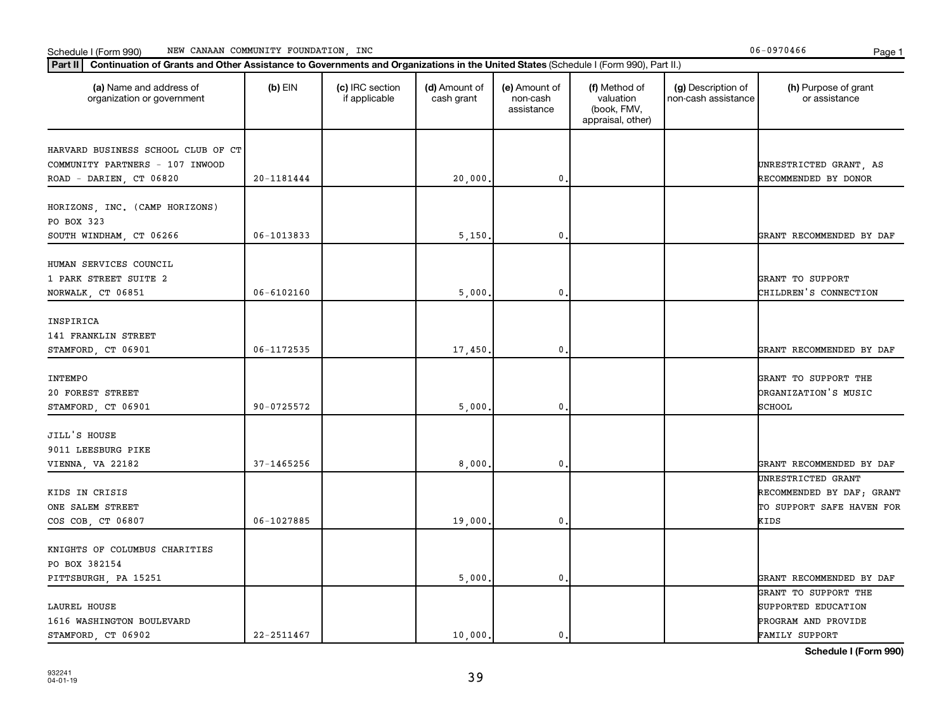## **Part III Continuation of Grants and Other Assistance to Governments and Organizations in the United States (Schi<br>
Part III Continuation of Grants and Other Assistance to Governments and Organizations in the United State** Schedule I (Form 990) MEW CANAAN COMMUNITY FOUNDATION, INC **Page 1** Account 2008 1

| Continuation of Grants and Other Assistance to Governments and Organizations in the United States (Schedule I (Form 990), Part II.)<br>Part II |                |                                  |                             |                                         |                                                                |                                           |                                                                                             |
|------------------------------------------------------------------------------------------------------------------------------------------------|----------------|----------------------------------|-----------------------------|-----------------------------------------|----------------------------------------------------------------|-------------------------------------------|---------------------------------------------------------------------------------------------|
| (a) Name and address of<br>organization or government                                                                                          | $(b)$ EIN      | (c) IRC section<br>if applicable | (d) Amount of<br>cash grant | (e) Amount of<br>non-cash<br>assistance | (f) Method of<br>valuation<br>(book, FMV,<br>appraisal, other) | (g) Description of<br>non-cash assistance | (h) Purpose of grant<br>or assistance                                                       |
| HARVARD BUSINESS SCHOOL CLUB OF CT<br>COMMUNITY PARTNERS - 107 INWOOD<br>ROAD - DARIEN, CT 06820                                               | 20-1181444     |                                  | 20,000.                     | $\mathbf 0$                             |                                                                |                                           | UNRESTRICTED GRANT, AS<br>RECOMMENDED BY DONOR                                              |
| HORIZONS, INC. (CAMP HORIZONS)<br>PO BOX 323<br>SOUTH WINDHAM, CT 06266                                                                        | $06 - 1013833$ |                                  | 5,150.                      | $\mathbf{0}$                            |                                                                |                                           | GRANT RECOMMENDED BY DAF                                                                    |
| HUMAN SERVICES COUNCIL<br>1 PARK STREET SUITE 2<br>NORWALK, CT 06851                                                                           | 06-6102160     |                                  | 5,000                       | $\mathbf{0}$                            |                                                                |                                           | GRANT TO SUPPORT<br>CHILDREN'S CONNECTION                                                   |
| INSPIRICA<br>141 FRANKLIN STREET<br>STAMFORD, CT 06901                                                                                         | 06-1172535     |                                  | 17,450.                     | $\mathbf 0$                             |                                                                |                                           | GRANT RECOMMENDED BY DAF                                                                    |
| INTEMPO<br>20 FOREST STREET<br>STAMFORD, CT 06901                                                                                              | 90-0725572     |                                  | 5,000.                      | $\mathbf{0}$                            |                                                                |                                           | GRANT TO SUPPORT THE<br>DRGANIZATION'S MUSIC<br>SCHOOL                                      |
| JILL'S HOUSE<br>9011 LEESBURG PIKE<br>VIENNA, VA 22182                                                                                         | 37-1465256     |                                  | 8,000.                      | $\mathbf 0$                             |                                                                |                                           | GRANT RECOMMENDED BY DAF                                                                    |
| KIDS IN CRISIS<br>ONE SALEM STREET<br>COS COB, CT 06807                                                                                        | 06-1027885     |                                  | 19,000.                     | $\mathbf 0$                             |                                                                |                                           | UNRESTRICTED GRANT<br>RECOMMENDED BY DAF; GRANT<br>TO SUPPORT SAFE HAVEN FOR<br>KIDS        |
| KNIGHTS OF COLUMBUS CHARITIES<br>PO BOX 382154<br>PITTSBURGH, PA 15251                                                                         |                |                                  | 5,000.                      | $\mathbf 0$ .                           |                                                                |                                           | GRANT RECOMMENDED BY DAF                                                                    |
| LAUREL HOUSE<br>1616 WASHINGTON BOULEVARD<br>STAMFORD CT 06902                                                                                 | 22-2511467     |                                  | 10,000.                     | $\mathbf{0}$ .                          |                                                                |                                           | GRANT TO SUPPORT THE<br>SUPPORTED EDUCATION<br>PROGRAM AND PROVIDE<br><b>FAMILY SUPPORT</b> |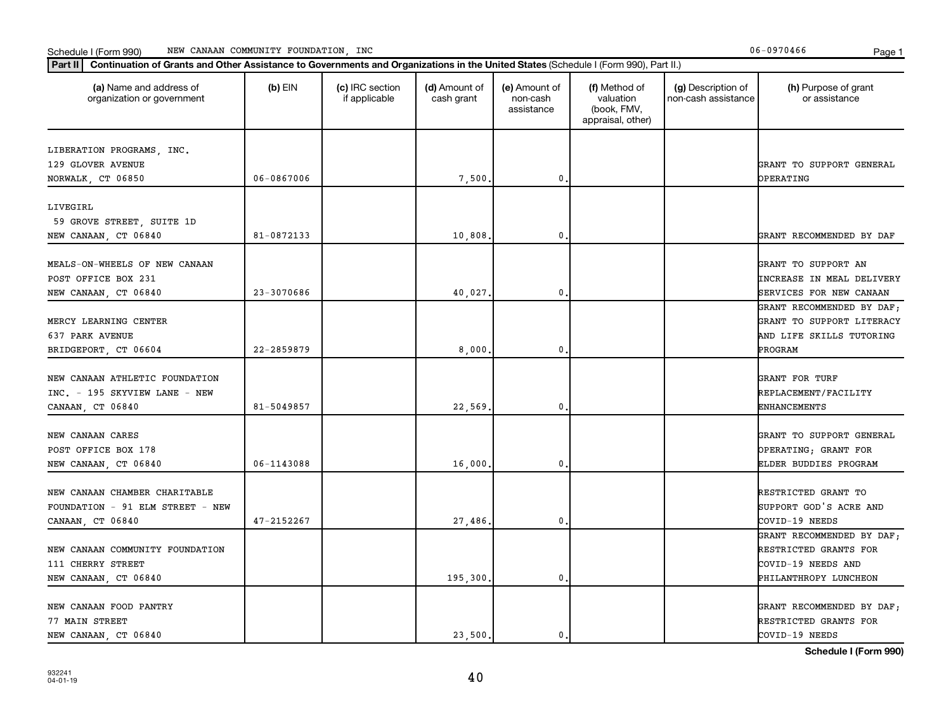#### Schedule I (Form 990) Page 1 NEW CANAAN COMMUNITY FOUNDATION, INC 06-0970466

| Part II   Continuation of Grants and Other Assistance to Governments and Organizations in the United States (Schedule I (Form 990), Part II.) |            |                                  |                             |                                         |                                                                |                                           |                                                                                                   |
|-----------------------------------------------------------------------------------------------------------------------------------------------|------------|----------------------------------|-----------------------------|-----------------------------------------|----------------------------------------------------------------|-------------------------------------------|---------------------------------------------------------------------------------------------------|
| (a) Name and address of<br>organization or government                                                                                         | (b) $EIN$  | (c) IRC section<br>if applicable | (d) Amount of<br>cash grant | (e) Amount of<br>non-cash<br>assistance | (f) Method of<br>valuation<br>(book, FMV,<br>appraisal, other) | (g) Description of<br>non-cash assistance | (h) Purpose of grant<br>or assistance                                                             |
| LIBERATION PROGRAMS, INC.<br>129 GLOVER AVENUE                                                                                                |            |                                  |                             |                                         |                                                                |                                           | GRANT TO SUPPORT GENERAL                                                                          |
| NORWALK, CT 06850                                                                                                                             | 06-0867006 |                                  | 7,500                       | 0.                                      |                                                                |                                           | OPERATING                                                                                         |
| LIVEGIRL<br>59 GROVE STREET, SUITE 1D<br>NEW CANAAN, CT 06840                                                                                 | 81-0872133 |                                  | 10,808                      | $\mathbf 0$                             |                                                                |                                           | GRANT RECOMMENDED BY DAF                                                                          |
| MEALS-ON-WHEELS OF NEW CANAAN<br>POST OFFICE BOX 231<br>NEW CANAAN, CT 06840                                                                  | 23-3070686 |                                  | 40,027.                     | 0.                                      |                                                                |                                           | GRANT TO SUPPORT AN<br><b>INCREASE IN MEAL DELIVERY</b><br>SERVICES FOR NEW CANAAN                |
| MERCY LEARNING CENTER<br>637 PARK AVENUE<br>BRIDGEPORT, CT 06604                                                                              | 22-2859879 |                                  | 8,000                       | 0.                                      |                                                                |                                           | GRANT RECOMMENDED BY DAF;<br>GRANT TO SUPPORT LITERACY<br>AND LIFE SKILLS TUTORING<br>PROGRAM     |
| NEW CANAAN ATHLETIC FOUNDATION<br>INC. - 195 SKYVIEW LANE - NEW<br>CANAAN, CT 06840                                                           | 81-5049857 |                                  | 22,569                      | $\mathbf 0$                             |                                                                |                                           | GRANT FOR TURF<br>REPLACEMENT/FACILITY<br><b>ENHANCEMENTS</b>                                     |
| NEW CANAAN CARES<br>POST OFFICE BOX 178<br>NEW CANAAN, CT 06840                                                                               | 06-1143088 |                                  | 16,000                      | 0.                                      |                                                                |                                           | GRANT TO SUPPORT GENERAL<br>OPERATING; GRANT FOR<br>ELDER BUDDIES PROGRAM                         |
| NEW CANAAN CHAMBER CHARITABLE<br>FOUNDATION - 91 ELM STREET - NEW<br>CANAAN, CT 06840                                                         | 47-2152267 |                                  | 27,486                      | $\mathbf{0}$ .                          |                                                                |                                           | RESTRICTED GRANT TO<br>SUPPORT GOD'S ACRE AND<br>COVID-19 NEEDS                                   |
| NEW CANAAN COMMUNITY FOUNDATION<br>111 CHERRY STREET<br>NEW CANAAN, CT 06840                                                                  |            |                                  | 195,300                     | 0.                                      |                                                                |                                           | GRANT RECOMMENDED BY DAF;<br>RESTRICTED GRANTS FOR<br>COVID-19 NEEDS AND<br>PHILANTHROPY LUNCHEON |
| NEW CANAAN FOOD PANTRY<br>77 MAIN STREET<br>NEW CANAAN, CT 06840                                                                              |            |                                  | 23,500.                     | $\mathbf{0}$ .                          |                                                                |                                           | GRANT RECOMMENDED BY DAF;<br>RESTRICTED GRANTS FOR<br>COVID-19 NEEDS                              |

932241 04-01-19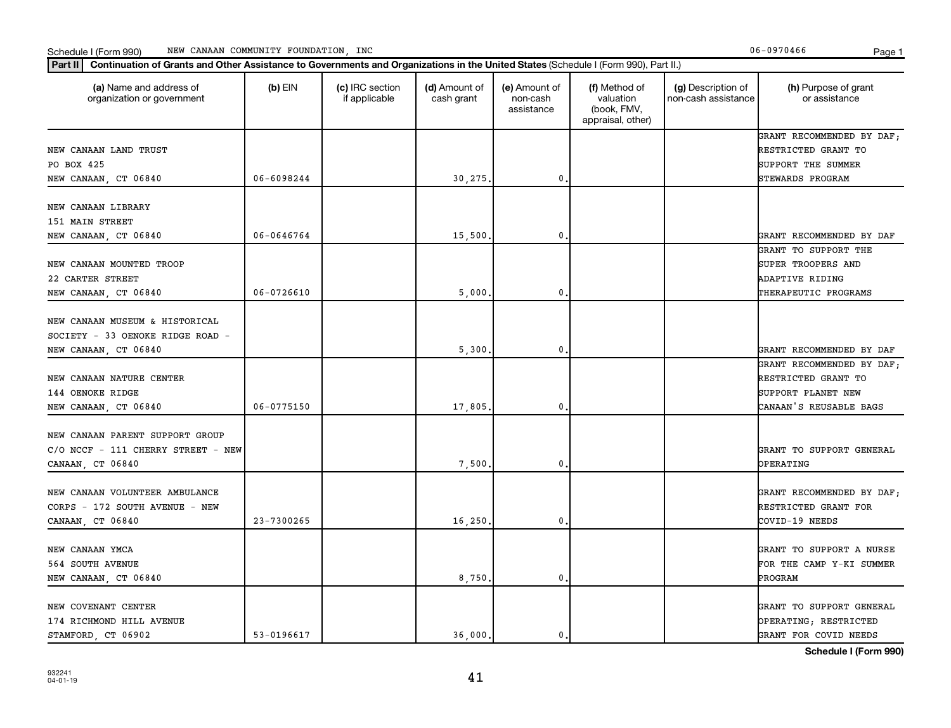# Schedule I (Form 990) MEW CANAAN COMMUNITY FOUNDATION, INC **Page 1** Account 2008 1

| (a) Name and address of<br>organization or government                                     | $(b)$ EIN      | (c) IRC section<br>if applicable | (d) Amount of<br>cash grant | (e) Amount of<br>non-cash<br>assistance | (f) Method of<br>valuation<br>(book, FMV,<br>appraisal, other) | (g) Description of<br>non-cash assistance | (h) Purpose of grant<br>or assistance                                      |
|-------------------------------------------------------------------------------------------|----------------|----------------------------------|-----------------------------|-----------------------------------------|----------------------------------------------------------------|-------------------------------------------|----------------------------------------------------------------------------|
| NEW CANAAN LAND TRUST<br>PO BOX 425                                                       |                |                                  |                             |                                         |                                                                |                                           | GRANT RECOMMENDED BY DAF;<br>RESTRICTED GRANT TO<br>SUPPORT THE SUMMER     |
| NEW CANAAN, CT 06840                                                                      | 06-6098244     |                                  | 30,275.                     | $\mathbf 0$                             |                                                                |                                           | STEWARDS PROGRAM                                                           |
| NEW CANAAN LIBRARY<br>151 MAIN STREET                                                     |                |                                  |                             |                                         |                                                                |                                           |                                                                            |
| NEW CANAAN, CT 06840                                                                      | 06-0646764     |                                  | 15,500.                     | 0                                       |                                                                |                                           | GRANT RECOMMENDED BY DAF                                                   |
| NEW CANAAN MOUNTED TROOP<br>22 CARTER STREET                                              |                |                                  |                             |                                         |                                                                |                                           | GRANT TO SUPPORT THE<br>SUPER TROOPERS AND<br>ADAPTIVE RIDING              |
| NEW CANAAN, CT 06840                                                                      | $06 - 0726610$ |                                  | 5,000,                      | $\mathbf 0$                             |                                                                |                                           | THERAPEUTIC PROGRAMS                                                       |
| NEW CANAAN MUSEUM & HISTORICAL<br>SOCIETY - 33 OENOKE RIDGE ROAD -                        |                |                                  |                             |                                         |                                                                |                                           |                                                                            |
| NEW CANAAN, CT 06840                                                                      |                |                                  | 5,300,                      | $\mathbf 0$                             |                                                                |                                           | GRANT RECOMMENDED BY DAF<br>GRANT RECOMMENDED BY DAF;                      |
| NEW CANAAN NATURE CENTER<br>144 OENOKE RIDGE                                              |                |                                  |                             |                                         |                                                                |                                           | RESTRICTED GRANT TO<br>SUPPORT PLANET NEW                                  |
| NEW CANAAN, CT 06840                                                                      | $06 - 0775150$ |                                  | 17,805,                     | $\mathbf 0$                             |                                                                |                                           | CANAAN'S REUSABLE BAGS                                                     |
| NEW CANAAN PARENT SUPPORT GROUP<br>C/O NCCF - 111 CHERRY STREET - NEW<br>CANAAN, CT 06840 |                |                                  | 7,500                       | 0                                       |                                                                |                                           | GRANT TO SUPPORT GENERAL<br>OPERATING                                      |
| NEW CANAAN VOLUNTEER AMBULANCE<br>CORPS - 172 SOUTH AVENUE - NEW<br>CANAAN, CT 06840      | 23-7300265     |                                  | 16, 250.                    | 0.                                      |                                                                |                                           | GRANT RECOMMENDED BY DAF;<br>RESTRICTED GRANT FOR<br>COVID-19 NEEDS        |
| NEW CANAAN YMCA<br>564 SOUTH AVENUE                                                       |                |                                  |                             |                                         |                                                                |                                           | GRANT TO SUPPORT A NURSE<br>FOR THE CAMP Y-KI SUMMER                       |
| NEW CANAAN, CT 06840                                                                      |                |                                  | 8,750.                      | $\mathbf 0$                             |                                                                |                                           | PROGRAM                                                                    |
| NEW COVENANT CENTER<br>174 RICHMOND HILL AVENUE<br>STAMFORD CT 06902                      | 53-0196617     |                                  | 36.000.                     | $\mathbf{0}$ .                          |                                                                |                                           | GRANT TO SUPPORT GENERAL<br>OPERATING; RESTRICTED<br>GRANT FOR COVID NEEDS |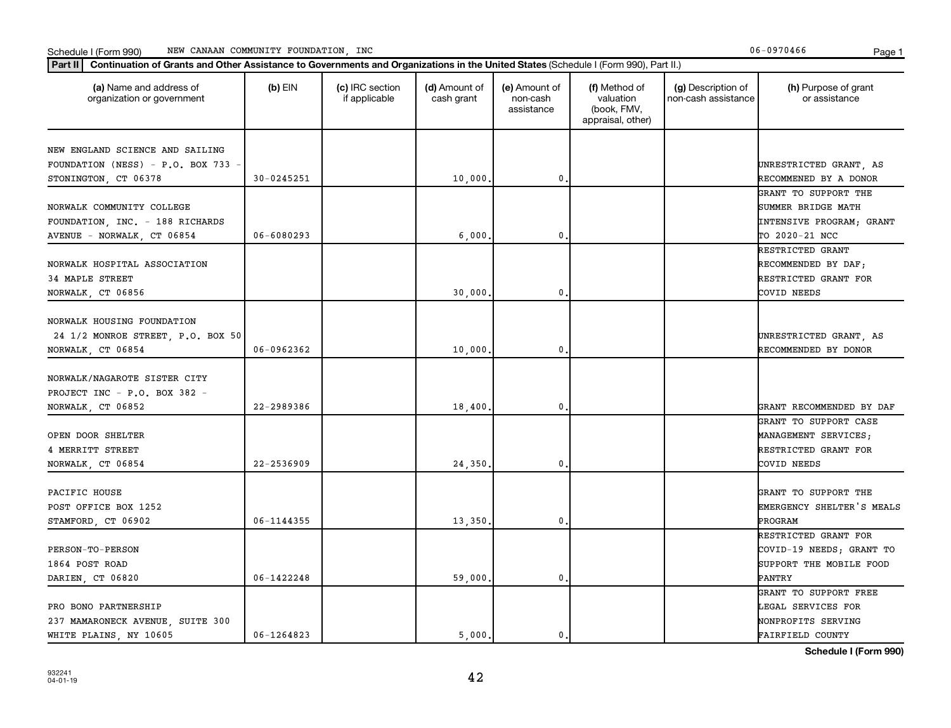# Schedule I (Form 990) MEW CANAAN COMMUNITY FOUNDATION, INC **Page 1** Account 2008 1

| (a) Name and address of<br>organization or government                                | $(b)$ EIN      | (c) IRC section<br>if applicable | (d) Amount of<br>cash grant | (e) Amount of<br>non-cash<br>assistance | (f) Method of<br>valuation<br>(book, FMV,<br>appraisal, other) | (g) Description of<br>non-cash assistance | (h) Purpose of grant<br>or assistance                        |
|--------------------------------------------------------------------------------------|----------------|----------------------------------|-----------------------------|-----------------------------------------|----------------------------------------------------------------|-------------------------------------------|--------------------------------------------------------------|
| NEW ENGLAND SCIENCE AND SAILING                                                      |                |                                  |                             |                                         |                                                                |                                           |                                                              |
| FOUNDATION (NESS) - P.O. BOX 733 -                                                   |                |                                  |                             |                                         |                                                                |                                           | UNRESTRICTED GRANT, AS                                       |
| STONINGTON, CT 06378                                                                 | 30-0245251     |                                  | 10,000.                     | 0                                       |                                                                |                                           | RECOMMENED BY A DONOR                                        |
|                                                                                      |                |                                  |                             |                                         |                                                                |                                           | GRANT TO SUPPORT THE                                         |
| NORWALK COMMUNITY COLLEGE                                                            |                |                                  |                             |                                         |                                                                |                                           | SUMMER BRIDGE MATH                                           |
| FOUNDATION, INC. - 188 RICHARDS                                                      |                |                                  |                             |                                         |                                                                |                                           | INTENSIVE PROGRAM; GRANT                                     |
| AVENUE - NORWALK, CT 06854                                                           | $06 - 6080293$ |                                  | 6,000                       | 0                                       |                                                                |                                           | TO 2020-21 NCC                                               |
|                                                                                      |                |                                  |                             |                                         |                                                                |                                           | RESTRICTED GRANT                                             |
| NORWALK HOSPITAL ASSOCIATION                                                         |                |                                  |                             |                                         |                                                                |                                           | RECOMMENDED BY DAF;                                          |
| 34 MAPLE STREET                                                                      |                |                                  |                             |                                         |                                                                |                                           | RESTRICTED GRANT FOR                                         |
| NORWALK, CT 06856                                                                    |                |                                  | 30,000,                     | $\mathbf{0}$                            |                                                                |                                           | COVID NEEDS                                                  |
| NORWALK HOUSING FOUNDATION<br>24 1/2 MONROE STREET, P.O. BOX 50<br>NORWALK, CT 06854 | 06-0962362     |                                  | 10,000                      | 0                                       |                                                                |                                           | UNRESTRICTED GRANT, AS<br>RECOMMENDED BY DONOR               |
| NORWALK/NAGAROTE SISTER CITY<br>PROJECT INC - P.O. BOX 382 -                         |                |                                  |                             |                                         |                                                                |                                           |                                                              |
| NORWALK, CT 06852                                                                    | 22-2989386     |                                  | 18,400                      | 0                                       |                                                                |                                           | GRANT RECOMMENDED BY DAF                                     |
|                                                                                      |                |                                  |                             |                                         |                                                                |                                           | GRANT TO SUPPORT CASE                                        |
| OPEN DOOR SHELTER                                                                    |                |                                  |                             |                                         |                                                                |                                           | MANAGEMENT SERVICES;                                         |
| 4 MERRITT STREET                                                                     |                |                                  |                             |                                         |                                                                |                                           | RESTRICTED GRANT FOR                                         |
| NORWALK, CT 06854                                                                    | 22-2536909     |                                  | 24,350                      | 0                                       |                                                                |                                           | COVID NEEDS                                                  |
| PACIFIC HOUSE<br>POST OFFICE BOX 1252<br>STAMFORD, CT 06902                          | 06-1144355     |                                  | 13,350,                     | $\mathbf{0}$                            |                                                                |                                           | GRANT TO SUPPORT THE<br>EMERGENCY SHELTER'S MEALS<br>PROGRAM |
|                                                                                      |                |                                  |                             |                                         |                                                                |                                           | RESTRICTED GRANT FOR                                         |
| <b>PERSON-TO-PERSON</b>                                                              |                |                                  |                             |                                         |                                                                |                                           | COVID-19 NEEDS; GRANT TO                                     |
| 1864 POST ROAD                                                                       |                |                                  |                             |                                         |                                                                |                                           | SUPPORT THE MOBILE FOOD                                      |
| DARIEN, CT 06820                                                                     | 06-1422248     |                                  | 59,000                      | $\mathbf{0}$                            |                                                                |                                           | PANTRY                                                       |
|                                                                                      |                |                                  |                             |                                         |                                                                |                                           | GRANT TO SUPPORT FREE                                        |
| PRO BONO PARTNERSHIP                                                                 |                |                                  |                             |                                         |                                                                |                                           | LEGAL SERVICES FOR                                           |
| 237 MAMARONECK AVENUE, SUITE 300                                                     |                |                                  |                             |                                         |                                                                |                                           | NONPROFITS SERVING                                           |
| WHITE PLAINS, NY 10605                                                               | $06 - 1264823$ |                                  | 5.000.                      | $\mathbf{0}$                            |                                                                |                                           | FAIRFIELD COUNTY                                             |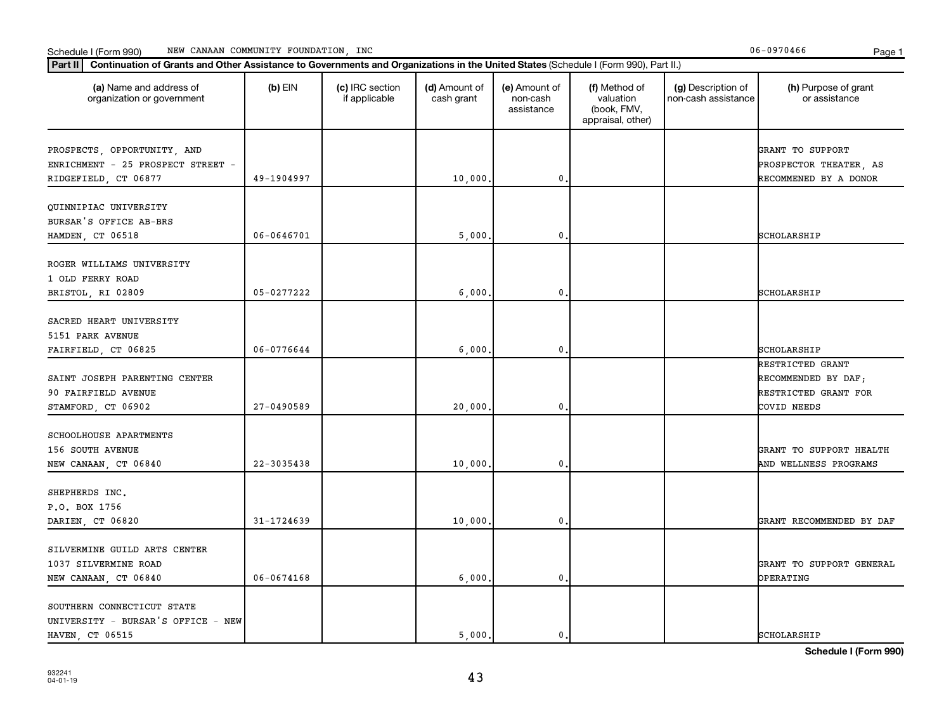## **Part III Continuation of Grants and Other Assistance to Governments and Organizations in the United States (Schi<br>
Part III Continuation of Grants and Other Assistance to Governments and Organizations in the United State** Schedule I (Form 990) MEW CANAAN COMMUNITY FOUNDATION, INC **Page 1** Account 2008 1

| Continuation of Grants and Other Assistance to Governments and Organizations in the United States (Schedule I (Form 990), Part II.)<br>Part II |                |                                  |                             |                                         |                                                                |                                           |                                                                                |
|------------------------------------------------------------------------------------------------------------------------------------------------|----------------|----------------------------------|-----------------------------|-----------------------------------------|----------------------------------------------------------------|-------------------------------------------|--------------------------------------------------------------------------------|
| (a) Name and address of<br>organization or government                                                                                          | $(b)$ EIN      | (c) IRC section<br>if applicable | (d) Amount of<br>cash grant | (e) Amount of<br>non-cash<br>assistance | (f) Method of<br>valuation<br>(book, FMV,<br>appraisal, other) | (g) Description of<br>non-cash assistance | (h) Purpose of grant<br>or assistance                                          |
| PROSPECTS, OPPORTUNITY, AND<br>ENRICHMENT - 25 PROSPECT STREET -<br>RIDGEFIELD, CT 06877                                                       | 49-1904997     |                                  | 10,000.                     | 0                                       |                                                                |                                           | GRANT TO SUPPORT<br>PROSPECTOR THEATER, AS<br>RECOMMENED BY A DONOR            |
| QUINNIPIAC UNIVERSITY<br>BURSAR'S OFFICE AB-BRS<br>HAMDEN, CT 06518                                                                            | $06 - 0646701$ |                                  | 5,000.                      | 0                                       |                                                                |                                           | SCHOLARSHIP                                                                    |
| ROGER WILLIAMS UNIVERSITY<br>1 OLD FERRY ROAD<br>BRISTOL, RI 02809                                                                             | 05-0277222     |                                  | 6,000.                      | 0                                       |                                                                |                                           | SCHOLARSHIP                                                                    |
| SACRED HEART UNIVERSITY<br>5151 PARK AVENUE<br>FAIRFIELD, CT 06825                                                                             | 06-0776644     |                                  | 6,000,                      | 0                                       |                                                                |                                           | SCHOLARSHIP                                                                    |
| SAINT JOSEPH PARENTING CENTER<br>90 FAIRFIELD AVENUE<br>STAMFORD, CT 06902                                                                     | $27 - 0490589$ |                                  | 20,000.                     | 0                                       |                                                                |                                           | RESTRICTED GRANT<br>RECOMMENDED BY DAF;<br>RESTRICTED GRANT FOR<br>COVID NEEDS |
| SCHOOLHOUSE APARTMENTS<br>156 SOUTH AVENUE<br>NEW CANAAN, CT 06840                                                                             | 22-3035438     |                                  | 10,000.                     | 0                                       |                                                                |                                           | GRANT TO SUPPORT HEALTH<br>AND WELLNESS PROGRAMS                               |
| SHEPHERDS INC.<br>P.O. BOX 1756<br>DARIEN, CT 06820                                                                                            | 31-1724639     |                                  | 10,000.                     | 0                                       |                                                                |                                           | GRANT RECOMMENDED BY DAF                                                       |
| SILVERMINE GUILD ARTS CENTER<br>1037 SILVERMINE ROAD<br>NEW CANAAN, CT 06840                                                                   | $06 - 0674168$ |                                  | 6,000.                      | 0                                       |                                                                |                                           | GRANT TO SUPPORT GENERAL<br>OPERATING                                          |
| SOUTHERN CONNECTICUT STATE<br>UNIVERSITY - BURSAR'S OFFICE - NEW<br>HAVEN CT 06515                                                             |                |                                  | 5.000.                      | $\mathbf 0$ .                           |                                                                |                                           | <b>SCHOLARSHIP</b>                                                             |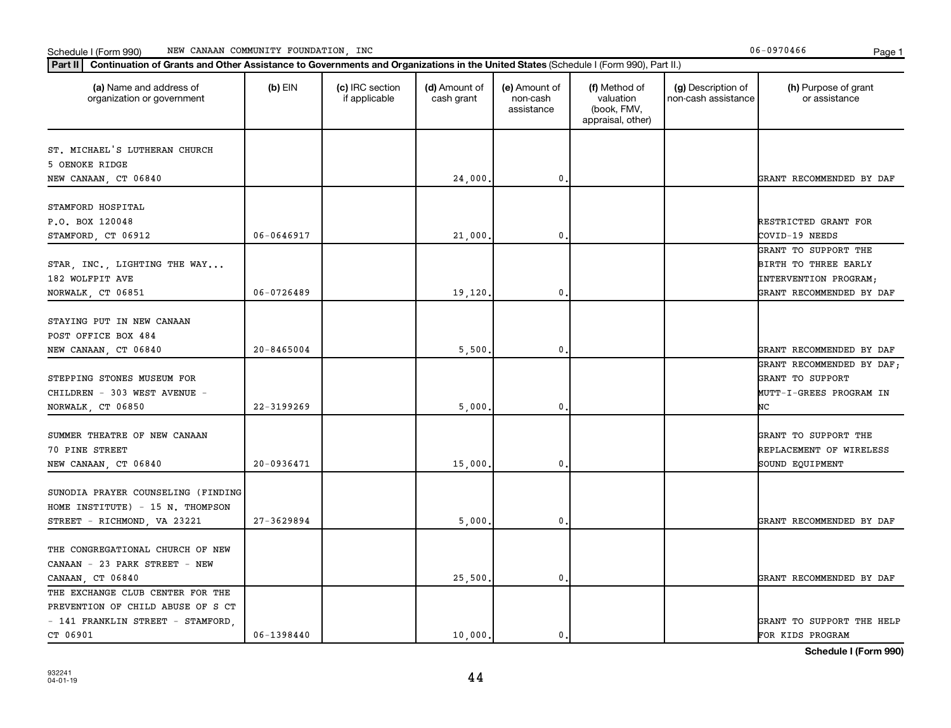# Schedule I (Form 990) MEW CANAAN COMMUNITY FOUNDATION, INC **Page 1** Account 2008 1

| Continuation of Grants and Other Assistance to Governments and Organizations in the United States (Schedule I (Form 990), Part II.)<br>Part II |            |                                  |                             |                                         |                                                                |                                           |                                                                                                   |
|------------------------------------------------------------------------------------------------------------------------------------------------|------------|----------------------------------|-----------------------------|-----------------------------------------|----------------------------------------------------------------|-------------------------------------------|---------------------------------------------------------------------------------------------------|
| (a) Name and address of<br>organization or government                                                                                          | $(b)$ EIN  | (c) IRC section<br>if applicable | (d) Amount of<br>cash grant | (e) Amount of<br>non-cash<br>assistance | (f) Method of<br>valuation<br>(book, FMV,<br>appraisal, other) | (g) Description of<br>non-cash assistance | (h) Purpose of grant<br>or assistance                                                             |
| ST. MICHAEL'S LUTHERAN CHURCH<br>5 OENOKE RIDGE<br>NEW CANAAN, CT 06840                                                                        |            |                                  | 24,000.                     | 0                                       |                                                                |                                           | GRANT RECOMMENDED BY DAF                                                                          |
| STAMFORD HOSPITAL<br>P.O. BOX 120048<br>STAMFORD, CT 06912                                                                                     | 06-0646917 |                                  | 21,000.                     | 0                                       |                                                                |                                           | RESTRICTED GRANT FOR<br>COVID-19 NEEDS                                                            |
| STAR, INC., LIGHTING THE WAY<br>182 WOLFPIT AVE<br>NORWALK, CT 06851                                                                           | 06-0726489 |                                  | 19,120.                     | 0                                       |                                                                |                                           | GRANT TO SUPPORT THE<br>BIRTH TO THREE EARLY<br>INTERVENTION PROGRAM;<br>GRANT RECOMMENDED BY DAF |
| STAYING PUT IN NEW CANAAN<br>POST OFFICE BOX 484<br>NEW CANAAN, CT 06840                                                                       | 20-8465004 |                                  | 5,500.                      | 0                                       |                                                                |                                           | GRANT RECOMMENDED BY DAF                                                                          |
| STEPPING STONES MUSEUM FOR<br>CHILDREN - 303 WEST AVENUE -<br>NORWALK, CT 06850                                                                | 22-3199269 |                                  | 5,000                       | 0                                       |                                                                |                                           | GRANT RECOMMENDED BY DAF;<br>GRANT TO SUPPORT<br>MUTT-I-GREES PROGRAM IN<br>NC                    |
| SUMMER THEATRE OF NEW CANAAN<br>70 PINE STREET<br>NEW CANAAN, CT 06840                                                                         | 20-0936471 |                                  | 15,000                      | 0                                       |                                                                |                                           | GRANT TO SUPPORT THE<br>REPLACEMENT OF WIRELESS<br>SOUND EQUIPMENT                                |
| SUNODIA PRAYER COUNSELING (FINDING<br>HOME INSTITUTE) - 15 N. THOMPSON<br>STREET - RICHMOND, VA 23221                                          | 27-3629894 |                                  | 5,000                       | 0                                       |                                                                |                                           | GRANT RECOMMENDED BY DAF                                                                          |
| THE CONGREGATIONAL CHURCH OF NEW<br>CANAAN - 23 PARK STREET - NEW<br>CANAAN, CT 06840                                                          |            |                                  | 25,500.                     | 0                                       |                                                                |                                           | GRANT RECOMMENDED BY DAF                                                                          |
| THE EXCHANGE CLUB CENTER FOR THE<br>PREVENTION OF CHILD ABUSE OF S CT<br>- 141 FRANKLIN STREET - STAMFORD,<br>CT 06901                         | 06-1398440 |                                  | 10,000.                     | $\mathbf 0$ .                           |                                                                |                                           | GRANT TO SUPPORT THE HELP<br>FOR KIDS PROGRAM                                                     |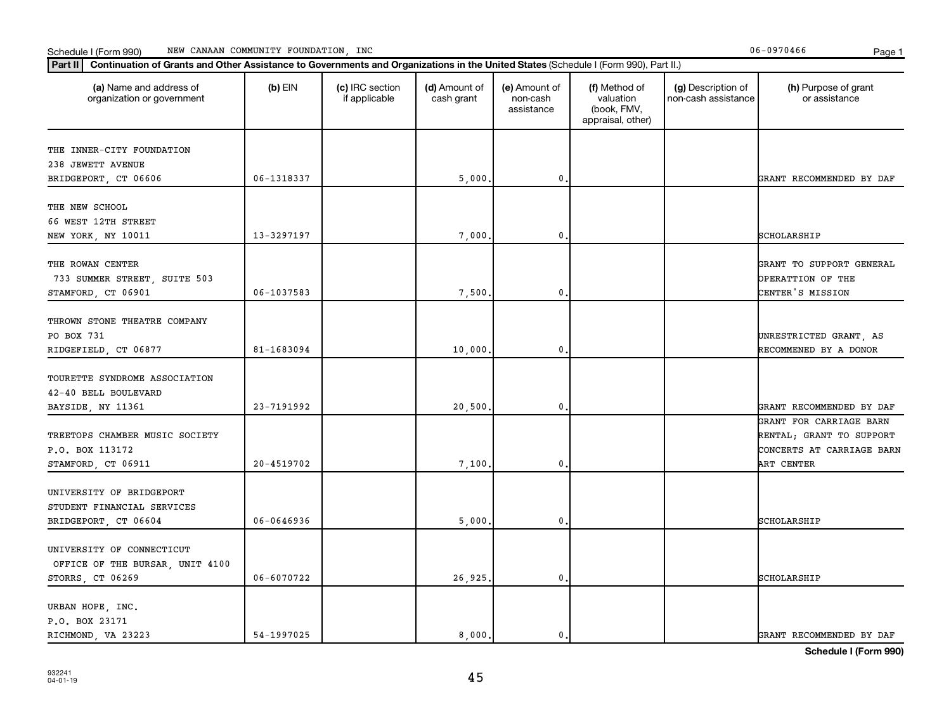# Schedule I (Form 990) MEW CANAAN COMMUNITY FOUNDATION, INC **Page 1** Account 2008 1

| (a) Name and address of<br>organization or government | $(b)$ EIN  | (c) IRC section<br>if applicable | (d) Amount of<br>cash grant | (e) Amount of<br>non-cash<br>assistance | (f) Method of<br>valuation<br>(book, FMV,<br>appraisal, other) | (g) Description of<br>non-cash assistance | (h) Purpose of grant<br>or assistance |
|-------------------------------------------------------|------------|----------------------------------|-----------------------------|-----------------------------------------|----------------------------------------------------------------|-------------------------------------------|---------------------------------------|
| THE INNER-CITY FOUNDATION                             |            |                                  |                             |                                         |                                                                |                                           |                                       |
| 238 JEWETT AVENUE                                     |            |                                  |                             |                                         |                                                                |                                           |                                       |
| BRIDGEPORT, CT 06606                                  | 06-1318337 |                                  | 5,000,                      | $\mathbf 0$ .                           |                                                                |                                           | GRANT RECOMMENDED BY DAF              |
|                                                       |            |                                  |                             |                                         |                                                                |                                           |                                       |
| THE NEW SCHOOL                                        |            |                                  |                             |                                         |                                                                |                                           |                                       |
| 66 WEST 12TH STREET                                   |            |                                  |                             |                                         |                                                                |                                           |                                       |
| NEW YORK, NY 10011                                    | 13-3297197 |                                  | 7,000                       | 0                                       |                                                                |                                           | SCHOLARSHIP                           |
|                                                       |            |                                  |                             |                                         |                                                                |                                           |                                       |
| THE ROWAN CENTER                                      |            |                                  |                             |                                         |                                                                |                                           | GRANT TO SUPPORT GENERAL              |
| 733 SUMMER STREET, SUITE 503                          |            |                                  |                             |                                         |                                                                |                                           | OPERATTION OF THE                     |
| STAMFORD, CT 06901                                    | 06-1037583 |                                  | 7,500.                      | $\mathbf 0$ .                           |                                                                |                                           | CENTER'S MISSION                      |
| THROWN STONE THEATRE COMPANY                          |            |                                  |                             |                                         |                                                                |                                           |                                       |
| PO BOX 731                                            |            |                                  |                             |                                         |                                                                |                                           | UNRESTRICTED GRANT, AS                |
| RIDGEFIELD, CT 06877                                  | 81-1683094 |                                  | 10,000.                     | $\mathbf 0$                             |                                                                |                                           | RECOMMENED BY A DONOR                 |
|                                                       |            |                                  |                             |                                         |                                                                |                                           |                                       |
| TOURETTE SYNDROME ASSOCIATION                         |            |                                  |                             |                                         |                                                                |                                           |                                       |
| 42-40 BELL BOULEVARD                                  |            |                                  |                             |                                         |                                                                |                                           |                                       |
| BAYSIDE, NY 11361                                     | 23-7191992 |                                  | 20,500,                     | 0.                                      |                                                                |                                           | GRANT RECOMMENDED BY DAF              |
|                                                       |            |                                  |                             |                                         |                                                                |                                           | GRANT FOR CARRIAGE BARN               |
| TREETOPS CHAMBER MUSIC SOCIETY                        |            |                                  |                             |                                         |                                                                |                                           | RENTAL; GRANT TO SUPPORT              |
| P.O. BOX 113172                                       |            |                                  |                             |                                         |                                                                |                                           | CONCERTS AT CARRIAGE BARN             |
| STAMFORD, CT 06911                                    | 20-4519702 |                                  | 7,100,                      | 0                                       |                                                                |                                           | ART CENTER                            |
|                                                       |            |                                  |                             |                                         |                                                                |                                           |                                       |
| UNIVERSITY OF BRIDGEPORT                              |            |                                  |                             |                                         |                                                                |                                           |                                       |
| STUDENT FINANCIAL SERVICES                            |            |                                  |                             |                                         |                                                                |                                           |                                       |
| BRIDGEPORT, CT 06604                                  | 06-0646936 |                                  | 5,000,                      | 0.                                      |                                                                |                                           | SCHOLARSHIP                           |
| UNIVERSITY OF CONNECTICUT                             |            |                                  |                             |                                         |                                                                |                                           |                                       |
| OFFICE OF THE BURSAR, UNIT 4100                       |            |                                  |                             |                                         |                                                                |                                           |                                       |
| STORRS, CT 06269                                      | 06-6070722 |                                  | 26,925.                     | $\mathbf 0$                             |                                                                |                                           | SCHOLARSHIP                           |
|                                                       |            |                                  |                             |                                         |                                                                |                                           |                                       |
| URBAN HOPE, INC.                                      |            |                                  |                             |                                         |                                                                |                                           |                                       |
| P.O. BOX 23171                                        |            |                                  |                             |                                         |                                                                |                                           |                                       |
| RICHMOND, VA 23223                                    | 54-1997025 |                                  | 8.000.                      | $\mathbf{0}$ .                          |                                                                |                                           | GRANT RECOMMENDED BY DAF              |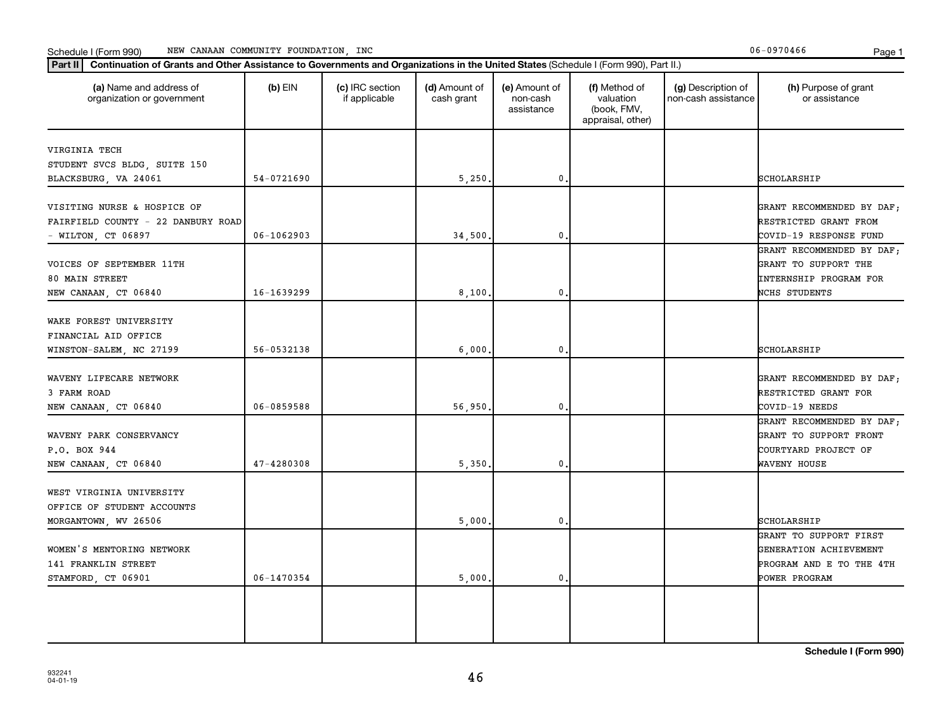| (a) Name and address of<br>organization or government                                             | $(b)$ EIN                | (c) IRC section<br>if applicable | (d) Amount of<br>cash grant | (e) Amount of<br>non-cash<br>assistance | (f) Method of<br>valuation<br>(book, FMV,<br>appraisal, other) | (g) Description of<br>non-cash assistance | (h) Purpose of grant<br>or assistance                                                         |
|---------------------------------------------------------------------------------------------------|--------------------------|----------------------------------|-----------------------------|-----------------------------------------|----------------------------------------------------------------|-------------------------------------------|-----------------------------------------------------------------------------------------------|
| VIRGINIA TECH<br>STUDENT SVCS BLDG, SUITE 150                                                     |                          |                                  |                             |                                         |                                                                |                                           |                                                                                               |
| BLACKSBURG, VA 24061                                                                              | 54-0721690               |                                  | 5,250.                      | 0                                       |                                                                |                                           | SCHOLARSHIP                                                                                   |
| VISITING NURSE & HOSPICE OF<br>FAIRFIELD COUNTY - 22 DANBURY ROAD<br>- WILTON, CT 06897           | $06 - 1062903$           |                                  | 34,500.                     | $\mathbf 0$                             |                                                                |                                           | GRANT RECOMMENDED BY DAF;<br>RESTRICTED GRANT FROM<br>COVID-19 RESPONSE FUND                  |
| VOICES OF SEPTEMBER 11TH<br>80 MAIN STREET                                                        |                          |                                  |                             |                                         |                                                                |                                           | GRANT RECOMMENDED BY DAF;<br>GRANT TO SUPPORT THE<br><b>INTERNSHIP PROGRAM FOR</b>            |
| NEW CANAAN, CT 06840<br>WAKE FOREST UNIVERSITY<br>FINANCIAL AID OFFICE<br>WINSTON-SALEM, NC 27199 | 16-1639299<br>56-0532138 |                                  | 8,100.<br>6,000.            | $\mathbf 0$<br>$\mathbf 0$              |                                                                |                                           | NCHS STUDENTS<br>SCHOLARSHIP                                                                  |
| WAVENY LIFECARE NETWORK<br>3 FARM ROAD<br>NEW CANAAN, CT 06840                                    | 06-0859588               |                                  | 56,950.                     | $\mathfrak o$ .                         |                                                                |                                           | GRANT RECOMMENDED BY DAF;<br>RESTRICTED GRANT FOR<br>COVID-19 NEEDS                           |
| WAVENY PARK CONSERVANCY<br>P.O. BOX 944<br>NEW CANAAN, CT 06840                                   | 47-4280308               |                                  | 5,350.                      | 0                                       |                                                                |                                           | GRANT RECOMMENDED BY DAF;<br>GRANT TO SUPPORT FRONT<br>COURTYARD PROJECT OF<br>WAVENY HOUSE   |
| WEST VIRGINIA UNIVERSITY<br>OFFICE OF STUDENT ACCOUNTS<br>MORGANTOWN, WV 26506                    |                          |                                  | 5,000.                      | $\mathbf 0$                             |                                                                |                                           | SCHOLARSHIP                                                                                   |
| WOMEN'S MENTORING NETWORK<br>141 FRANKLIN STREET<br>STAMFORD, CT 06901                            | 06-1470354               |                                  | 5,000.                      | $\mathbf 0$                             |                                                                |                                           | GRANT TO SUPPORT FIRST<br>GENERATION ACHIEVEMENT<br>PROGRAM AND E TO THE 4TH<br>POWER PROGRAM |
|                                                                                                   |                          |                                  |                             |                                         |                                                                |                                           |                                                                                               |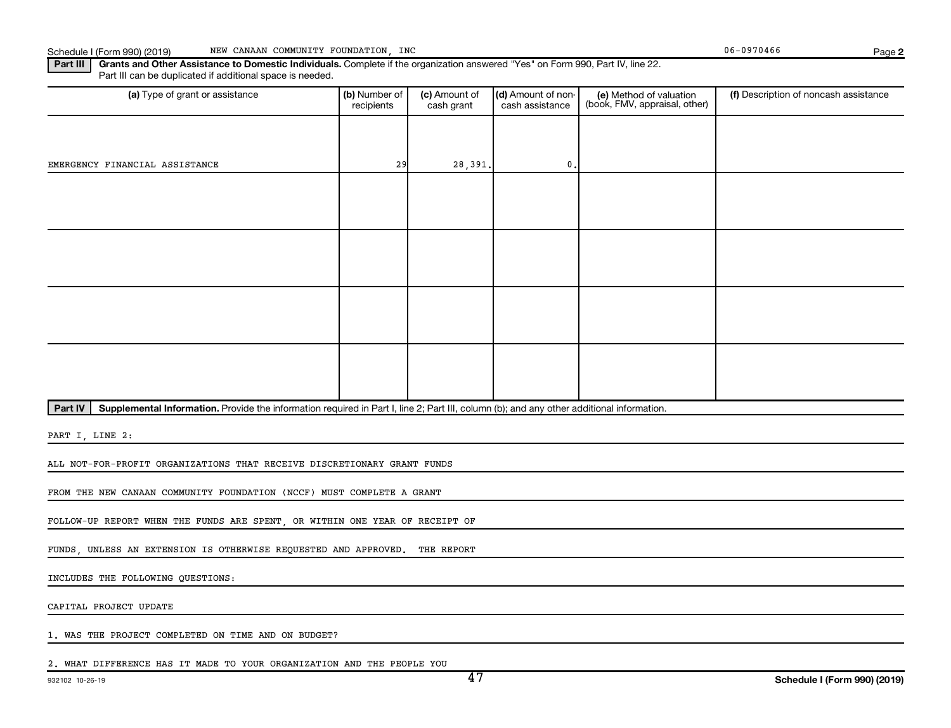**2**

Part III | Grants and Other Assistance to Domestic Individuals. Complete if the organization answered "Yes" on Form 990, Part IV, line 22. Part III can be duplicated if additional space is needed.

| (a) Type of grant or assistance | (b) Number of<br>recipients | (c) Amount of<br>cash grant | $(d)$ Amount of non-<br>cash assistance | (e) Method of valuation<br>(book, FMV, appraisal, other) | (f) Description of noncash assistance |
|---------------------------------|-----------------------------|-----------------------------|-----------------------------------------|----------------------------------------------------------|---------------------------------------|
|                                 |                             |                             |                                         |                                                          |                                       |
| EMERGENCY FINANCIAL ASSISTANCE  | 29                          | 28,391.                     | 0.                                      |                                                          |                                       |
|                                 |                             |                             |                                         |                                                          |                                       |
|                                 |                             |                             |                                         |                                                          |                                       |
|                                 |                             |                             |                                         |                                                          |                                       |
|                                 |                             |                             |                                         |                                                          |                                       |
|                                 |                             |                             |                                         |                                                          |                                       |
|                                 |                             |                             |                                         |                                                          |                                       |
|                                 |                             |                             |                                         |                                                          |                                       |
|                                 |                             |                             |                                         |                                                          |                                       |

Part IV | Supplemental Information. Provide the information required in Part I, line 2; Part III, column (b); and any other additional information.

PART I, LINE 2:

ALL NOT-FOR-PROFIT ORGANIZATIONS THAT RECEIVE DISCRETIONARY GRANT FUNDS

FROM THE NEW CANAAN COMMUNITY FOUNDATION (NCCF) MUST COMPLETE A GRANT

FOLLOW-UP REPORT WHEN THE FUNDS ARE SPENT, OR WITHIN ONE YEAR OF RECEIPT OF

FUNDS, UNLESS AN EXTENSION IS OTHERWISE REQUESTED AND APPROVED. THE REPORT

INCLUDES THE FOLLOWING QUESTIONS:

CAPITAL PROJECT UPDATE

1. WAS THE PROJECT COMPLETED ON TIME AND ON BUDGET?

2. WHAT DIFFERENCE HAS IT MADE TO YOUR ORGANIZATION AND THE PEOPLE YOU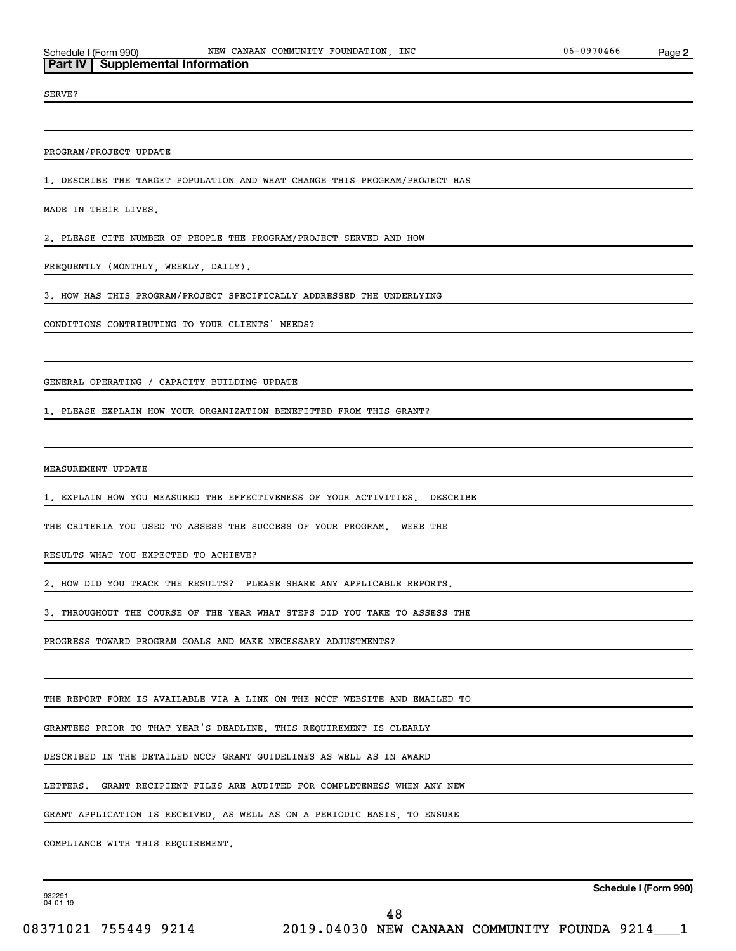**Part IV Supplemental Information**

SERVE?

PROGRAM/PROJECT UPDATE

1. DESCRIBE THE TARGET POPULATION AND WHAT CHANGE THIS PROGRAM/PROJECT HAS

MADE IN THEIR LIVES.

2. PLEASE CITE NUMBER OF PEOPLE THE PROGRAM/PROJECT SERVED AND HOW

FREQUENTLY (MONTHLY, WEEKLY, DAILY).

3. HOW HAS THIS PROGRAM/PROJECT SPECIFICALLY ADDRESSED THE UNDERLYING

CONDITIONS CONTRIBUTING TO YOUR CLIENTS' NEEDS?

GENERAL OPERATING / CAPACITY BUILDING UPDATE

1. PLEASE EXPLAIN HOW YOUR ORGANIZATION BENEFITTED FROM THIS GRANT?

MEASUREMENT UPDATE

1. EXPLAIN HOW YOU MEASURED THE EFFECTIVENESS OF YOUR ACTIVITIES. DESCRIBE

THE CRITERIA YOU USED TO ASSESS THE SUCCESS OF YOUR PROGRAM. WERE THE

RESULTS WHAT YOU EXPECTED TO ACHIEVE?

2. HOW DID YOU TRACK THE RESULTS? PLEASE SHARE ANY APPLICABLE REPORTS.

3. THROUGHOUT THE COURSE OF THE YEAR WHAT STEPS DID YOU TAKE TO ASSESS THE

PROGRESS TOWARD PROGRAM GOALS AND MAKE NECESSARY ADJUSTMENTS?

THE REPORT FORM IS AVAILABLE VIA A LINK ON THE NCCF WEBSITE AND EMAILED TO

GRANTEES PRIOR TO THAT YEAR'S DEADLINE. THIS REQUIREMENT IS CLEARLY

DESCRIBED IN THE DETAILED NCCF GRANT GUIDELINES AS WELL AS IN AWARD

LETTERS. GRANT RECIPIENT FILES ARE AUDITED FOR COMPLETENESS WHEN ANY NEW

GRANT APPLICATION IS RECEIVED, AS WELL AS ON A PERIODIC BASIS, TO ENSURE

COMPLIANCE WITH THIS REQUIREMENT.

932291 04-01-19

**Schedule I (Form 990)**

48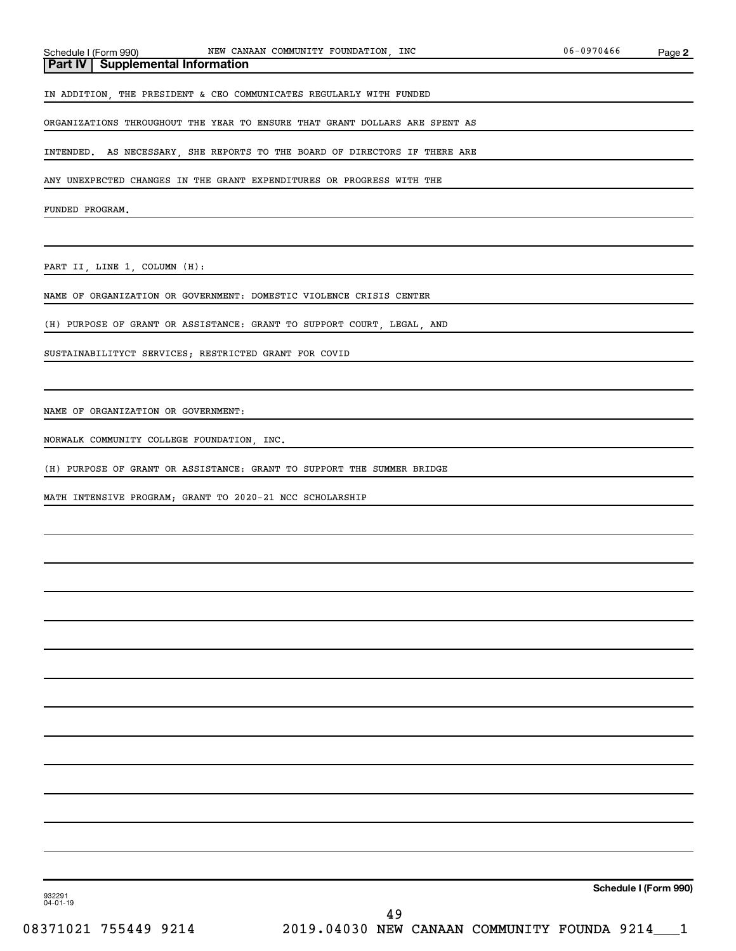# **Part IV Supplemental Information**

IN ADDITION, THE PRESIDENT & CEO COMMUNICATES REGULARLY WITH FUNDED

ORGANIZATIONS THROUGHOUT THE YEAR TO ENSURE THAT GRANT DOLLARS ARE SPENT AS

INTENDED. AS NECESSARY, SHE REPORTS TO THE BOARD OF DIRECTORS IF THERE ARE

ANY UNEXPECTED CHANGES IN THE GRANT EXPENDITURES OR PROGRESS WITH THE

FUNDED PROGRAM.

PART II, LINE 1, COLUMN (H):

NAME OF ORGANIZATION OR GOVERNMENT: DOMESTIC VIOLENCE CRISIS CENTER

(H) PURPOSE OF GRANT OR ASSISTANCE: GRANT TO SUPPORT COURT, LEGAL, AND

SUSTAINABILITYCT SERVICES; RESTRICTED GRANT FOR COVID

NAME OF ORGANIZATION OR GOVERNMENT:

NORWALK COMMUNITY COLLEGE FOUNDATION, INC.

(H) PURPOSE OF GRANT OR ASSISTANCE: GRANT TO SUPPORT THE SUMMER BRIDGE

MATH INTENSIVE PROGRAM; GRANT TO 2020-21 NCC SCHOLARSHIP

**Schedule I (Form 990)**

932291 04-01-19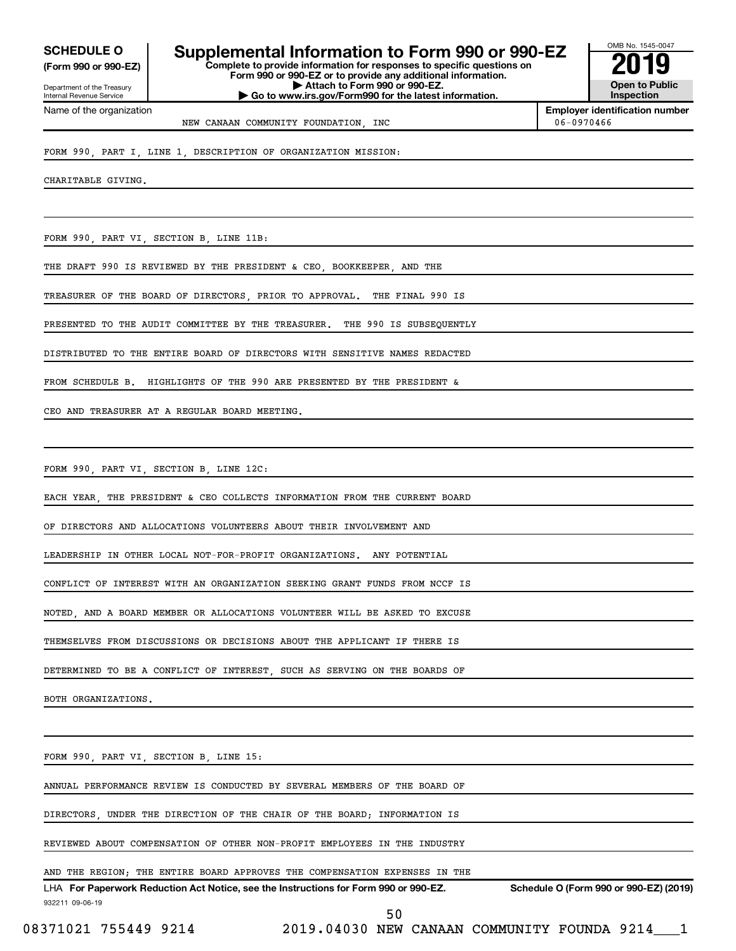**(Form 990 or 990-EZ)**

Department of the Treasury Internal Revenue Service

Name of the organization

**Complete to provide information for responses to specific questions on Form 990 or 990-EZ or to provide any additional information. | Attach to Form 990 or 990-EZ.** SCHEDULE O **Supplemental Information to Form 990 or 990-EZ** 2019<br>(Form 990 or 990-EZ)

**| Go to www.irs.gov/Form990 for the latest information.**

**Open to Public Inspection**

OMB No. 1545-0047

**Employer identification number** NEW CANAAN COMMUNITY FOUNDATION, INC 06-0970466

FORM 990, PART I, LINE 1, DESCRIPTION OF ORGANIZATION MISSION:

CHARITABLE GIVING.

FORM 990, PART VI, SECTION B, LINE 11B:

THE DRAFT 990 IS REVIEWED BY THE PRESIDENT & CEO BOOKKEEPER AND THE

TREASURER OF THE BOARD OF DIRECTORS, PRIOR TO APPROVAL. THE FINAL 990 IS

PRESENTED TO THE AUDIT COMMITTEE BY THE TREASURER. THE 990 IS SUBSEQUENTLY

DISTRIBUTED TO THE ENTIRE BOARD OF DIRECTORS WITH SENSITIVE NAMES REDACTED

FROM SCHEDULE B. HIGHLIGHTS OF THE 990 ARE PRESENTED BY THE PRESIDENT &

CEO AND TREASURER AT A REGULAR BOARD MEETING.

FORM 990, PART VI, SECTION B, LINE 12C:

EACH YEAR, THE PRESIDENT & CEO COLLECTS INFORMATION FROM THE CURRENT BOARD

OF DIRECTORS AND ALLOCATIONS VOLUNTEERS ABOUT THEIR INVOLVEMENT AND

LEADERSHIP IN OTHER LOCAL NOT-FOR-PROFIT ORGANIZATIONS. ANY POTENTIAL

CONFLICT OF INTEREST WITH AN ORGANIZATION SEEKING GRANT FUNDS FROM NCCF IS

NOTED, AND A BOARD MEMBER OR ALLOCATIONS VOLUNTEER WILL BE ASKED TO EXCUSE

THEMSELVES FROM DISCUSSIONS OR DECISIONS ABOUT THE APPLICANT IF THERE IS

DETERMINED TO BE A CONFLICT OF INTEREST, SUCH AS SERVING ON THE BOARDS OF

BOTH ORGANIZATIONS.

FORM 990, PART VI, SECTION B, LINE 15:

ANNUAL PERFORMANCE REVIEW IS CONDUCTED BY SEVERAL MEMBERS OF THE BOARD OF

DIRECTORS, UNDER THE DIRECTION OF THE CHAIR OF THE BOARD; INFORMATION IS

REVIEWED ABOUT COMPENSATION OF OTHER NON-PROFIT EMPLOYEES IN THE INDUSTRY

AND THE REGION; THE ENTIRE BOARD APPROVES THE COMPENSATION EXPENSES IN THE

932211 09-06-19 LHA For Paperwork Reduction Act Notice, see the Instructions for Form 990 or 990-EZ. Schedule O (Form 990 or 990-EZ) (2019)

50

08371021 755449 9214 2019.04030 NEW CANAAN COMMUNITY FOUNDA 9214 1